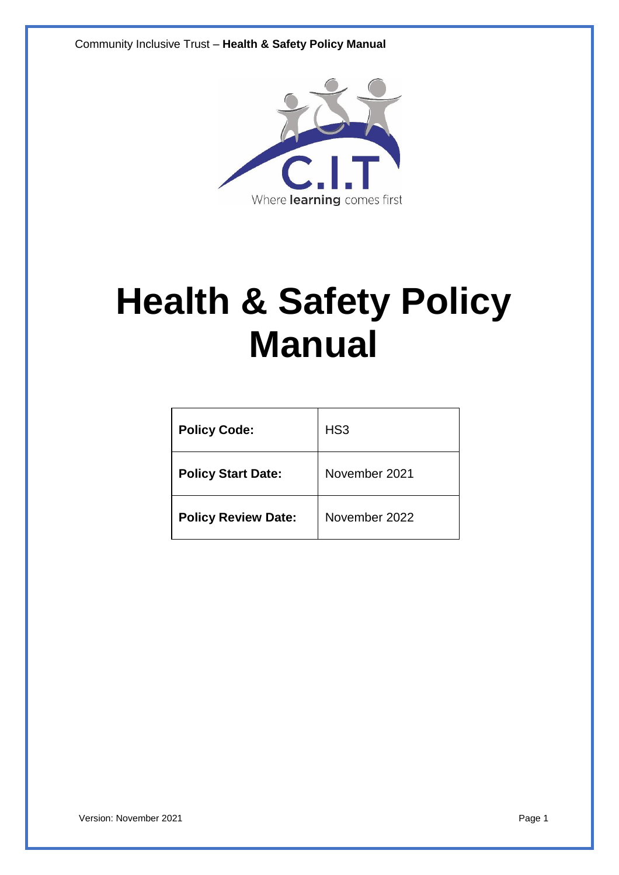Community Inclusive Trust – **Health & Safety Policy Manual**



# **Health & Safety Policy Manual**

| <b>Policy Code:</b>        | HS <sub>3</sub> |
|----------------------------|-----------------|
| <b>Policy Start Date:</b>  | November 2021   |
| <b>Policy Review Date:</b> | November 2022   |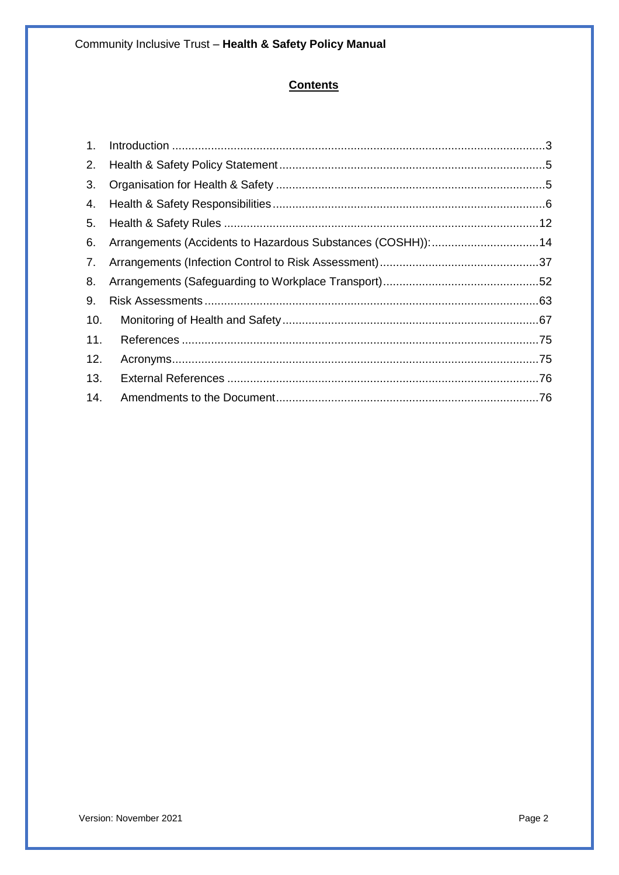# **Contents**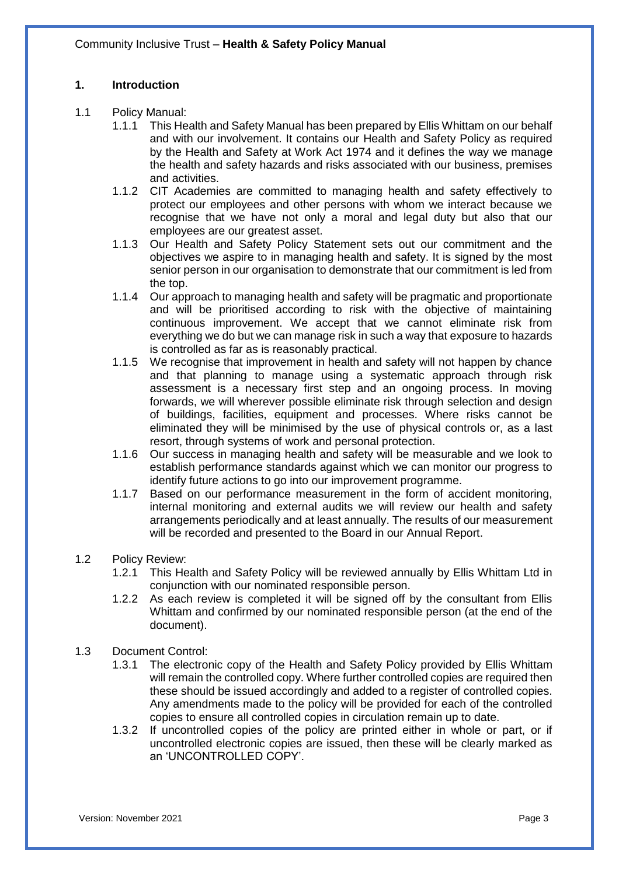#### <span id="page-2-0"></span>**1. Introduction**

- 1.1 Policy Manual:
	- 1.1.1 This Health and Safety Manual has been prepared by Ellis Whittam on our behalf and with our involvement. It contains our Health and Safety Policy as required by the Health and Safety at Work Act 1974 and it defines the way we manage the health and safety hazards and risks associated with our business, premises and activities.
	- 1.1.2 CIT Academies are committed to managing health and safety effectively to protect our employees and other persons with whom we interact because we recognise that we have not only a moral and legal duty but also that our employees are our greatest asset.
	- 1.1.3 Our Health and Safety Policy Statement sets out our commitment and the objectives we aspire to in managing health and safety. It is signed by the most senior person in our organisation to demonstrate that our commitment is led from the top.
	- 1.1.4 Our approach to managing health and safety will be pragmatic and proportionate and will be prioritised according to risk with the objective of maintaining continuous improvement. We accept that we cannot eliminate risk from everything we do but we can manage risk in such a way that exposure to hazards is controlled as far as is reasonably practical.
	- 1.1.5 We recognise that improvement in health and safety will not happen by chance and that planning to manage using a systematic approach through risk assessment is a necessary first step and an ongoing process. In moving forwards, we will wherever possible eliminate risk through selection and design of buildings, facilities, equipment and processes. Where risks cannot be eliminated they will be minimised by the use of physical controls or, as a last resort, through systems of work and personal protection.
	- 1.1.6 Our success in managing health and safety will be measurable and we look to establish performance standards against which we can monitor our progress to identify future actions to go into our improvement programme.
	- 1.1.7 Based on our performance measurement in the form of accident monitoring, internal monitoring and external audits we will review our health and safety arrangements periodically and at least annually. The results of our measurement will be recorded and presented to the Board in our Annual Report.
- 1.2 Policy Review:
	- 1.2.1 This Health and Safety Policy will be reviewed annually by Ellis Whittam Ltd in conjunction with our nominated responsible person.
	- 1.2.2 As each review is completed it will be signed off by the consultant from Ellis Whittam and confirmed by our nominated responsible person (at the end of the document).
- 1.3 Document Control:
	- 1.3.1 The electronic copy of the Health and Safety Policy provided by Ellis Whittam will remain the controlled copy. Where further controlled copies are required then these should be issued accordingly and added to a register of controlled copies. Any amendments made to the policy will be provided for each of the controlled copies to ensure all controlled copies in circulation remain up to date.
	- 1.3.2 If uncontrolled copies of the policy are printed either in whole or part, or if uncontrolled electronic copies are issued, then these will be clearly marked as an 'UNCONTROLLED COPY'.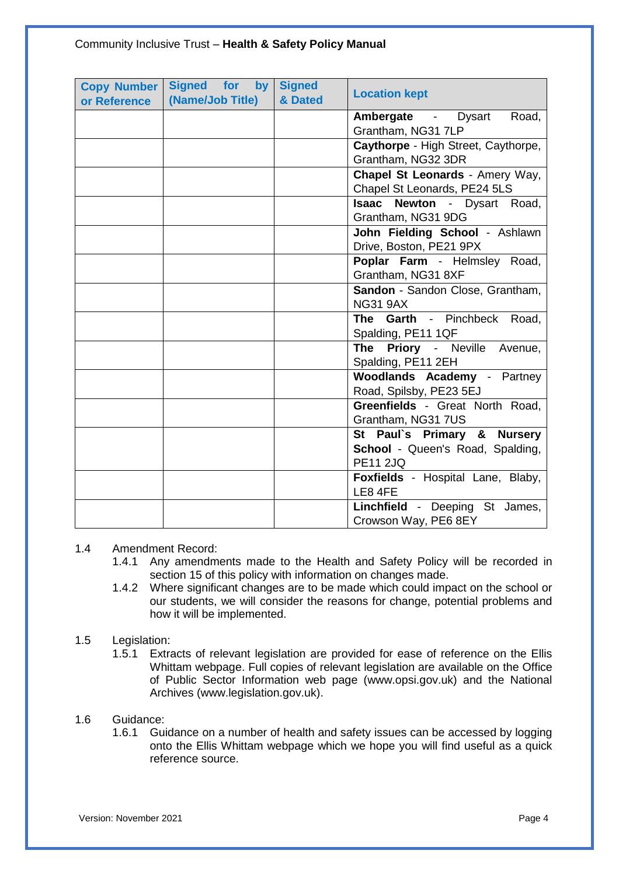### Community Inclusive Trust – **Health & Safety Policy Manual**

| <b>Copy Number</b><br>or Reference | Signed for<br>by<br>(Name/Job Title) | <b>Signed</b><br>& Dated | <b>Location kept</b>                               |
|------------------------------------|--------------------------------------|--------------------------|----------------------------------------------------|
|                                    |                                      |                          | Ambergate - Dysart<br>Road,                        |
|                                    |                                      |                          | Grantham, NG31 7LP                                 |
|                                    |                                      |                          | Caythorpe - High Street, Caythorpe,                |
|                                    |                                      |                          | Grantham, NG32 3DR                                 |
|                                    |                                      |                          | Chapel St Leonards - Amery Way,                    |
|                                    |                                      |                          | Chapel St Leonards, PE24 5LS                       |
|                                    |                                      |                          | Isaac Newton - Dysart Road,                        |
|                                    |                                      |                          | Grantham, NG31 9DG                                 |
|                                    |                                      |                          | John Fielding School - Ashlawn                     |
|                                    |                                      |                          | Drive, Boston, PE21 9PX                            |
|                                    |                                      |                          | Poplar Farm - Helmsley Road,                       |
|                                    |                                      |                          | Grantham, NG31 8XF                                 |
|                                    |                                      |                          | Sandon - Sandon Close, Grantham,                   |
|                                    |                                      |                          | <b>NG31 9AX</b>                                    |
|                                    |                                      |                          | Garth - Pinchbeck Road,<br>The                     |
|                                    |                                      |                          | Spalding, PE11 1QF<br>The Priory - Neville Avenue, |
|                                    |                                      |                          | Spalding, PE11 2EH                                 |
|                                    |                                      |                          | <b>Woodlands Academy - Partney</b>                 |
|                                    |                                      |                          | Road, Spilsby, PE23 5EJ                            |
|                                    |                                      |                          | Greenfields - Great North Road,                    |
|                                    |                                      |                          | Grantham, NG31 7US                                 |
|                                    |                                      |                          | St Paul's Primary & Nursery                        |
|                                    |                                      |                          | <b>School - Queen's Road, Spalding,</b>            |
|                                    |                                      |                          | <b>PE11 2JQ</b>                                    |
|                                    |                                      |                          | Foxfields - Hospital Lane, Blaby,                  |
|                                    |                                      |                          | LE8 4FE                                            |
|                                    |                                      |                          | Linchfield - Deeping St James,                     |
|                                    |                                      |                          | Crowson Way, PE6 8EY                               |

#### 1.4 Amendment Record:

- 1.4.1 Any amendments made to the Health and Safety Policy will be recorded in section 15 of this policy with information on changes made.
- 1.4.2 Where significant changes are to be made which could impact on the school or our students, we will consider the reasons for change, potential problems and how it will be implemented.

#### 1.5 Legislation:

1.5.1 Extracts of relevant legislation are provided for ease of reference on the Ellis Whittam webpage. Full copies of relevant legislation are available on the Office of Public Sector Information web page (www.opsi.gov.uk) and the National Archives (www.legislation.gov.uk).

#### 1.6 Guidance:

1.6.1 Guidance on a number of health and safety issues can be accessed by logging onto the Ellis Whittam webpage which we hope you will find useful as a quick reference source.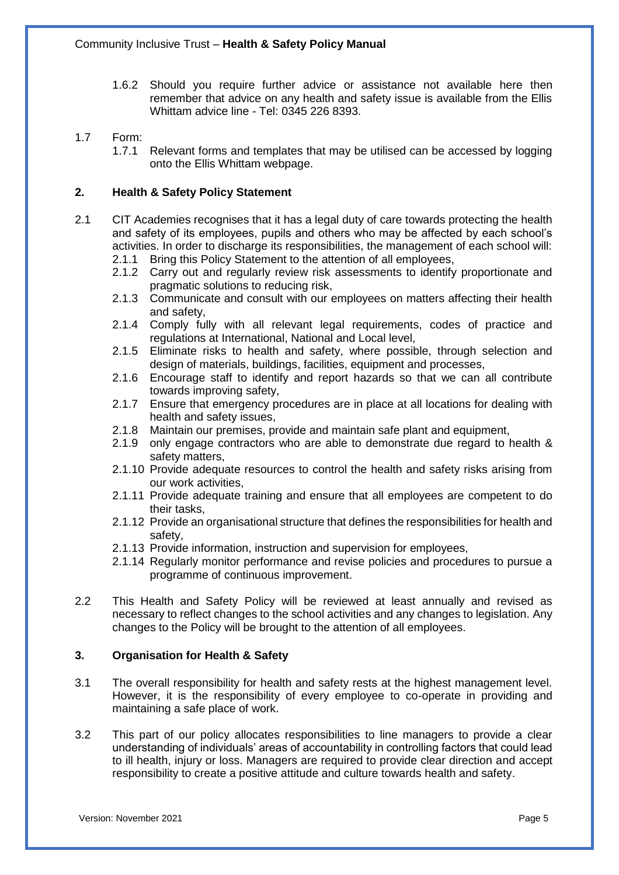1.6.2 Should you require further advice or assistance not available here then remember that advice on any health and safety issue is available from the Ellis Whittam advice line - Tel: 0345 226 8393.

#### 1.7 Form:

1.7.1 Relevant forms and templates that may be utilised can be accessed by logging onto the Ellis Whittam webpage.

#### <span id="page-4-0"></span>**2. Health & Safety Policy Statement**

- 2.1 CIT Academies recognises that it has a legal duty of care towards protecting the health and safety of its employees, pupils and others who may be affected by each school's activities. In order to discharge its responsibilities, the management of each school will:
	- 2.1.1 Bring this Policy Statement to the attention of all employees,
	- 2.1.2 Carry out and regularly review risk assessments to identify proportionate and pragmatic solutions to reducing risk,
	- 2.1.3 Communicate and consult with our employees on matters affecting their health and safety,
	- 2.1.4 Comply fully with all relevant legal requirements, codes of practice and regulations at International, National and Local level,
	- 2.1.5 Eliminate risks to health and safety, where possible, through selection and design of materials, buildings, facilities, equipment and processes,
	- 2.1.6 Encourage staff to identify and report hazards so that we can all contribute towards improving safety,
	- 2.1.7 Ensure that emergency procedures are in place at all locations for dealing with health and safety issues,
	- 2.1.8 Maintain our premises, provide and maintain safe plant and equipment,
	- 2.1.9 only engage contractors who are able to demonstrate due regard to health & safety matters,
	- 2.1.10 Provide adequate resources to control the health and safety risks arising from our work activities,
	- 2.1.11 Provide adequate training and ensure that all employees are competent to do their tasks,
	- 2.1.12 Provide an organisational structure that defines the responsibilities for health and safety,
	- 2.1.13 Provide information, instruction and supervision for employees,
	- 2.1.14 Regularly monitor performance and revise policies and procedures to pursue a programme of continuous improvement.
- 2.2 This Health and Safety Policy will be reviewed at least annually and revised as necessary to reflect changes to the school activities and any changes to legislation. Any changes to the Policy will be brought to the attention of all employees.

#### <span id="page-4-1"></span>**3. Organisation for Health & Safety**

- 3.1 The overall responsibility for health and safety rests at the highest management level. However, it is the responsibility of every employee to co-operate in providing and maintaining a safe place of work.
- 3.2 This part of our policy allocates responsibilities to line managers to provide a clear understanding of individuals' areas of accountability in controlling factors that could lead to ill health, injury or loss. Managers are required to provide clear direction and accept responsibility to create a positive attitude and culture towards health and safety.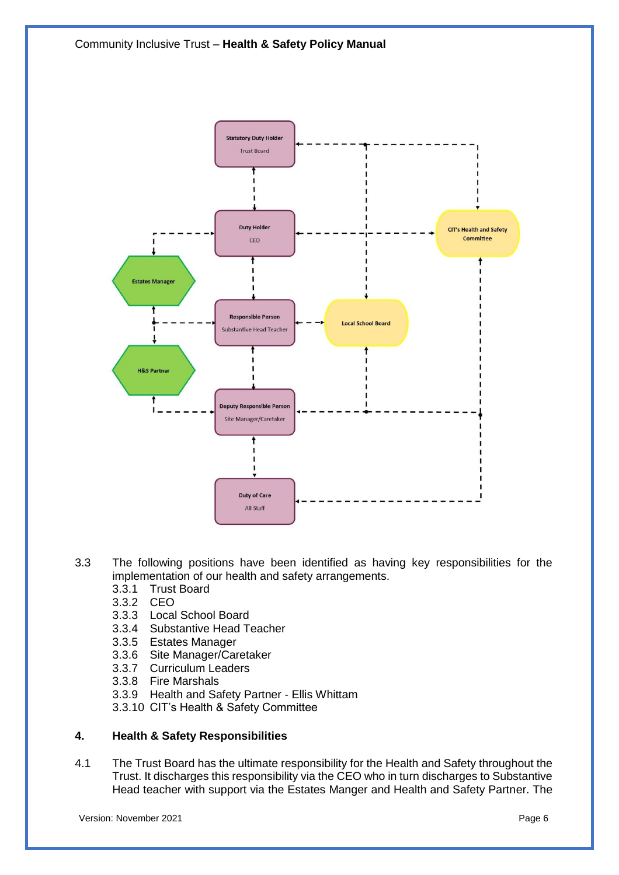

- 3.3 The following positions have been identified as having key responsibilities for the implementation of our health and safety arrangements.
	- 3.3.1 Trust Board
	- 3.3.2 CEO
	- 3.3.3 Local School Board
	- 3.3.4 Substantive Head Teacher
	- 3.3.5 Estates Manager
	- 3.3.6 Site Manager/Caretaker
	- 3.3.7 Curriculum Leaders
	- 3.3.8 Fire Marshals
	- 3.3.9 Health and Safety Partner Ellis Whittam
	- 3.3.10 CIT's Health & Safety Committee

#### <span id="page-5-0"></span>**4. Health & Safety Responsibilities**

4.1 The Trust Board has the ultimate responsibility for the Health and Safety throughout the Trust. It discharges this responsibility via the CEO who in turn discharges to Substantive Head teacher with support via the Estates Manger and Health and Safety Partner. The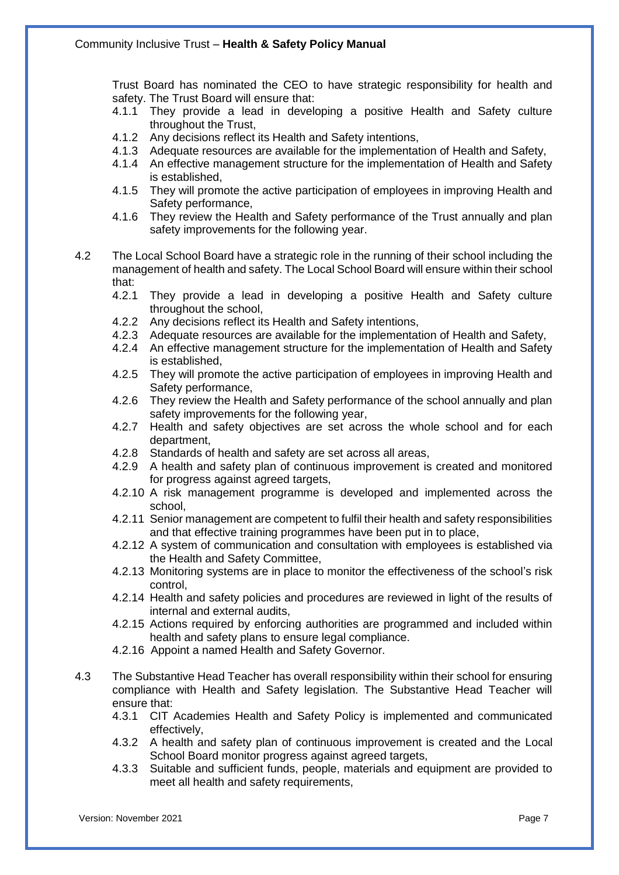Trust Board has nominated the CEO to have strategic responsibility for health and safety. The Trust Board will ensure that:

- 4.1.1 They provide a lead in developing a positive Health and Safety culture throughout the Trust,
- 4.1.2 Any decisions reflect its Health and Safety intentions,
- 4.1.3 Adequate resources are available for the implementation of Health and Safety,
- 4.1.4 An effective management structure for the implementation of Health and Safety is established,
- 4.1.5 They will promote the active participation of employees in improving Health and Safety performance,
- 4.1.6 They review the Health and Safety performance of the Trust annually and plan safety improvements for the following year.
- 4.2 The Local School Board have a strategic role in the running of their school including the management of health and safety. The Local School Board will ensure within their school that:<br>4.2.1
	- They provide a lead in developing a positive Health and Safety culture throughout the school,
	- 4.2.2 Any decisions reflect its Health and Safety intentions,
	- 4.2.3 Adequate resources are available for the implementation of Health and Safety,
	- 4.2.4 An effective management structure for the implementation of Health and Safety is established,
	- 4.2.5 They will promote the active participation of employees in improving Health and Safety performance,
	- 4.2.6 They review the Health and Safety performance of the school annually and plan safety improvements for the following year,
	- 4.2.7 Health and safety objectives are set across the whole school and for each department,
	- 4.2.8 Standards of health and safety are set across all areas,
	- 4.2.9 A health and safety plan of continuous improvement is created and monitored for progress against agreed targets,
	- 4.2.10 A risk management programme is developed and implemented across the school,
	- 4.2.11 Senior management are competent to fulfil their health and safety responsibilities and that effective training programmes have been put in to place,
	- 4.2.12 A system of communication and consultation with employees is established via the Health and Safety Committee,
	- 4.2.13 Monitoring systems are in place to monitor the effectiveness of the school's risk control,
	- 4.2.14 Health and safety policies and procedures are reviewed in light of the results of internal and external audits,
	- 4.2.15 Actions required by enforcing authorities are programmed and included within health and safety plans to ensure legal compliance.
	- 4.2.16 Appoint a named Health and Safety Governor.
- 4.3 The Substantive Head Teacher has overall responsibility within their school for ensuring compliance with Health and Safety legislation. The Substantive Head Teacher will ensure that:
	- 4.3.1 CIT Academies Health and Safety Policy is implemented and communicated effectively,
	- 4.3.2 A health and safety plan of continuous improvement is created and the Local School Board monitor progress against agreed targets,
	- 4.3.3 Suitable and sufficient funds, people, materials and equipment are provided to meet all health and safety requirements,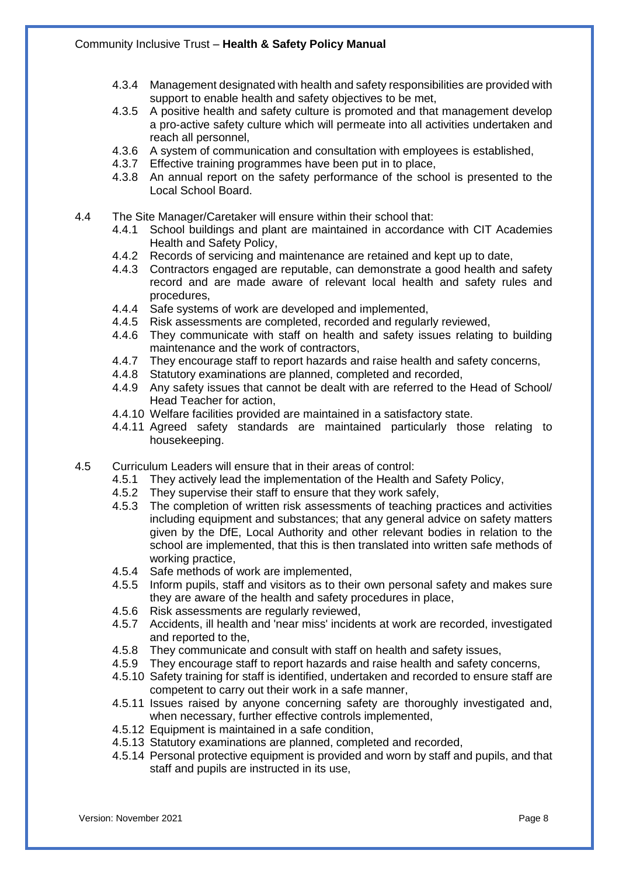- 4.3.4 Management designated with health and safety responsibilities are provided with support to enable health and safety objectives to be met,
- 4.3.5 A positive health and safety culture is promoted and that management develop a pro-active safety culture which will permeate into all activities undertaken and reach all personnel,
- 4.3.6 A system of communication and consultation with employees is established, 4.3.7 Effective training programmes have been put in to place,
- Effective training programmes have been put in to place,
- 4.3.8 An annual report on the safety performance of the school is presented to the Local School Board.
- 4.4 The Site Manager/Caretaker will ensure within their school that:
	- 4.4.1 School buildings and plant are maintained in accordance with CIT Academies Health and Safety Policy,
	- 4.4.2 Records of servicing and maintenance are retained and kept up to date,
	- 4.4.3 Contractors engaged are reputable, can demonstrate a good health and safety record and are made aware of relevant local health and safety rules and procedures,
	- 4.4.4 Safe systems of work are developed and implemented, 4.4.5 Risk assessments are completed, recorded and regular
	- 4.4.5 Risk assessments are completed, recorded and regularly reviewed,
	- 4.4.6 They communicate with staff on health and safety issues relating to building maintenance and the work of contractors,
	- 4.4.7 They encourage staff to report hazards and raise health and safety concerns,
	- 4.4.8 Statutory examinations are planned, completed and recorded,
	- 4.4.9 Any safety issues that cannot be dealt with are referred to the Head of School/ Head Teacher for action,
	- 4.4.10 Welfare facilities provided are maintained in a satisfactory state.
	- 4.4.11 Agreed safety standards are maintained particularly those relating to housekeeping.
- 4.5 Curriculum Leaders will ensure that in their areas of control:
	- 4.5.1 They actively lead the implementation of the Health and Safety Policy,
	- 4.5.2 They supervise their staff to ensure that they work safely,
	- 4.5.3 The completion of written risk assessments of teaching practices and activities including equipment and substances; that any general advice on safety matters given by the DfE, Local Authority and other relevant bodies in relation to the school are implemented, that this is then translated into written safe methods of working practice,
	- 4.5.4 Safe methods of work are implemented,
	- 4.5.5 Inform pupils, staff and visitors as to their own personal safety and makes sure they are aware of the health and safety procedures in place,
	- 4.5.6 Risk assessments are regularly reviewed,
	- 4.5.7 Accidents, ill health and 'near miss' incidents at work are recorded, investigated and reported to the,
	- 4.5.8 They communicate and consult with staff on health and safety issues,
	- 4.5.9 They encourage staff to report hazards and raise health and safety concerns,
	- 4.5.10 Safety training for staff is identified, undertaken and recorded to ensure staff are competent to carry out their work in a safe manner,
	- 4.5.11 Issues raised by anyone concerning safety are thoroughly investigated and, when necessary, further effective controls implemented,
	- 4.5.12 Equipment is maintained in a safe condition,
	- 4.5.13 Statutory examinations are planned, completed and recorded,
	- 4.5.14 Personal protective equipment is provided and worn by staff and pupils, and that staff and pupils are instructed in its use,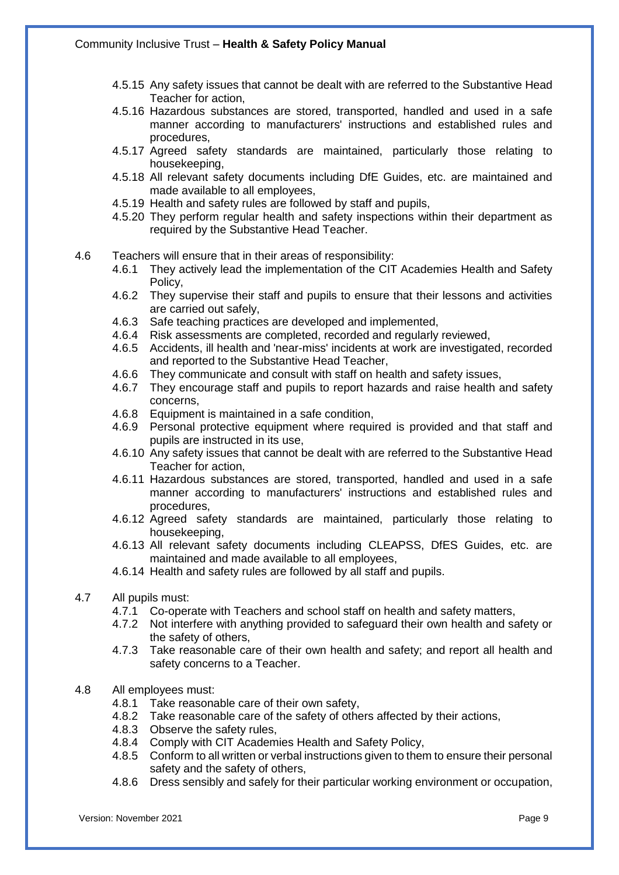- 4.5.15 Any safety issues that cannot be dealt with are referred to the Substantive Head Teacher for action,
- 4.5.16 Hazardous substances are stored, transported, handled and used in a safe manner according to manufacturers' instructions and established rules and procedures,
- 4.5.17 Agreed safety standards are maintained, particularly those relating to housekeeping,
- 4.5.18 All relevant safety documents including DfE Guides, etc. are maintained and made available to all employees,
- 4.5.19 Health and safety rules are followed by staff and pupils,
- 4.5.20 They perform regular health and safety inspections within their department as required by the Substantive Head Teacher.
- 4.6 Teachers will ensure that in their areas of responsibility:
	- 4.6.1 They actively lead the implementation of the CIT Academies Health and Safety Policy,
	- 4.6.2 They supervise their staff and pupils to ensure that their lessons and activities are carried out safely,
	- 4.6.3 Safe teaching practices are developed and implemented,
	- 4.6.4 Risk assessments are completed, recorded and regularly reviewed,
	- 4.6.5 Accidents, ill health and 'near-miss' incidents at work are investigated, recorded and reported to the Substantive Head Teacher,
	- 4.6.6 They communicate and consult with staff on health and safety issues,
	- 4.6.7 They encourage staff and pupils to report hazards and raise health and safety concerns,
	- 4.6.8 Equipment is maintained in a safe condition,
	- 4.6.9 Personal protective equipment where required is provided and that staff and pupils are instructed in its use,
	- 4.6.10 Any safety issues that cannot be dealt with are referred to the Substantive Head Teacher for action,
	- 4.6.11 Hazardous substances are stored, transported, handled and used in a safe manner according to manufacturers' instructions and established rules and procedures,
	- 4.6.12 Agreed safety standards are maintained, particularly those relating to housekeeping,
	- 4.6.13 All relevant safety documents including CLEAPSS, DfES Guides, etc. are maintained and made available to all employees,
	- 4.6.14 Health and safety rules are followed by all staff and pupils.
- 4.7 All pupils must:
	- Co-operate with Teachers and school staff on health and safety matters,
	- 4.7.2 Not interfere with anything provided to safeguard their own health and safety or the safety of others,
	- 4.7.3 Take reasonable care of their own health and safety; and report all health and safety concerns to a Teacher.
- 4.8 All employees must:
	- 4.8.1 Take reasonable care of their own safety,
	- 4.8.2 Take reasonable care of the safety of others affected by their actions,
	- 4.8.3 Observe the safety rules,
	- 4.8.4 Comply with CIT Academies Health and Safety Policy,
	- 4.8.5 Conform to all written or verbal instructions given to them to ensure their personal safety and the safety of others,
	- 4.8.6 Dress sensibly and safely for their particular working environment or occupation,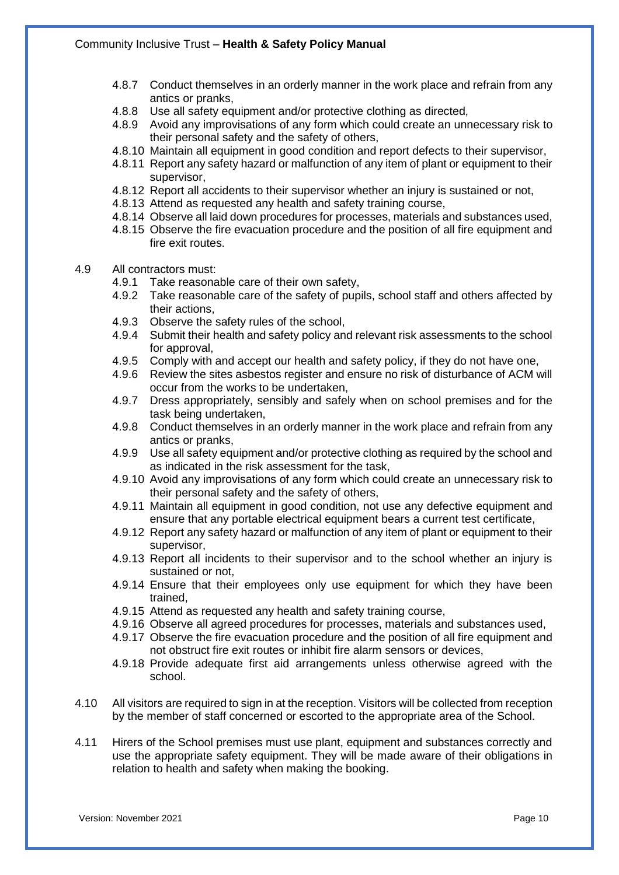- 4.8.7 Conduct themselves in an orderly manner in the work place and refrain from any antics or pranks,
- 4.8.8 Use all safety equipment and/or protective clothing as directed,
- 4.8.9 Avoid any improvisations of any form which could create an unnecessary risk to their personal safety and the safety of others,
- 4.8.10 Maintain all equipment in good condition and report defects to their supervisor,
- 4.8.11 Report any safety hazard or malfunction of any item of plant or equipment to their supervisor,
- 4.8.12 Report all accidents to their supervisor whether an injury is sustained or not,
- 4.8.13 Attend as requested any health and safety training course,
- 4.8.14 Observe all laid down procedures for processes, materials and substances used,
- 4.8.15 Observe the fire evacuation procedure and the position of all fire equipment and fire exit routes.
- 4.9 All contractors must:
	- 4.9.1 Take reasonable care of their own safety,
	- 4.9.2 Take reasonable care of the safety of pupils, school staff and others affected by their actions,
	- 4.9.3 Observe the safety rules of the school,
	- 4.9.4 Submit their health and safety policy and relevant risk assessments to the school for approval,
	- 4.9.5 Comply with and accept our health and safety policy, if they do not have one,
	- 4.9.6 Review the sites asbestos register and ensure no risk of disturbance of ACM will occur from the works to be undertaken,
	- 4.9.7 Dress appropriately, sensibly and safely when on school premises and for the task being undertaken,
	- 4.9.8 Conduct themselves in an orderly manner in the work place and refrain from any antics or pranks,
	- 4.9.9 Use all safety equipment and/or protective clothing as required by the school and as indicated in the risk assessment for the task,
	- 4.9.10 Avoid any improvisations of any form which could create an unnecessary risk to their personal safety and the safety of others,
	- 4.9.11 Maintain all equipment in good condition, not use any defective equipment and ensure that any portable electrical equipment bears a current test certificate,
	- 4.9.12 Report any safety hazard or malfunction of any item of plant or equipment to their supervisor,
	- 4.9.13 Report all incidents to their supervisor and to the school whether an injury is sustained or not,
	- 4.9.14 Ensure that their employees only use equipment for which they have been trained,
	- 4.9.15 Attend as requested any health and safety training course,
	- 4.9.16 Observe all agreed procedures for processes, materials and substances used,
	- 4.9.17 Observe the fire evacuation procedure and the position of all fire equipment and not obstruct fire exit routes or inhibit fire alarm sensors or devices,
	- 4.9.18 Provide adequate first aid arrangements unless otherwise agreed with the school.
- 4.10 All visitors are required to sign in at the reception. Visitors will be collected from reception by the member of staff concerned or escorted to the appropriate area of the School.
- 4.11 Hirers of the School premises must use plant, equipment and substances correctly and use the appropriate safety equipment. They will be made aware of their obligations in relation to health and safety when making the booking.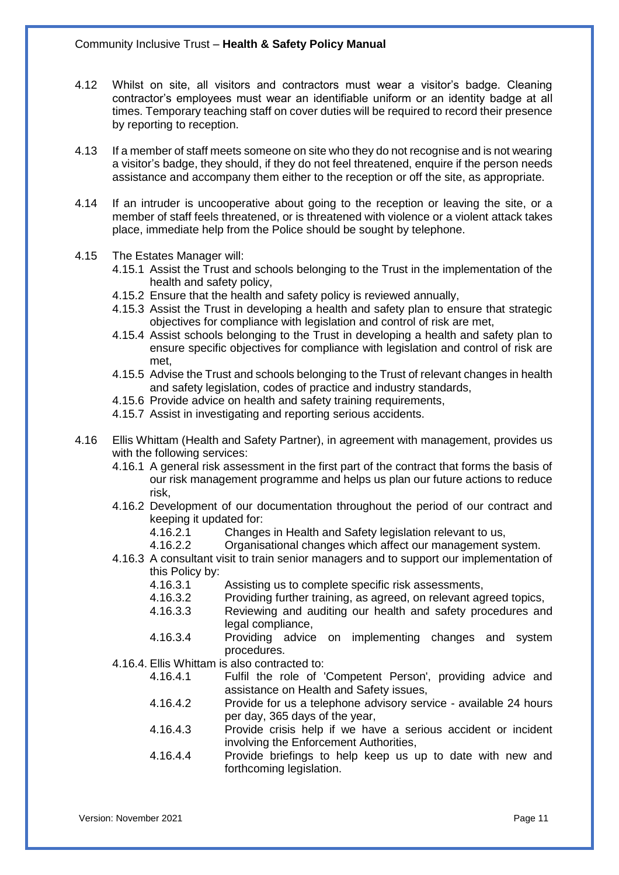- 4.12 Whilst on site, all visitors and contractors must wear a visitor's badge. Cleaning contractor's employees must wear an identifiable uniform or an identity badge at all times. Temporary teaching staff on cover duties will be required to record their presence by reporting to reception.
- 4.13 If a member of staff meets someone on site who they do not recognise and is not wearing a visitor's badge, they should, if they do not feel threatened, enquire if the person needs assistance and accompany them either to the reception or off the site, as appropriate.
- 4.14 If an intruder is uncooperative about going to the reception or leaving the site, or a member of staff feels threatened, or is threatened with violence or a violent attack takes place, immediate help from the Police should be sought by telephone.
- 4.15 The Estates Manager will:
	- 4.15.1 Assist the Trust and schools belonging to the Trust in the implementation of the health and safety policy,
	- 4.15.2 Ensure that the health and safety policy is reviewed annually,
	- 4.15.3 Assist the Trust in developing a health and safety plan to ensure that strategic objectives for compliance with legislation and control of risk are met,
	- 4.15.4 Assist schools belonging to the Trust in developing a health and safety plan to ensure specific objectives for compliance with legislation and control of risk are met,
	- 4.15.5 Advise the Trust and schools belonging to the Trust of relevant changes in health and safety legislation, codes of practice and industry standards,
	- 4.15.6 Provide advice on health and safety training requirements,
	- 4.15.7 Assist in investigating and reporting serious accidents.
- 4.16 Ellis Whittam (Health and Safety Partner), in agreement with management, provides us with the following services:
	- 4.16.1 A general risk assessment in the first part of the contract that forms the basis of our risk management programme and helps us plan our future actions to reduce risk,
	- 4.16.2 Development of our documentation throughout the period of our contract and keeping it updated for:
		- 4.16.2.1 Changes in Health and Safety legislation relevant to us,
		- 4.16.2.2 Organisational changes which affect our management system.
	- 4.16.3 A consultant visit to train senior managers and to support our implementation of this Policy by:
		- 4.16.3.1 Assisting us to complete specific risk assessments,
		- 4.16.3.2 Providing further training, as agreed, on relevant agreed topics,
		- 4.16.3.3 Reviewing and auditing our health and safety procedures and legal compliance,
		- 4.16.3.4 Providing advice on implementing changes and system procedures.
	- 4.16.4. Ellis Whittam is also contracted to:
		- 4.16.4.1 Fulfil the role of 'Competent Person', providing advice and assistance on Health and Safety issues,
		- 4.16.4.2 Provide for us a telephone advisory service available 24 hours per day, 365 days of the year,
		- 4.16.4.3 Provide crisis help if we have a serious accident or incident involving the Enforcement Authorities,
		- 4.16.4.4 Provide briefings to help keep us up to date with new and forthcoming legislation.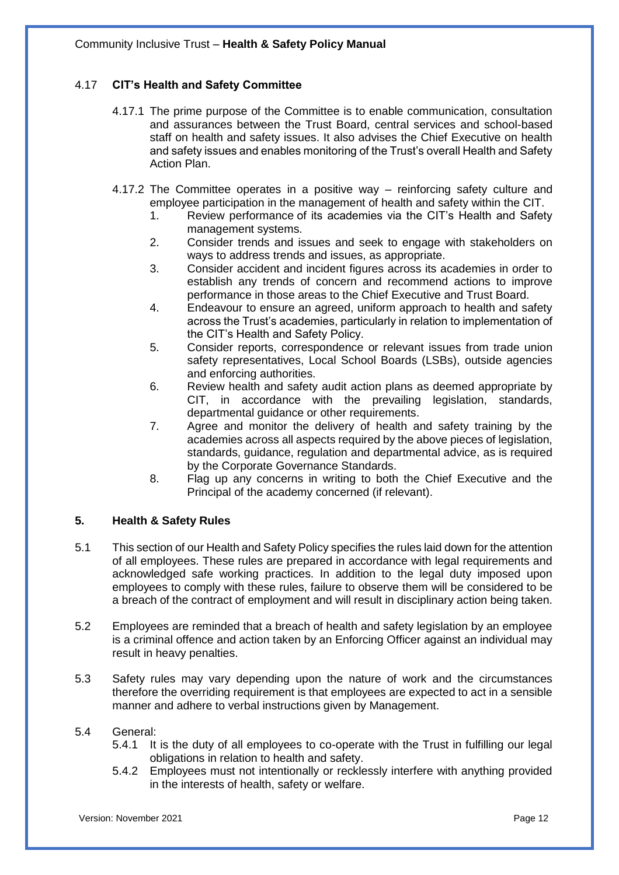## 4.17 **CIT's Health and Safety Committee**

- 4.17.1 The prime purpose of the Committee is to enable communication, consultation and assurances between the Trust Board, central services and school-based staff on health and safety issues. It also advises the Chief Executive on health and safety issues and enables monitoring of the Trust's overall Health and Safety Action Plan.
- 4.17.2 The Committee operates in a positive way reinforcing safety culture and employee participation in the management of health and safety within the CIT.
	- 1. Review performance of its academies via the CIT's Health and Safety management systems.
	- 2. Consider trends and issues and seek to engage with stakeholders on ways to address trends and issues, as appropriate.
	- 3. Consider accident and incident figures across its academies in order to establish any trends of concern and recommend actions to improve performance in those areas to the Chief Executive and Trust Board.
	- 4. Endeavour to ensure an agreed, uniform approach to health and safety across the Trust's academies, particularly in relation to implementation of the CIT's Health and Safety Policy.
	- 5. Consider reports, correspondence or relevant issues from trade union safety representatives, Local School Boards (LSBs), outside agencies and enforcing authorities.
	- 6. Review health and safety audit action plans as deemed appropriate by CIT, in accordance with the prevailing legislation, standards, departmental guidance or other requirements.
	- 7. Agree and monitor the delivery of health and safety training by the academies across all aspects required by the above pieces of legislation, standards, guidance, regulation and departmental advice, as is required by the Corporate Governance Standards.
	- 8. Flag up any concerns in writing to both the Chief Executive and the Principal of the academy concerned (if relevant).

#### <span id="page-11-0"></span>**5. Health & Safety Rules**

- 5.1 This section of our Health and Safety Policy specifies the rules laid down for the attention of all employees. These rules are prepared in accordance with legal requirements and acknowledged safe working practices. In addition to the legal duty imposed upon employees to comply with these rules, failure to observe them will be considered to be a breach of the contract of employment and will result in disciplinary action being taken.
- 5.2 Employees are reminded that a breach of health and safety legislation by an employee is a criminal offence and action taken by an Enforcing Officer against an individual may result in heavy penalties.
- 5.3 Safety rules may vary depending upon the nature of work and the circumstances therefore the overriding requirement is that employees are expected to act in a sensible manner and adhere to verbal instructions given by Management.

#### 5.4 General:

- 5.4.1 It is the duty of all employees to co-operate with the Trust in fulfilling our legal obligations in relation to health and safety.
- 5.4.2 Employees must not intentionally or recklessly interfere with anything provided in the interests of health, safety or welfare.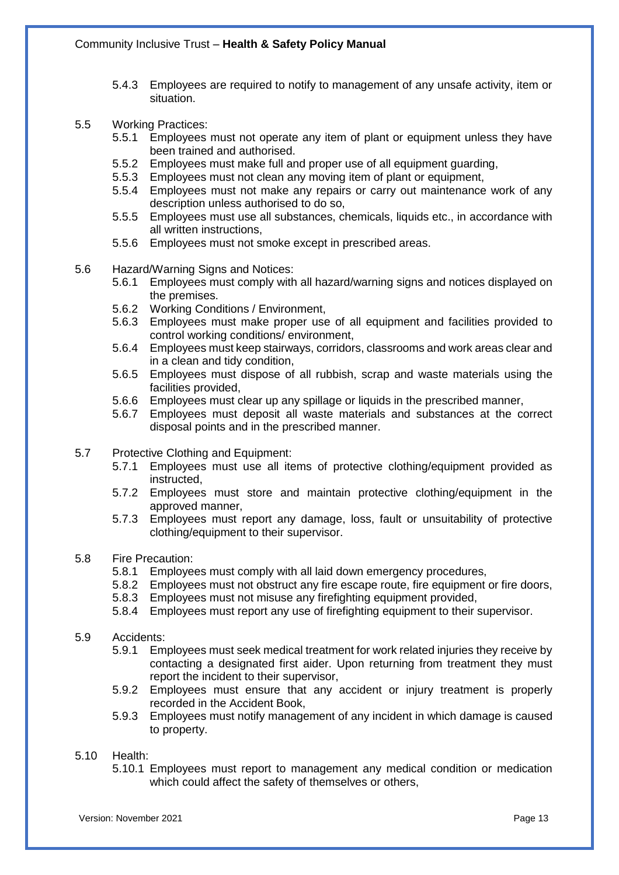- 5.4.3 Employees are required to notify to management of any unsafe activity, item or situation.
- 5.5 Working Practices:
	- 5.5.1 Employees must not operate any item of plant or equipment unless they have been trained and authorised.
	- 5.5.2 Employees must make full and proper use of all equipment guarding,
	- 5.5.3 Employees must not clean any moving item of plant or equipment,
	- 5.5.4 Employees must not make any repairs or carry out maintenance work of any description unless authorised to do so,
	- 5.5.5 Employees must use all substances, chemicals, liquids etc., in accordance with all written instructions,
	- 5.5.6 Employees must not smoke except in prescribed areas.
- 5.6 Hazard/Warning Signs and Notices:
	- 5.6.1 Employees must comply with all hazard/warning signs and notices displayed on the premises.
	- 5.6.2 Working Conditions / Environment,
	- 5.6.3 Employees must make proper use of all equipment and facilities provided to control working conditions/ environment,
	- 5.6.4 Employees must keep stairways, corridors, classrooms and work areas clear and in a clean and tidy condition,
	- 5.6.5 Employees must dispose of all rubbish, scrap and waste materials using the facilities provided,
	- 5.6.6 Employees must clear up any spillage or liquids in the prescribed manner,
	- 5.6.7 Employees must deposit all waste materials and substances at the correct disposal points and in the prescribed manner.
- 5.7 Protective Clothing and Equipment:
	- 5.7.1 Employees must use all items of protective clothing/equipment provided as instructed,
	- 5.7.2 Employees must store and maintain protective clothing/equipment in the approved manner,
	- 5.7.3 Employees must report any damage, loss, fault or unsuitability of protective clothing/equipment to their supervisor.
- 5.8 Fire Precaution:
	- 5.8.1 Employees must comply with all laid down emergency procedures,
	- 5.8.2 Employees must not obstruct any fire escape route, fire equipment or fire doors,
	- 5.8.3 Employees must not misuse any firefighting equipment provided,
	- 5.8.4 Employees must report any use of firefighting equipment to their supervisor.
- 5.9 Accidents:
	- 5.9.1 Employees must seek medical treatment for work related injuries they receive by contacting a designated first aider. Upon returning from treatment they must report the incident to their supervisor,
	- 5.9.2 Employees must ensure that any accident or injury treatment is properly recorded in the Accident Book,
	- 5.9.3 Employees must notify management of any incident in which damage is caused to property.
- 5.10 Health:
	- 5.10.1 Employees must report to management any medical condition or medication which could affect the safety of themselves or others,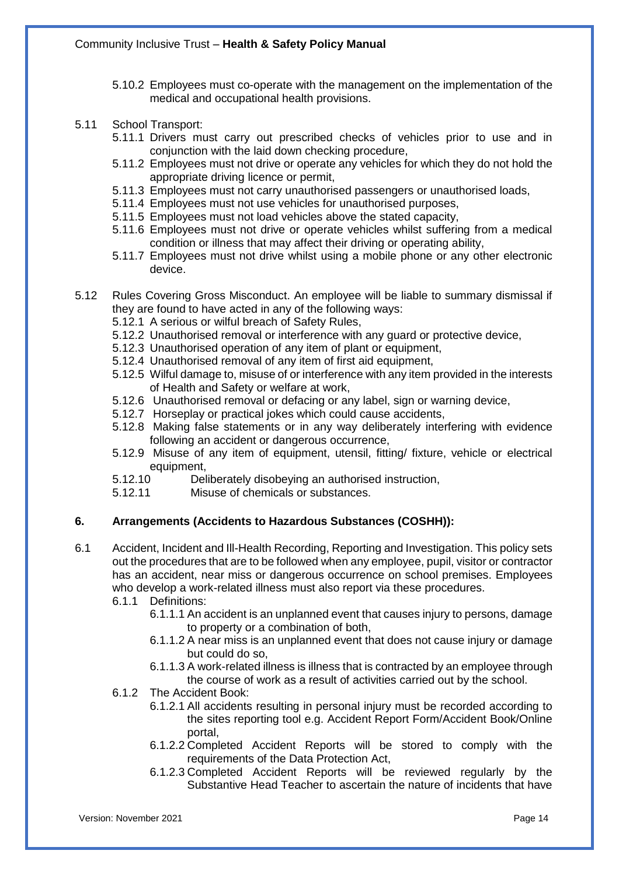- 5.10.2 Employees must co-operate with the management on the implementation of the medical and occupational health provisions.
- 5.11 School Transport:
	- 5.11.1 Drivers must carry out prescribed checks of vehicles prior to use and in conjunction with the laid down checking procedure,
	- 5.11.2 Employees must not drive or operate any vehicles for which they do not hold the appropriate driving licence or permit,
	- 5.11.3 Employees must not carry unauthorised passengers or unauthorised loads,
	- 5.11.4 Employees must not use vehicles for unauthorised purposes,
	- 5.11.5 Employees must not load vehicles above the stated capacity,
	- 5.11.6 Employees must not drive or operate vehicles whilst suffering from a medical condition or illness that may affect their driving or operating ability,
	- 5.11.7 Employees must not drive whilst using a mobile phone or any other electronic device.
- 5.12 Rules Covering Gross Misconduct. An employee will be liable to summary dismissal if they are found to have acted in any of the following ways:
	- 5.12.1 A serious or wilful breach of Safety Rules,
	- 5.12.2 Unauthorised removal or interference with any guard or protective device,
	- 5.12.3 Unauthorised operation of any item of plant or equipment,
	- 5.12.4 Unauthorised removal of any item of first aid equipment,
	- 5.12.5 Wilful damage to, misuse of or interference with any item provided in the interests of Health and Safety or welfare at work,
	- 5.12.6 Unauthorised removal or defacing or any label, sign or warning device,
	- 5.12.7 Horseplay or practical jokes which could cause accidents,
	- 5.12.8 Making false statements or in any way deliberately interfering with evidence following an accident or dangerous occurrence,
	- 5.12.9 Misuse of any item of equipment, utensil, fitting/ fixture, vehicle or electrical equipment,
	- 5.12.10 Deliberately disobeying an authorised instruction,
	- 5.12.11 Misuse of chemicals or substances.

#### <span id="page-13-0"></span>**6. Arrangements (Accidents to Hazardous Substances (COSHH)):**

- 6.1 Accident, Incident and Ill-Health Recording, Reporting and Investigation. This policy sets out the procedures that are to be followed when any employee, pupil, visitor or contractor has an accident, near miss or dangerous occurrence on school premises. Employees who develop a work-related illness must also report via these procedures.
	- 6.1.1 Definitions:
		- 6.1.1.1 An accident is an unplanned event that causes injury to persons, damage to property or a combination of both,
		- 6.1.1.2 A near miss is an unplanned event that does not cause injury or damage but could do so,
		- 6.1.1.3 A work-related illness is illness that is contracted by an employee through the course of work as a result of activities carried out by the school.
	- 6.1.2 The Accident Book:
		- 6.1.2.1 All accidents resulting in personal injury must be recorded according to the sites reporting tool e.g. Accident Report Form/Accident Book/Online portal,
		- 6.1.2.2 Completed Accident Reports will be stored to comply with the requirements of the Data Protection Act,
		- 6.1.2.3 Completed Accident Reports will be reviewed regularly by the Substantive Head Teacher to ascertain the nature of incidents that have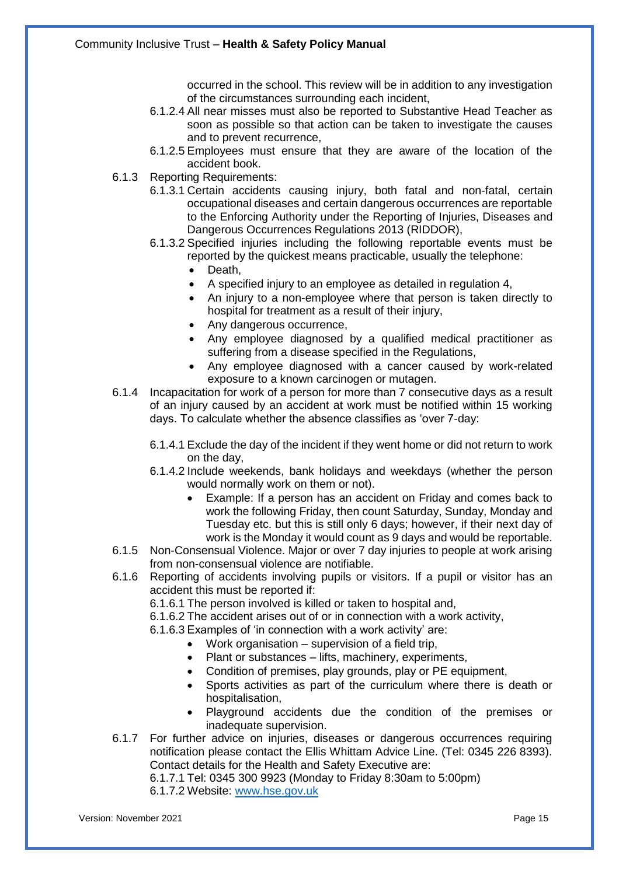occurred in the school. This review will be in addition to any investigation of the circumstances surrounding each incident,

- 6.1.2.4 All near misses must also be reported to Substantive Head Teacher as soon as possible so that action can be taken to investigate the causes and to prevent recurrence,
- 6.1.2.5 Employees must ensure that they are aware of the location of the accident book.
- 6.1.3 Reporting Requirements:
	- 6.1.3.1 Certain accidents causing injury, both fatal and non-fatal, certain occupational diseases and certain dangerous occurrences are reportable to the Enforcing Authority under the Reporting of Injuries, Diseases and Dangerous Occurrences Regulations 2013 (RIDDOR),
	- 6.1.3.2 Specified injuries including the following reportable events must be reported by the quickest means practicable, usually the telephone:
		- Death,
		- A specified injury to an employee as detailed in regulation 4,
		- An injury to a non-employee where that person is taken directly to hospital for treatment as a result of their injury,
		- Any dangerous occurrence,
		- Any employee diagnosed by a qualified medical practitioner as suffering from a disease specified in the Regulations,
		- Any employee diagnosed with a cancer caused by work-related exposure to a known carcinogen or mutagen.
- 6.1.4 Incapacitation for work of a person for more than 7 consecutive days as a result of an injury caused by an accident at work must be notified within 15 working days. To calculate whether the absence classifies as 'over 7-day:
	- 6.1.4.1 Exclude the day of the incident if they went home or did not return to work on the day,
	- 6.1.4.2 Include weekends, bank holidays and weekdays (whether the person would normally work on them or not).
		- Example: If a person has an accident on Friday and comes back to work the following Friday, then count Saturday, Sunday, Monday and Tuesday etc. but this is still only 6 days; however, if their next day of work is the Monday it would count as 9 days and would be reportable.
- 6.1.5 Non-Consensual Violence. Major or over 7 day injuries to people at work arising from non-consensual violence are notifiable.
- 6.1.6 Reporting of accidents involving pupils or visitors. If a pupil or visitor has an accident this must be reported if:
	- 6.1.6.1 The person involved is killed or taken to hospital and,
	- 6.1.6.2 The accident arises out of or in connection with a work activity,
	- 6.1.6.3 Examples of 'in connection with a work activity' are:
		- Work organisation supervision of a field trip,
		- Plant or substances lifts, machinery, experiments,
		- Condition of premises, play grounds, play or PE equipment,
		- Sports activities as part of the curriculum where there is death or hospitalisation,
		- Playground accidents due the condition of the premises or inadequate supervision.
- 6.1.7 For further advice on injuries, diseases or dangerous occurrences requiring notification please contact the Ellis Whittam Advice Line. (Tel: 0345 226 8393). Contact details for the Health and Safety Executive are:

6.1.7.1 Tel: 0345 300 9923 (Monday to Friday 8:30am to 5:00pm)

6.1.7.2 Website: [www.hse.gov.uk](http://www.hse.gov.uk/)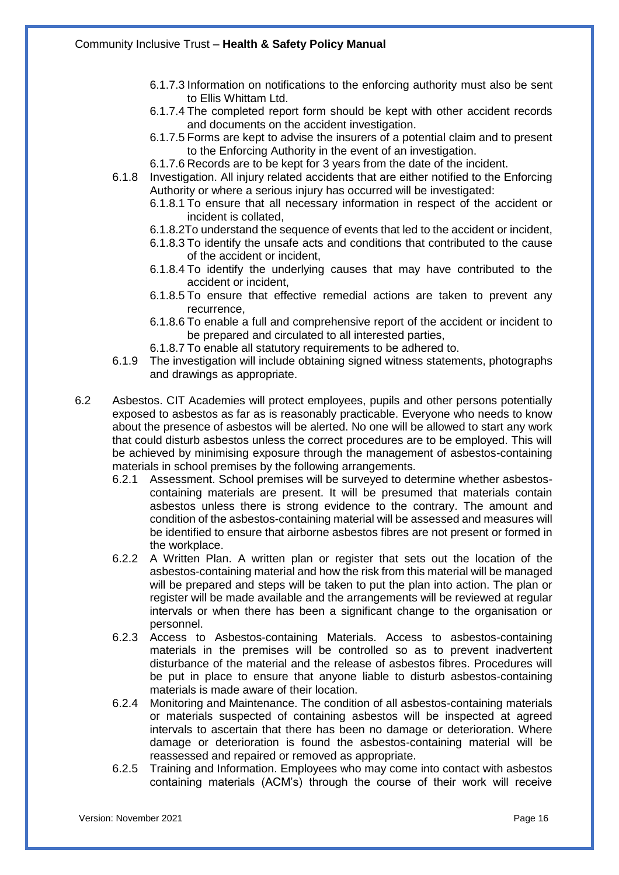- 6.1.7.3 Information on notifications to the enforcing authority must also be sent to Ellis Whittam Ltd.
- 6.1.7.4 The completed report form should be kept with other accident records and documents on the accident investigation.
- 6.1.7.5 Forms are kept to advise the insurers of a potential claim and to present to the Enforcing Authority in the event of an investigation.
- 6.1.7.6 Records are to be kept for 3 years from the date of the incident.
- 6.1.8 Investigation. All injury related accidents that are either notified to the Enforcing Authority or where a serious injury has occurred will be investigated:
	- 6.1.8.1 To ensure that all necessary information in respect of the accident or incident is collated,
	- 6.1.8.2To understand the sequence of events that led to the accident or incident,
	- 6.1.8.3 To identify the unsafe acts and conditions that contributed to the cause of the accident or incident,
	- 6.1.8.4 To identify the underlying causes that may have contributed to the accident or incident,
	- 6.1.8.5 To ensure that effective remedial actions are taken to prevent any recurrence,
	- 6.1.8.6 To enable a full and comprehensive report of the accident or incident to be prepared and circulated to all interested parties,
	- 6.1.8.7 To enable all statutory requirements to be adhered to.
- 6.1.9 The investigation will include obtaining signed witness statements, photographs and drawings as appropriate.
- 6.2 Asbestos. CIT Academies will protect employees, pupils and other persons potentially exposed to asbestos as far as is reasonably practicable. Everyone who needs to know about the presence of asbestos will be alerted. No one will be allowed to start any work that could disturb asbestos unless the correct procedures are to be employed. This will be achieved by minimising exposure through the management of asbestos-containing materials in school premises by the following arrangements.
	- 6.2.1 Assessment. School premises will be surveyed to determine whether asbestoscontaining materials are present. It will be presumed that materials contain asbestos unless there is strong evidence to the contrary. The amount and condition of the asbestos-containing material will be assessed and measures will be identified to ensure that airborne asbestos fibres are not present or formed in the workplace.
	- 6.2.2 A Written Plan. A written plan or register that sets out the location of the asbestos-containing material and how the risk from this material will be managed will be prepared and steps will be taken to put the plan into action. The plan or register will be made available and the arrangements will be reviewed at regular intervals or when there has been a significant change to the organisation or personnel.
	- 6.2.3 Access to Asbestos-containing Materials. Access to asbestos-containing materials in the premises will be controlled so as to prevent inadvertent disturbance of the material and the release of asbestos fibres. Procedures will be put in place to ensure that anyone liable to disturb asbestos-containing materials is made aware of their location.
	- 6.2.4 Monitoring and Maintenance. The condition of all asbestos-containing materials or materials suspected of containing asbestos will be inspected at agreed intervals to ascertain that there has been no damage or deterioration. Where damage or deterioration is found the asbestos-containing material will be reassessed and repaired or removed as appropriate.
	- 6.2.5 Training and Information. Employees who may come into contact with asbestos containing materials (ACM's) through the course of their work will receive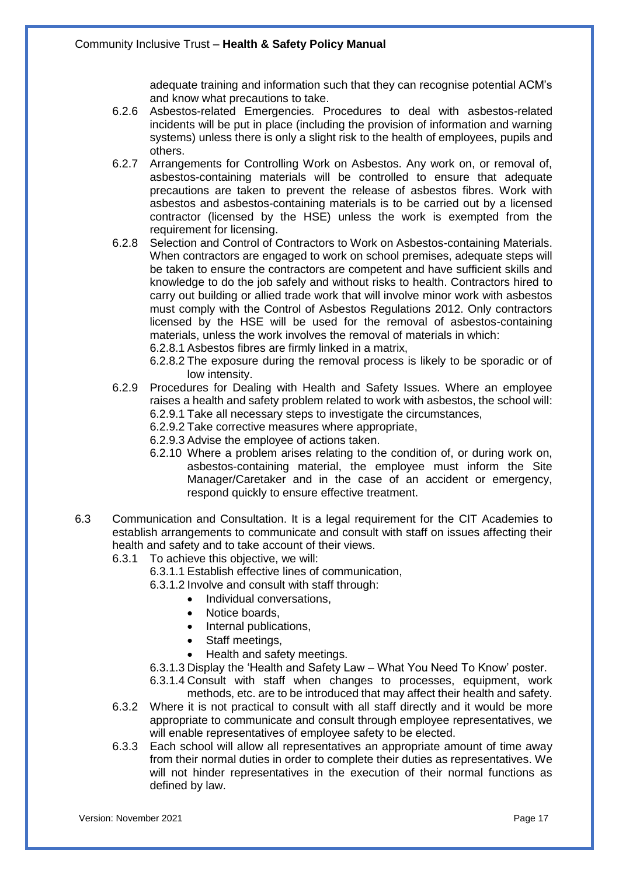adequate training and information such that they can recognise potential ACM's and know what precautions to take.

- 6.2.6 Asbestos-related Emergencies. Procedures to deal with asbestos-related incidents will be put in place (including the provision of information and warning systems) unless there is only a slight risk to the health of employees, pupils and others.
- 6.2.7 Arrangements for Controlling Work on Asbestos. Any work on, or removal of, asbestos-containing materials will be controlled to ensure that adequate precautions are taken to prevent the release of asbestos fibres. Work with asbestos and asbestos-containing materials is to be carried out by a licensed contractor (licensed by the HSE) unless the work is exempted from the requirement for licensing.
- 6.2.8 Selection and Control of Contractors to Work on Asbestos-containing Materials. When contractors are engaged to work on school premises, adequate steps will be taken to ensure the contractors are competent and have sufficient skills and knowledge to do the job safely and without risks to health. Contractors hired to carry out building or allied trade work that will involve minor work with asbestos must comply with the Control of Asbestos Regulations 2012. Only contractors licensed by the HSE will be used for the removal of asbestos-containing materials, unless the work involves the removal of materials in which:

6.2.8.1 Asbestos fibres are firmly linked in a matrix,

- 6.2.8.2 The exposure during the removal process is likely to be sporadic or of low intensity.
- 6.2.9 Procedures for Dealing with Health and Safety Issues. Where an employee raises a health and safety problem related to work with asbestos, the school will: 6.2.9.1 Take all necessary steps to investigate the circumstances,
	- 6.2.9.2 Take corrective measures where appropriate,
	- 6.2.9.3 Advise the employee of actions taken.
	- 6.2.10 Where a problem arises relating to the condition of, or during work on, asbestos-containing material, the employee must inform the Site Manager/Caretaker and in the case of an accident or emergency, respond quickly to ensure effective treatment.
- 6.3 Communication and Consultation. It is a legal requirement for the CIT Academies to establish arrangements to communicate and consult with staff on issues affecting their health and safety and to take account of their views.
	- 6.3.1 To achieve this objective, we will:
		- 6.3.1.1 Establish effective lines of communication,

6.3.1.2 Involve and consult with staff through:

- Individual conversations,
	- Notice boards.
- Internal publications,
- Staff meetings,
- Health and safety meetings.
- 6.3.1.3 Display the 'Health and Safety Law What You Need To Know' poster.
- 6.3.1.4 Consult with staff when changes to processes, equipment, work methods, etc. are to be introduced that may affect their health and safety.
- 6.3.2 Where it is not practical to consult with all staff directly and it would be more appropriate to communicate and consult through employee representatives, we will enable representatives of employee safety to be elected.
- 6.3.3 Each school will allow all representatives an appropriate amount of time away from their normal duties in order to complete their duties as representatives. We will not hinder representatives in the execution of their normal functions as defined by law.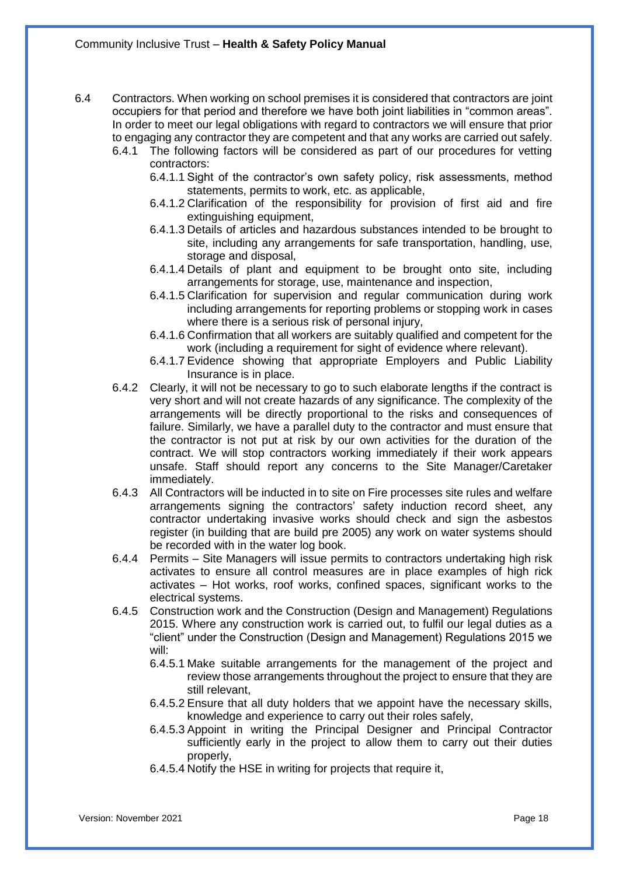- 6.4 Contractors. When working on school premises it is considered that contractors are joint occupiers for that period and therefore we have both joint liabilities in "common areas". In order to meet our legal obligations with regard to contractors we will ensure that prior to engaging any contractor they are competent and that any works are carried out safely.
	- 6.4.1 The following factors will be considered as part of our procedures for vetting contractors:
		- 6.4.1.1 Sight of the contractor's own safety policy, risk assessments, method statements, permits to work, etc. as applicable,
		- 6.4.1.2 Clarification of the responsibility for provision of first aid and fire extinguishing equipment,
		- 6.4.1.3 Details of articles and hazardous substances intended to be brought to site, including any arrangements for safe transportation, handling, use, storage and disposal,
		- 6.4.1.4 Details of plant and equipment to be brought onto site, including arrangements for storage, use, maintenance and inspection,
		- 6.4.1.5 Clarification for supervision and regular communication during work including arrangements for reporting problems or stopping work in cases where there is a serious risk of personal injury,
		- 6.4.1.6 Confirmation that all workers are suitably qualified and competent for the work (including a requirement for sight of evidence where relevant).
		- 6.4.1.7 Evidence showing that appropriate Employers and Public Liability Insurance is in place.
	- 6.4.2 Clearly, it will not be necessary to go to such elaborate lengths if the contract is very short and will not create hazards of any significance. The complexity of the arrangements will be directly proportional to the risks and consequences of failure. Similarly, we have a parallel duty to the contractor and must ensure that the contractor is not put at risk by our own activities for the duration of the contract. We will stop contractors working immediately if their work appears unsafe. Staff should report any concerns to the Site Manager/Caretaker immediately.
	- 6.4.3 All Contractors will be inducted in to site on Fire processes site rules and welfare arrangements signing the contractors' safety induction record sheet, any contractor undertaking invasive works should check and sign the asbestos register (in building that are build pre 2005) any work on water systems should be recorded with in the water log book.
	- 6.4.4 Permits Site Managers will issue permits to contractors undertaking high risk activates to ensure all control measures are in place examples of high rick activates – Hot works, roof works, confined spaces, significant works to the electrical systems.
	- 6.4.5 Construction work and the Construction (Design and Management) Regulations 2015. Where any construction work is carried out, to fulfil our legal duties as a "client" under the Construction (Design and Management) Regulations 2015 we will:
		- 6.4.5.1 Make suitable arrangements for the management of the project and review those arrangements throughout the project to ensure that they are still relevant,
		- 6.4.5.2 Ensure that all duty holders that we appoint have the necessary skills, knowledge and experience to carry out their roles safely,
		- 6.4.5.3 Appoint in writing the Principal Designer and Principal Contractor sufficiently early in the project to allow them to carry out their duties properly,
		- 6.4.5.4 Notify the HSE in writing for projects that require it,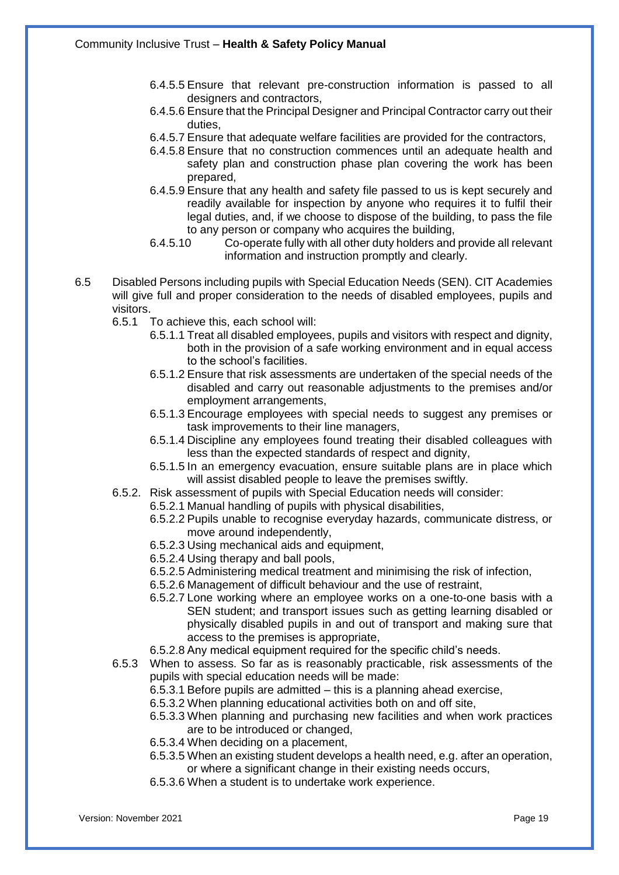- 6.4.5.5 Ensure that relevant pre-construction information is passed to all designers and contractors,
- 6.4.5.6 Ensure that the Principal Designer and Principal Contractor carry out their duties,
- 6.4.5.7 Ensure that adequate welfare facilities are provided for the contractors,
- 6.4.5.8 Ensure that no construction commences until an adequate health and safety plan and construction phase plan covering the work has been prepared,
- 6.4.5.9 Ensure that any health and safety file passed to us is kept securely and readily available for inspection by anyone who requires it to fulfil their legal duties, and, if we choose to dispose of the building, to pass the file to any person or company who acquires the building,
- 6.4.5.10 Co-operate fully with all other duty holders and provide all relevant information and instruction promptly and clearly.
- 6.5 Disabled Persons including pupils with Special Education Needs (SEN). CIT Academies will give full and proper consideration to the needs of disabled employees, pupils and visitors.
	- 6.5.1 To achieve this, each school will:
		- 6.5.1.1 Treat all disabled employees, pupils and visitors with respect and dignity, both in the provision of a safe working environment and in equal access to the school's facilities.
		- 6.5.1.2 Ensure that risk assessments are undertaken of the special needs of the disabled and carry out reasonable adjustments to the premises and/or employment arrangements,
		- 6.5.1.3 Encourage employees with special needs to suggest any premises or task improvements to their line managers,
		- 6.5.1.4 Discipline any employees found treating their disabled colleagues with less than the expected standards of respect and dignity,
		- 6.5.1.5 In an emergency evacuation, ensure suitable plans are in place which will assist disabled people to leave the premises swiftly.
	- 6.5.2. Risk assessment of pupils with Special Education needs will consider:
		- 6.5.2.1 Manual handling of pupils with physical disabilities,
		- 6.5.2.2 Pupils unable to recognise everyday hazards, communicate distress, or move around independently,
		- 6.5.2.3 Using mechanical aids and equipment,
		- 6.5.2.4 Using therapy and ball pools,
		- 6.5.2.5 Administering medical treatment and minimising the risk of infection,
		- 6.5.2.6 Management of difficult behaviour and the use of restraint,
		- 6.5.2.7 Lone working where an employee works on a one-to-one basis with a SEN student; and transport issues such as getting learning disabled or physically disabled pupils in and out of transport and making sure that access to the premises is appropriate,
		- 6.5.2.8 Any medical equipment required for the specific child's needs.
	- 6.5.3 When to assess. So far as is reasonably practicable, risk assessments of the pupils with special education needs will be made:
		- 6.5.3.1 Before pupils are admitted this is a planning ahead exercise,
		- 6.5.3.2 When planning educational activities both on and off site,
		- 6.5.3.3 When planning and purchasing new facilities and when work practices are to be introduced or changed,
		- 6.5.3.4 When deciding on a placement,
		- 6.5.3.5 When an existing student develops a health need, e.g. after an operation, or where a significant change in their existing needs occurs,
		- 6.5.3.6 When a student is to undertake work experience.

Version: November 2021 Page 19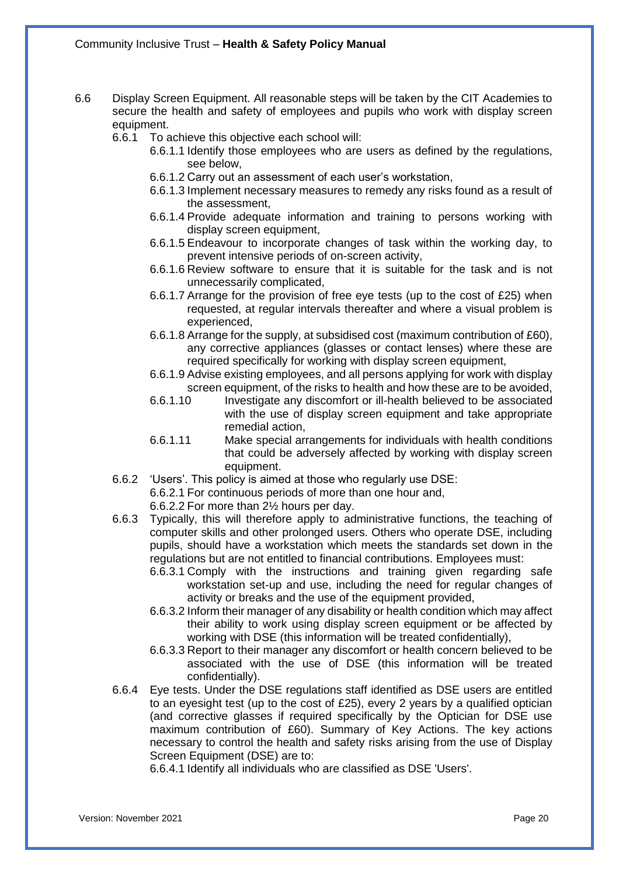- 6.6 Display Screen Equipment. All reasonable steps will be taken by the CIT Academies to secure the health and safety of employees and pupils who work with display screen equipment.
	- 6.6.1 To achieve this objective each school will:
		- 6.6.1.1 Identify those employees who are users as defined by the regulations, see below,
		- 6.6.1.2 Carry out an assessment of each user's workstation,
		- 6.6.1.3 Implement necessary measures to remedy any risks found as a result of the assessment,
		- 6.6.1.4 Provide adequate information and training to persons working with display screen equipment,
		- 6.6.1.5 Endeavour to incorporate changes of task within the working day, to prevent intensive periods of on-screen activity,
		- 6.6.1.6 Review software to ensure that it is suitable for the task and is not unnecessarily complicated,
		- 6.6.1.7 Arrange for the provision of free eye tests (up to the cost of £25) when requested, at regular intervals thereafter and where a visual problem is experienced,
		- 6.6.1.8 Arrange for the supply, at subsidised cost (maximum contribution of £60), any corrective appliances (glasses or contact lenses) where these are required specifically for working with display screen equipment,
		- 6.6.1.9 Advise existing employees, and all persons applying for work with display screen equipment, of the risks to health and how these are to be avoided,
		- 6.6.1.10 Investigate any discomfort or ill-health believed to be associated with the use of display screen equipment and take appropriate remedial action,
		- 6.6.1.11 Make special arrangements for individuals with health conditions that could be adversely affected by working with display screen equipment.
	- 6.6.2 'Users'. This policy is aimed at those who regularly use DSE:
		- 6.6.2.1 For continuous periods of more than one hour and,
		- 6.6.2.2 For more than 2½ hours per day.
	- 6.6.3 Typically, this will therefore apply to administrative functions, the teaching of computer skills and other prolonged users. Others who operate DSE, including pupils, should have a workstation which meets the standards set down in the regulations but are not entitled to financial contributions. Employees must:
		- 6.6.3.1 Comply with the instructions and training given regarding safe workstation set-up and use, including the need for regular changes of activity or breaks and the use of the equipment provided,
		- 6.6.3.2 Inform their manager of any disability or health condition which may affect their ability to work using display screen equipment or be affected by working with DSE (this information will be treated confidentially),
		- 6.6.3.3 Report to their manager any discomfort or health concern believed to be associated with the use of DSE (this information will be treated confidentially).
	- 6.6.4 Eye tests. Under the DSE regulations staff identified as DSE users are entitled to an eyesight test (up to the cost of £25), every 2 years by a qualified optician (and corrective glasses if required specifically by the Optician for DSE use maximum contribution of £60). Summary of Key Actions. The key actions necessary to control the health and safety risks arising from the use of Display Screen Equipment (DSE) are to:

6.6.4.1 Identify all individuals who are classified as DSE 'Users'.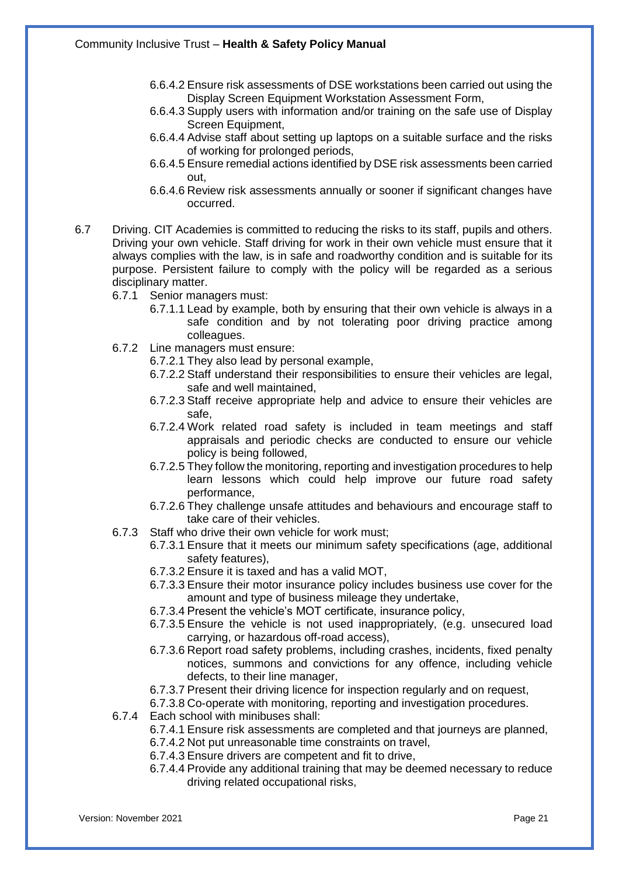- 6.6.4.2 Ensure risk assessments of DSE workstations been carried out using the Display Screen Equipment Workstation Assessment Form,
- 6.6.4.3 Supply users with information and/or training on the safe use of Display Screen Equipment,
- 6.6.4.4 Advise staff about setting up laptops on a suitable surface and the risks of working for prolonged periods,
- 6.6.4.5 Ensure remedial actions identified by DSE risk assessments been carried out,
- 6.6.4.6 Review risk assessments annually or sooner if significant changes have occurred.
- 6.7 Driving. CIT Academies is committed to reducing the risks to its staff, pupils and others. Driving your own vehicle. Staff driving for work in their own vehicle must ensure that it always complies with the law, is in safe and roadworthy condition and is suitable for its purpose. Persistent failure to comply with the policy will be regarded as a serious disciplinary matter.
	- 6.7.1 Senior managers must:
		- 6.7.1.1 Lead by example, both by ensuring that their own vehicle is always in a safe condition and by not tolerating poor driving practice among colleagues.
	- 6.7.2 Line managers must ensure:
		- 6.7.2.1 They also lead by personal example,
			- 6.7.2.2 Staff understand their responsibilities to ensure their vehicles are legal, safe and well maintained,
			- 6.7.2.3 Staff receive appropriate help and advice to ensure their vehicles are safe,
			- 6.7.2.4 Work related road safety is included in team meetings and staff appraisals and periodic checks are conducted to ensure our vehicle policy is being followed,
			- 6.7.2.5 They follow the monitoring, reporting and investigation procedures to help learn lessons which could help improve our future road safety performance,
			- 6.7.2.6 They challenge unsafe attitudes and behaviours and encourage staff to take care of their vehicles.
	- 6.7.3 Staff who drive their own vehicle for work must;
		- 6.7.3.1 Ensure that it meets our minimum safety specifications (age, additional safety features),
		- 6.7.3.2 Ensure it is taxed and has a valid MOT,
		- 6.7.3.3 Ensure their motor insurance policy includes business use cover for the amount and type of business mileage they undertake,
		- 6.7.3.4 Present the vehicle's MOT certificate, insurance policy,
		- 6.7.3.5 Ensure the vehicle is not used inappropriately, (e.g. unsecured load carrying, or hazardous off-road access),
		- 6.7.3.6 Report road safety problems, including crashes, incidents, fixed penalty notices, summons and convictions for any offence, including vehicle defects, to their line manager,
		- 6.7.3.7 Present their driving licence for inspection regularly and on request,
		- 6.7.3.8 Co-operate with monitoring, reporting and investigation procedures.
	- 6.7.4 Each school with minibuses shall:
		- 6.7.4.1 Ensure risk assessments are completed and that journeys are planned,
		- 6.7.4.2 Not put unreasonable time constraints on travel,
		- 6.7.4.3 Ensure drivers are competent and fit to drive,
		- 6.7.4.4 Provide any additional training that may be deemed necessary to reduce driving related occupational risks,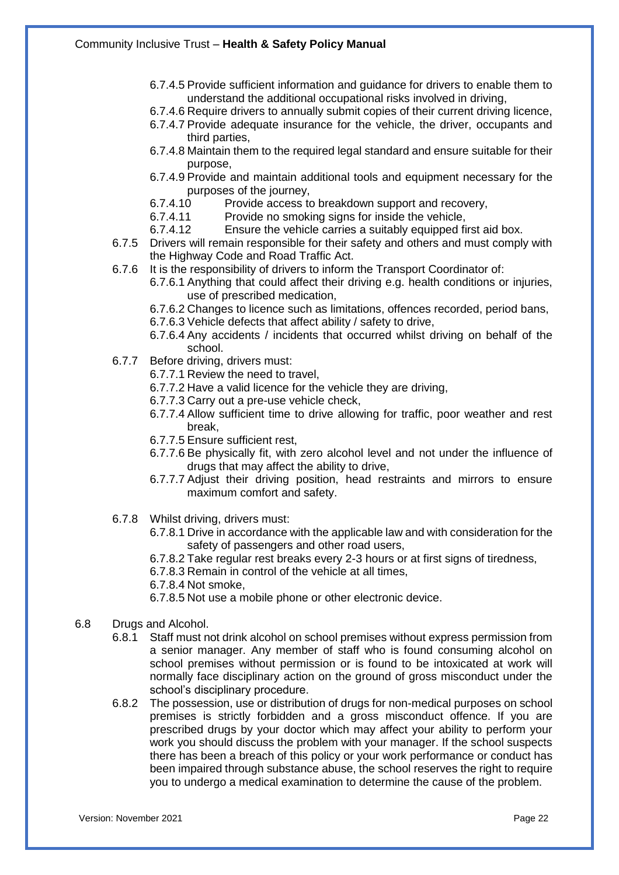- 6.7.4.5 Provide sufficient information and guidance for drivers to enable them to understand the additional occupational risks involved in driving,
- 6.7.4.6 Require drivers to annually submit copies of their current driving licence,
- 6.7.4.7 Provide adequate insurance for the vehicle, the driver, occupants and third parties,
- 6.7.4.8 Maintain them to the required legal standard and ensure suitable for their purpose,
- 6.7.4.9 Provide and maintain additional tools and equipment necessary for the purposes of the journey,
- 6.7.4.10 Provide access to breakdown support and recovery,
- 6.7.4.11 Provide no smoking signs for inside the vehicle,
- 6.7.4.12 Ensure the vehicle carries a suitably equipped first aid box.
- 6.7.5 Drivers will remain responsible for their safety and others and must comply with the Highway Code and Road Traffic Act.
- 6.7.6 It is the responsibility of drivers to inform the Transport Coordinator of:
	- 6.7.6.1 Anything that could affect their driving e.g. health conditions or injuries, use of prescribed medication,
	- 6.7.6.2 Changes to licence such as limitations, offences recorded, period bans,
	- 6.7.6.3 Vehicle defects that affect ability / safety to drive,
	- 6.7.6.4 Any accidents / incidents that occurred whilst driving on behalf of the school.
- 6.7.7 Before driving, drivers must:
	- 6.7.7.1 Review the need to travel,
	- 6.7.7.2 Have a valid licence for the vehicle they are driving,
	- 6.7.7.3 Carry out a pre-use vehicle check,
	- 6.7.7.4 Allow sufficient time to drive allowing for traffic, poor weather and rest break,
	- 6.7.7.5 Ensure sufficient rest,
	- 6.7.7.6 Be physically fit, with zero alcohol level and not under the influence of drugs that may affect the ability to drive,
	- 6.7.7.7 Adjust their driving position, head restraints and mirrors to ensure maximum comfort and safety.
- 6.7.8 Whilst driving, drivers must:
	- 6.7.8.1 Drive in accordance with the applicable law and with consideration for the safety of passengers and other road users,
	- 6.7.8.2 Take regular rest breaks every 2-3 hours or at first signs of tiredness,
	- 6.7.8.3 Remain in control of the vehicle at all times,
	- 6.7.8.4 Not smoke,
	- 6.7.8.5 Not use a mobile phone or other electronic device.
- 6.8 Drugs and Alcohol.
	- 6.8.1 Staff must not drink alcohol on school premises without express permission from a senior manager. Any member of staff who is found consuming alcohol on school premises without permission or is found to be intoxicated at work will normally face disciplinary action on the ground of gross misconduct under the school's disciplinary procedure.
	- 6.8.2 The possession, use or distribution of drugs for non-medical purposes on school premises is strictly forbidden and a gross misconduct offence. If you are prescribed drugs by your doctor which may affect your ability to perform your work you should discuss the problem with your manager. If the school suspects there has been a breach of this policy or your work performance or conduct has been impaired through substance abuse, the school reserves the right to require you to undergo a medical examination to determine the cause of the problem.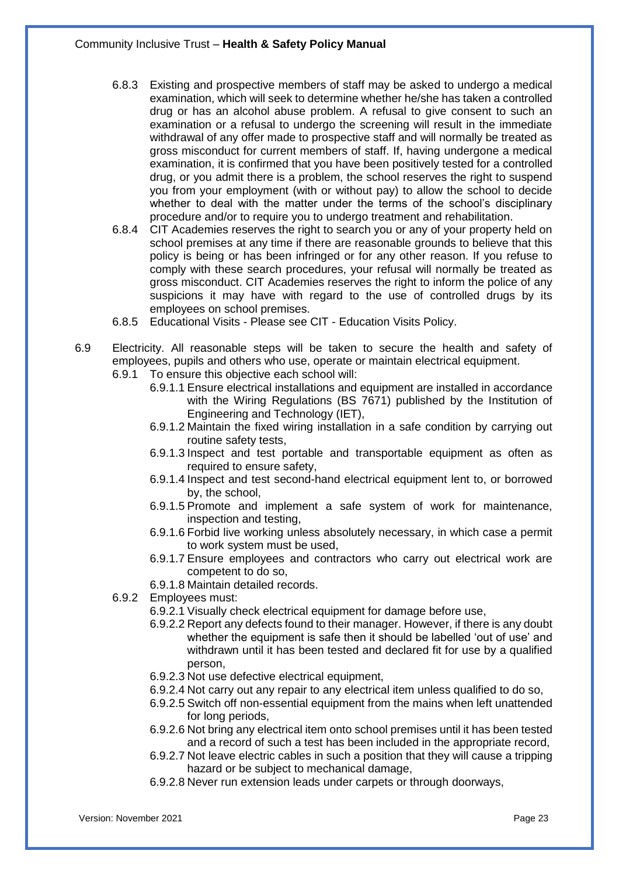- 6.8.3 Existing and prospective members of staff may be asked to undergo a medical examination, which will seek to determine whether he/she has taken a controlled drug or has an alcohol abuse problem. A refusal to give consent to such an examination or a refusal to undergo the screening will result in the immediate withdrawal of any offer made to prospective staff and will normally be treated as gross misconduct for current members of staff. If, having undergone a medical examination, it is confirmed that you have been positively tested for a controlled drug, or you admit there is a problem, the school reserves the right to suspend you from your employment (with or without pay) to allow the school to decide whether to deal with the matter under the terms of the school's disciplinary procedure and/or to require you to undergo treatment and rehabilitation.
- 6.8.4 CIT Academies reserves the right to search you or any of your property held on school premises at any time if there are reasonable grounds to believe that this policy is being or has been infringed or for any other reason. If you refuse to comply with these search procedures, your refusal will normally be treated as gross misconduct. CIT Academies reserves the right to inform the police of any suspicions it may have with regard to the use of controlled drugs by its employees on school premises.
- 6.8.5 Educational Visits Please see CIT Education Visits Policy.
- 6.9 Electricity. All reasonable steps will be taken to secure the health and safety of employees, pupils and others who use, operate or maintain electrical equipment.
	- 6.9.1 To ensure this objective each school will:
		- 6.9.1.1 Ensure electrical installations and equipment are installed in accordance with the Wiring Regulations (BS 7671) published by the Institution of Engineering and Technology (IET),
		- 6.9.1.2 Maintain the fixed wiring installation in a safe condition by carrying out routine safety tests,
		- 6.9.1.3 Inspect and test portable and transportable equipment as often as required to ensure safety,
		- 6.9.1.4 Inspect and test second-hand electrical equipment lent to, or borrowed by, the school,
		- 6.9.1.5 Promote and implement a safe system of work for maintenance, inspection and testing,
		- 6.9.1.6 Forbid live working unless absolutely necessary, in which case a permit to work system must be used,
		- 6.9.1.7 Ensure employees and contractors who carry out electrical work are competent to do so,
		- 6.9.1.8 Maintain detailed records.
	- 6.9.2 Employees must:
		- 6.9.2.1 Visually check electrical equipment for damage before use,
		- 6.9.2.2 Report any defects found to their manager. However, if there is any doubt whether the equipment is safe then it should be labelled 'out of use' and withdrawn until it has been tested and declared fit for use by a qualified person,
		- 6.9.2.3 Not use defective electrical equipment,
		- 6.9.2.4 Not carry out any repair to any electrical item unless qualified to do so,
		- 6.9.2.5 Switch off non-essential equipment from the mains when left unattended for long periods,
		- 6.9.2.6 Not bring any electrical item onto school premises until it has been tested and a record of such a test has been included in the appropriate record,
		- 6.9.2.7 Not leave electric cables in such a position that they will cause a tripping hazard or be subject to mechanical damage,
		- 6.9.2.8 Never run extension leads under carpets or through doorways,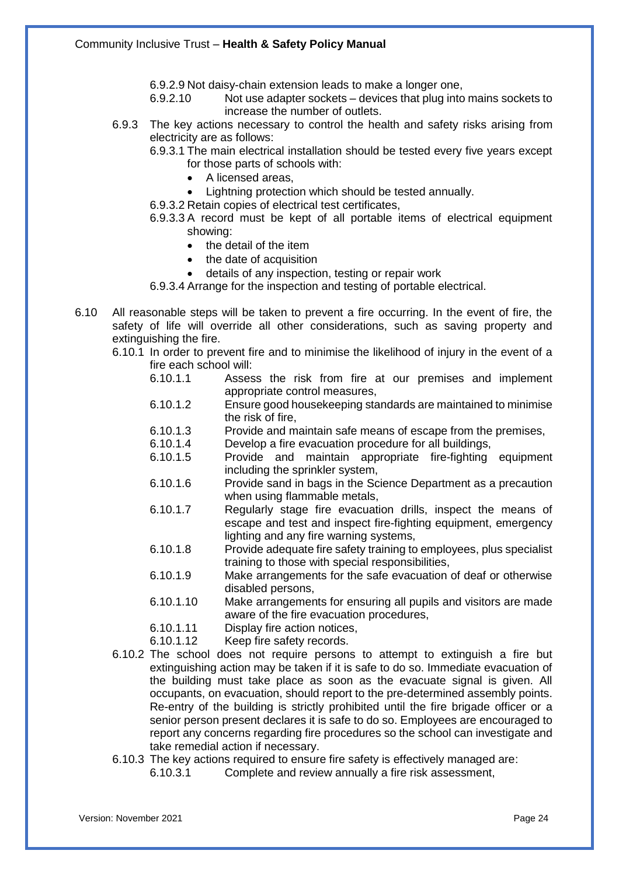6.9.2.9 Not daisy-chain extension leads to make a longer one,<br>6.9.2.10 Not use adapter sockets – devices that plug into

- Not use adapter sockets devices that plug into mains sockets to increase the number of outlets.
- 6.9.3 The key actions necessary to control the health and safety risks arising from electricity are as follows:
	- 6.9.3.1 The main electrical installation should be tested every five years except for those parts of schools with:
		- A licensed areas,
		- Lightning protection which should be tested annually.
	- 6.9.3.2 Retain copies of electrical test certificates,
	- 6.9.3.3 A record must be kept of all portable items of electrical equipment showing:
		- the detail of the item
		- the date of acquisition
		- details of any inspection, testing or repair work

6.9.3.4 Arrange for the inspection and testing of portable electrical.

- 6.10 All reasonable steps will be taken to prevent a fire occurring. In the event of fire, the safety of life will override all other considerations, such as saving property and extinguishing the fire.
	- 6.10.1 In order to prevent fire and to minimise the likelihood of injury in the event of a fire each school will:
		- 6.10.1.1 Assess the risk from fire at our premises and implement appropriate control measures,
		- 6.10.1.2 Ensure good housekeeping standards are maintained to minimise the risk of fire,
		- 6.10.1.3 Provide and maintain safe means of escape from the premises,
		- 6.10.1.4 Develop a fire evacuation procedure for all buildings,
		- 6.10.1.5 Provide and maintain appropriate fire-fighting equipment including the sprinkler system,
		- 6.10.1.6 Provide sand in bags in the Science Department as a precaution when using flammable metals,
		- 6.10.1.7 Regularly stage fire evacuation drills, inspect the means of escape and test and inspect fire-fighting equipment, emergency lighting and any fire warning systems,
		- 6.10.1.8 Provide adequate fire safety training to employees, plus specialist training to those with special responsibilities,
		- 6.10.1.9 Make arrangements for the safe evacuation of deaf or otherwise disabled persons,
		- 6.10.1.10 Make arrangements for ensuring all pupils and visitors are made aware of the fire evacuation procedures,
		- 6.10.1.11 Display fire action notices,
		- 6.10.1.12 Keep fire safety records.
	- 6.10.2 The school does not require persons to attempt to extinguish a fire but extinguishing action may be taken if it is safe to do so. Immediate evacuation of the building must take place as soon as the evacuate signal is given. All occupants, on evacuation, should report to the pre-determined assembly points. Re-entry of the building is strictly prohibited until the fire brigade officer or a senior person present declares it is safe to do so. Employees are encouraged to report any concerns regarding fire procedures so the school can investigate and take remedial action if necessary.
	- 6.10.3 The key actions required to ensure fire safety is effectively managed are:
		- 6.10.3.1 Complete and review annually a fire risk assessment,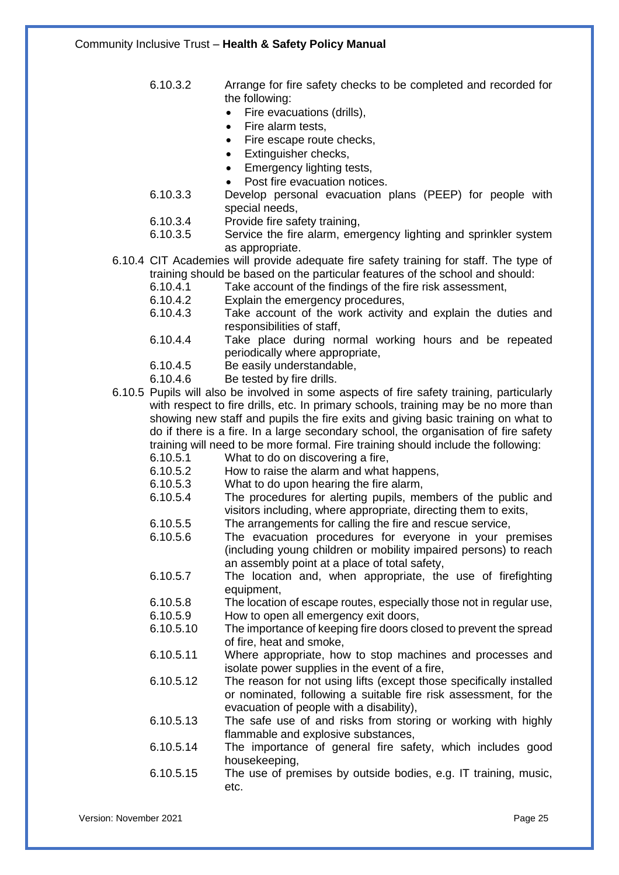6.10.3.2 Arrange for fire safety checks to be completed and recorded for the following:

- Fire evacuations (drills),
- Fire alarm tests,
- Fire escape route checks,
- Extinguisher checks,
- Emergency lighting tests,
- Post fire evacuation notices.
- 6.10.3.3 Develop personal evacuation plans (PEEP) for people with special needs,
- 6.10.3.4 Provide fire safety training,
- 6.10.3.5 Service the fire alarm, emergency lighting and sprinkler system as appropriate.
- 6.10.4 CIT Academies will provide adequate fire safety training for staff. The type of training should be based on the particular features of the school and should:
	- 6.10.4.1 Take account of the findings of the fire risk assessment,
	- 6.10.4.2 Explain the emergency procedures,
	- 6.10.4.3 Take account of the work activity and explain the duties and responsibilities of staff,
	- 6.10.4.4 Take place during normal working hours and be repeated periodically where appropriate,
	- 6.10.4.5 Be easily understandable,
	- 6.10.4.6 Be tested by fire drills.
- 6.10.5 Pupils will also be involved in some aspects of fire safety training, particularly with respect to fire drills, etc. In primary schools, training may be no more than showing new staff and pupils the fire exits and giving basic training on what to do if there is a fire. In a large secondary school, the organisation of fire safety training will need to be more formal. Fire training should include the following:
	- 6.10.5.1 What to do on discovering a fire,<br>6.10.5.2 How to raise the alarm and what
	- 6.10.5.2 How to raise the alarm and what happens,<br>6.10.5.3 What to do upon hearing the fire alarm.
		- What to do upon hearing the fire alarm,
	- 6.10.5.4 The procedures for alerting pupils, members of the public and visitors including, where appropriate, directing them to exits,
	- 6.10.5.5 The arrangements for calling the fire and rescue service,
	- 6.10.5.6 The evacuation procedures for everyone in your premises (including young children or mobility impaired persons) to reach an assembly point at a place of total safety,
	- 6.10.5.7 The location and, when appropriate, the use of firefighting equipment,
	- 6.10.5.8 The location of escape routes, especially those not in regular use,
	- 6.10.5.9 How to open all emergency exit doors,
	- 6.10.5.10 The importance of keeping fire doors closed to prevent the spread of fire, heat and smoke,
	- 6.10.5.11 Where appropriate, how to stop machines and processes and isolate power supplies in the event of a fire,
	- 6.10.5.12 The reason for not using lifts (except those specifically installed or nominated, following a suitable fire risk assessment, for the evacuation of people with a disability),
	- 6.10.5.13 The safe use of and risks from storing or working with highly flammable and explosive substances,
	- 6.10.5.14 The importance of general fire safety, which includes good housekeeping,
	- 6.10.5.15 The use of premises by outside bodies, e.g. IT training, music, etc.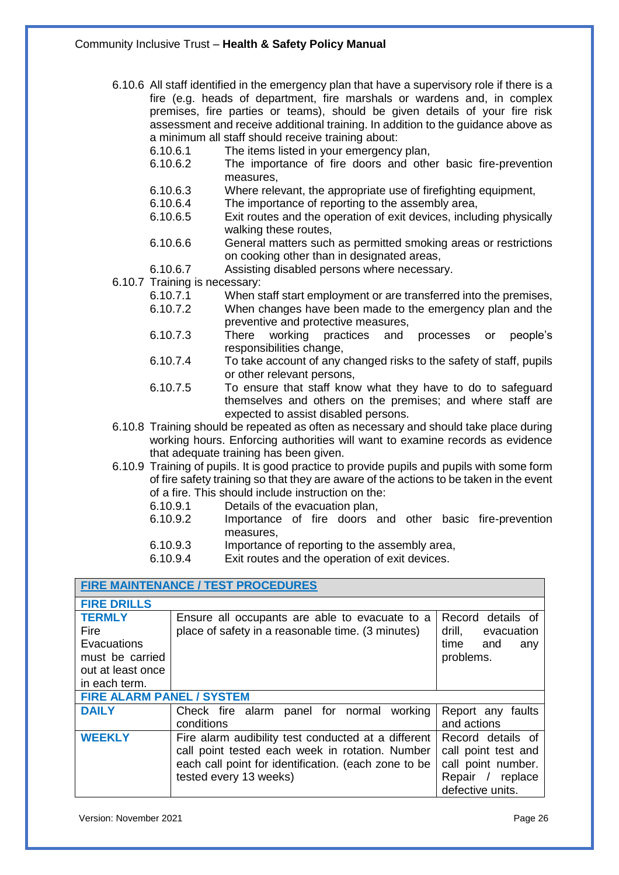- 6.10.6 All staff identified in the emergency plan that have a supervisory role if there is a fire (e.g. heads of department, fire marshals or wardens and, in complex premises, fire parties or teams), should be given details of your fire risk assessment and receive additional training. In addition to the guidance above as a minimum all staff should receive training about:
	- 6.10.6.1 The items listed in your emergency plan,
	- 6.10.6.2 The importance of fire doors and other basic fire-prevention measures,
	- 6.10.6.3 Where relevant, the appropriate use of firefighting equipment,<br>6.10.6.4 The importance of reporting to the assembly area,
	- The importance of reporting to the assembly area,
	- 6.10.6.5 Exit routes and the operation of exit devices, including physically walking these routes,
	- 6.10.6.6 General matters such as permitted smoking areas or restrictions on cooking other than in designated areas,
	- 6.10.6.7 Assisting disabled persons where necessary.
- 6.10.7 Training is necessary:
	- 6.10.7.1 When staff start employment or are transferred into the premises, 6.10.7.2 When changes have been made to the emergency plan and the
	- preventive and protective measures, 6.10.7.3 There working practices and processes or people's responsibilities change,
	- 6.10.7.4 To take account of any changed risks to the safety of staff, pupils or other relevant persons,
	- 6.10.7.5 To ensure that staff know what they have to do to safeguard themselves and others on the premises; and where staff are expected to assist disabled persons.
- 6.10.8 Training should be repeated as often as necessary and should take place during working hours. Enforcing authorities will want to examine records as evidence that adequate training has been given.
- 6.10.9 Training of pupils. It is good practice to provide pupils and pupils with some form of fire safety training so that they are aware of the actions to be taken in the event of a fire. This should include instruction on the:
	- 6.10.9.1 Details of the evacuation plan,
	- 6.10.9.2 Importance of fire doors and other basic fire-prevention measures,
	- 6.10.9.3 Importance of reporting to the assembly area,
	- 6.10.9.4 Exit routes and the operation of exit devices.

| <b>FIRE MAINTENANCE / TEST PROCEDURES</b>                                                     |                                                                                                                                                                                          |                                                                                                        |
|-----------------------------------------------------------------------------------------------|------------------------------------------------------------------------------------------------------------------------------------------------------------------------------------------|--------------------------------------------------------------------------------------------------------|
| <b>FIRE DRILLS</b>                                                                            |                                                                                                                                                                                          |                                                                                                        |
| <b>TERMLY</b><br>Fire<br>Evacuations<br>must be carried<br>out at least once<br>in each term. | Ensure all occupants are able to evacuate to a<br>place of safety in a reasonable time. (3 minutes)                                                                                      | Record details of<br>drill,<br>evacuation<br>time and<br>any<br>problems.                              |
| <b>FIRE ALARM PANEL / SYSTEM</b>                                                              |                                                                                                                                                                                          |                                                                                                        |
| <b>DAILY</b>                                                                                  | Check fire alarm panel for normal working<br>conditions                                                                                                                                  | Report any faults<br>and actions                                                                       |
| <b>WEEKLY</b>                                                                                 | Fire alarm audibility test conducted at a different<br>call point tested each week in rotation. Number<br>each call point for identification. (each zone to be<br>tested every 13 weeks) | Record details of<br>call point test and<br>call point number.<br>Repair / replace<br>defective units. |

Version: November 2021 **Page 26** Page 26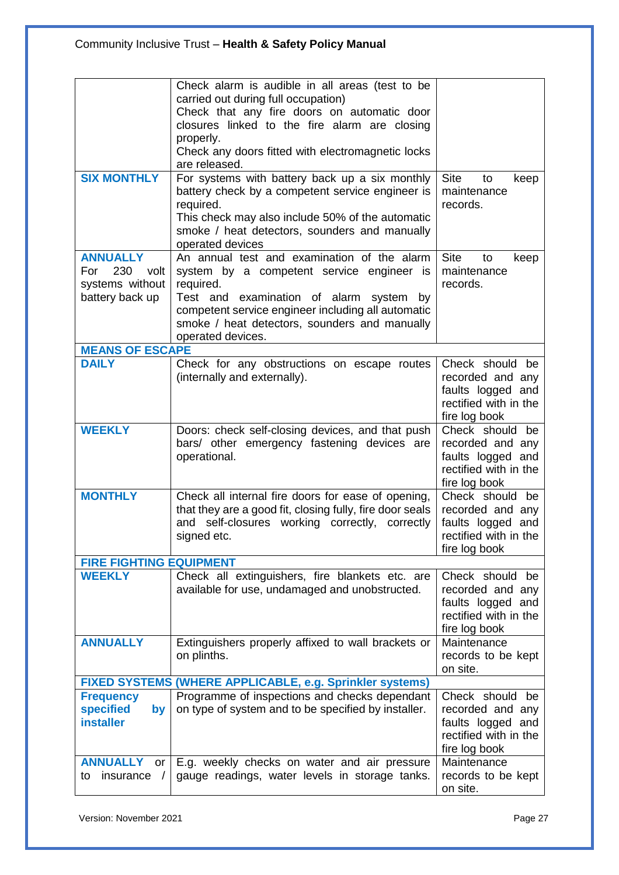| <b>SIX MONTHLY</b>                                                          | Check alarm is audible in all areas (test to be<br>carried out during full occupation)<br>Check that any fire doors on automatic door<br>closures linked to the fire alarm are closing<br>properly.<br>Check any doors fitted with electromagnetic locks<br>are released.<br>For systems with battery back up a six monthly | <b>Site</b><br>to                                                                                  |
|-----------------------------------------------------------------------------|-----------------------------------------------------------------------------------------------------------------------------------------------------------------------------------------------------------------------------------------------------------------------------------------------------------------------------|----------------------------------------------------------------------------------------------------|
|                                                                             | battery check by a competent service engineer is<br>required.<br>This check may also include 50% of the automatic<br>smoke / heat detectors, sounders and manually<br>operated devices                                                                                                                                      | keep<br>maintenance<br>records.                                                                    |
| <b>ANNUALLY</b><br>230<br>For<br>volt<br>systems without<br>battery back up | An annual test and examination of the alarm<br>system by a competent service engineer is<br>required.<br>Test and examination of alarm system<br>by<br>competent service engineer including all automatic<br>smoke / heat detectors, sounders and manually<br>operated devices.                                             | <b>Site</b><br>to<br>keep<br>maintenance<br>records.                                               |
| <b>MEANS OF ESCAPE</b>                                                      |                                                                                                                                                                                                                                                                                                                             |                                                                                                    |
| <b>DAILY</b>                                                                | Check for any obstructions on escape routes<br>(internally and externally).                                                                                                                                                                                                                                                 | Check should be<br>recorded and any<br>faults logged and<br>rectified with in the<br>fire log book |
| <b>WEEKLY</b>                                                               | Doors: check self-closing devices, and that push<br>bars/ other emergency fastening devices are<br>operational.                                                                                                                                                                                                             | Check should be<br>recorded and any<br>faults logged and<br>rectified with in the<br>fire log book |
| <b>MONTHLY</b>                                                              | Check all internal fire doors for ease of opening,<br>that they are a good fit, closing fully, fire door seals<br>self-closures working correctly, correctly<br>and<br>signed etc.                                                                                                                                          | Check should be<br>recorded and any<br>faults logged and<br>rectified with in the<br>fire log book |
| <b>FIRE FIGHTING EQUIPMENT</b>                                              |                                                                                                                                                                                                                                                                                                                             |                                                                                                    |
| <b>WEEKLY</b>                                                               | Check all extinguishers, fire blankets etc. are<br>available for use, undamaged and unobstructed.                                                                                                                                                                                                                           | Check should be<br>recorded and any<br>faults logged and<br>rectified with in the<br>fire log book |
| <b>ANNUALLY</b>                                                             | Extinguishers properly affixed to wall brackets or<br>on plinths.                                                                                                                                                                                                                                                           | Maintenance<br>records to be kept<br>on site.                                                      |
|                                                                             | FIXED SYSTEMS (WHERE APPLICABLE, e.g. Sprinkler systems)                                                                                                                                                                                                                                                                    |                                                                                                    |
| <b>Frequency</b><br><b>specified</b><br>by<br><b>installer</b>              | Programme of inspections and checks dependant<br>on type of system and to be specified by installer.                                                                                                                                                                                                                        | Check should be<br>recorded and any<br>faults logged and<br>rectified with in the<br>fire log book |
| <b>ANNUALLY</b><br><b>or</b><br>insurance<br>to<br>$\sqrt{ }$               | E.g. weekly checks on water and air pressure<br>gauge readings, water levels in storage tanks.                                                                                                                                                                                                                              | Maintenance<br>records to be kept<br>on site.                                                      |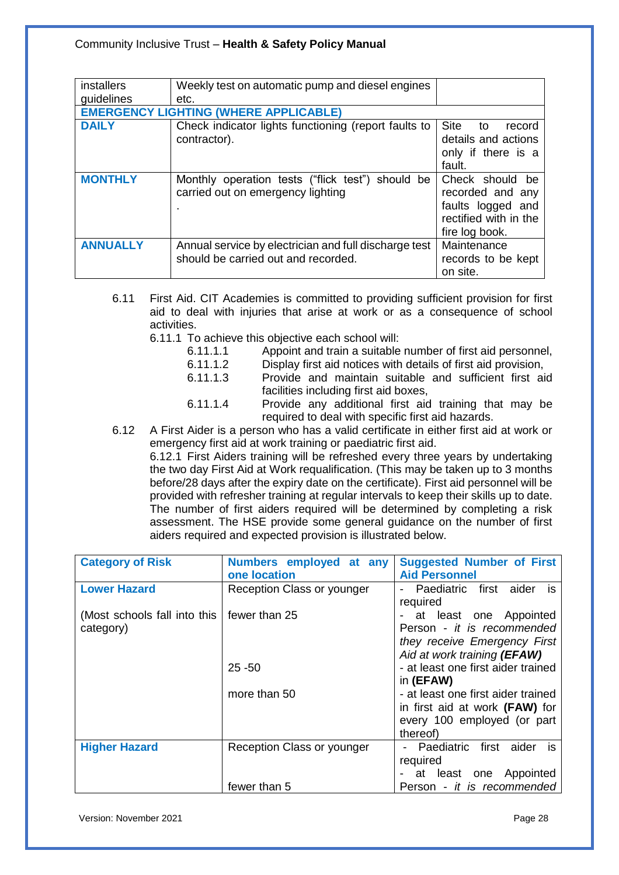| <i>installers</i> | Weekly test on automatic pump and diesel engines      |                             |
|-------------------|-------------------------------------------------------|-----------------------------|
| guidelines        | etc.                                                  |                             |
|                   | <b>EMERGENCY LIGHTING (WHERE APPLICABLE)</b>          |                             |
| <b>DAILY</b>      | Check indicator lights functioning (report faults to  | <b>Site</b><br>to<br>record |
|                   | contractor).                                          | details and actions         |
|                   |                                                       | only if there is a          |
|                   |                                                       | fault.                      |
| <b>MONTHLY</b>    | Monthly operation tests ("flick test") should be      | Check should be             |
|                   | carried out on emergency lighting                     | recorded and any            |
|                   |                                                       | faults logged and           |
|                   |                                                       | rectified with in the       |
|                   |                                                       | fire log book.              |
| <b>ANNUALLY</b>   | Annual service by electrician and full discharge test | Maintenance                 |
|                   | should be carried out and recorded.                   | records to be kept          |
|                   |                                                       | on site.                    |

- 6.11 First Aid. CIT Academies is committed to providing sufficient provision for first aid to deal with injuries that arise at work or as a consequence of school activities.
	- 6.11.1 To achieve this objective each school will:
		- 6.11.1.1 Appoint and train a suitable number of first aid personnel,
		- 6.11.1.2 Display first aid notices with details of first aid provision,
		- 6.11.1.3 Provide and maintain suitable and sufficient first aid facilities including first aid boxes,
		- 6.11.1.4 Provide any additional first aid training that may be required to deal with specific first aid hazards.
- 6.12 A First Aider is a person who has a valid certificate in either first aid at work or emergency first aid at work training or paediatric first aid.

6.12.1 First Aiders training will be refreshed every three years by undertaking the two day First Aid at Work requalification. (This may be taken up to 3 months before/28 days after the expiry date on the certificate). First aid personnel will be provided with refresher training at regular intervals to keep their skills up to date. The number of first aiders required will be determined by completing a risk assessment. The HSE provide some general guidance on the number of first aiders required and expected provision is illustrated below.

| <b>Category of Risk</b>      | Numbers employed at any    | <b>Suggested Number of First</b>   |
|------------------------------|----------------------------|------------------------------------|
|                              | one location               | <b>Aid Personnel</b>               |
| <b>Lower Hazard</b>          | Reception Class or younger | Paediatric first aider<br>is.      |
|                              |                            | required                           |
| (Most schools fall into this | fewer than 25              | - at least one Appointed           |
| category)                    |                            | Person - it is recommended         |
|                              |                            | they receive Emergency First       |
|                              |                            | Aid at work training (EFAW)        |
|                              | $25 - 50$                  | - at least one first aider trained |
|                              |                            | in (EFAW)                          |
|                              | more than 50               | - at least one first aider trained |
|                              |                            | in first aid at work (FAW) for     |
|                              |                            | every 100 employed (or part        |
|                              |                            | thereof)                           |
| <b>Higher Hazard</b>         | Reception Class or younger | first aider<br>- Paediatric<br>is. |
|                              |                            | required                           |
|                              |                            | at least one Appointed             |
|                              | fewer than 5               | Person - it is recommended         |

Version: November 2021 Page 28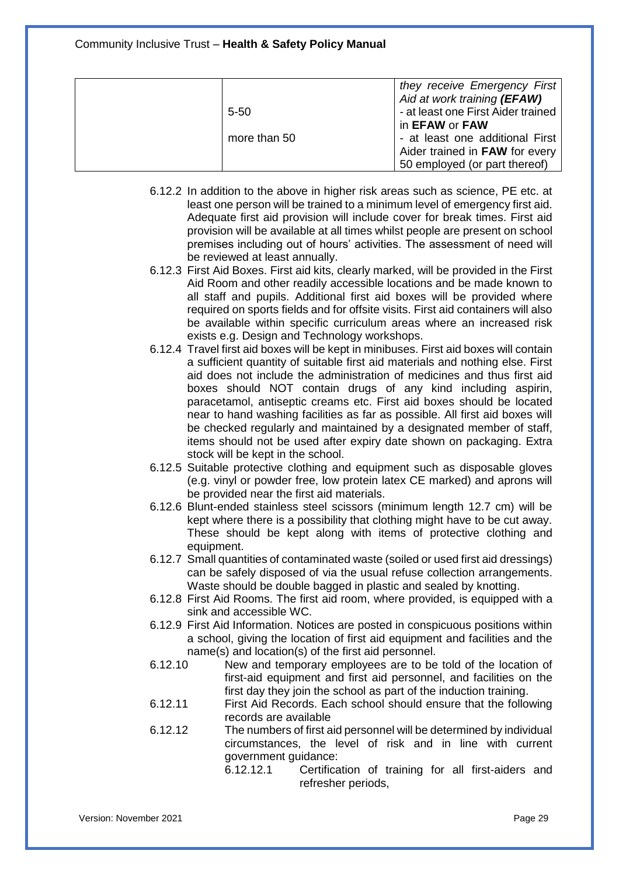|              | they receive Emergency First<br>Aid at work training (EFAW)        |
|--------------|--------------------------------------------------------------------|
| $5 - 50$     | - at least one First Aider trained<br>in <b>EFAW</b> or <b>FAW</b> |
| more than 50 | - at least one additional First                                    |
|              | Aider trained in FAW for every<br>50 employed (or part thereof)    |

- 6.12.2 In addition to the above in higher risk areas such as science, PE etc. at least one person will be trained to a minimum level of emergency first aid. Adequate first aid provision will include cover for break times. First aid provision will be available at all times whilst people are present on school premises including out of hours' activities. The assessment of need will be reviewed at least annually.
- 6.12.3 First Aid Boxes. First aid kits, clearly marked, will be provided in the First Aid Room and other readily accessible locations and be made known to all staff and pupils. Additional first aid boxes will be provided where required on sports fields and for offsite visits. First aid containers will also be available within specific curriculum areas where an increased risk exists e.g. Design and Technology workshops.
- 6.12.4 Travel first aid boxes will be kept in minibuses. First aid boxes will contain a sufficient quantity of suitable first aid materials and nothing else. First aid does not include the administration of medicines and thus first aid boxes should NOT contain drugs of any kind including aspirin, paracetamol, antiseptic creams etc. First aid boxes should be located near to hand washing facilities as far as possible. All first aid boxes will be checked regularly and maintained by a designated member of staff, items should not be used after expiry date shown on packaging. Extra stock will be kept in the school.
- 6.12.5 Suitable protective clothing and equipment such as disposable gloves (e.g. vinyl or powder free, low protein latex CE marked) and aprons will be provided near the first aid materials.
- 6.12.6 Blunt-ended stainless steel scissors (minimum length 12.7 cm) will be kept where there is a possibility that clothing might have to be cut away. These should be kept along with items of protective clothing and equipment.
- 6.12.7 Small quantities of contaminated waste (soiled or used first aid dressings) can be safely disposed of via the usual refuse collection arrangements. Waste should be double bagged in plastic and sealed by knotting.
- 6.12.8 First Aid Rooms. The first aid room, where provided, is equipped with a sink and accessible WC.
- 6.12.9 First Aid Information. Notices are posted in conspicuous positions within a school, giving the location of first aid equipment and facilities and the name(s) and location(s) of the first aid personnel.
- 6.12.10 New and temporary employees are to be told of the location of first-aid equipment and first aid personnel, and facilities on the first day they join the school as part of the induction training.
- 6.12.11 First Aid Records. Each school should ensure that the following records are available
- 6.12.12 The numbers of first aid personnel will be determined by individual circumstances, the level of risk and in line with current government guidance:
	- 6.12.12.1 Certification of training for all first-aiders and refresher periods,

Version: November 2021 Page 29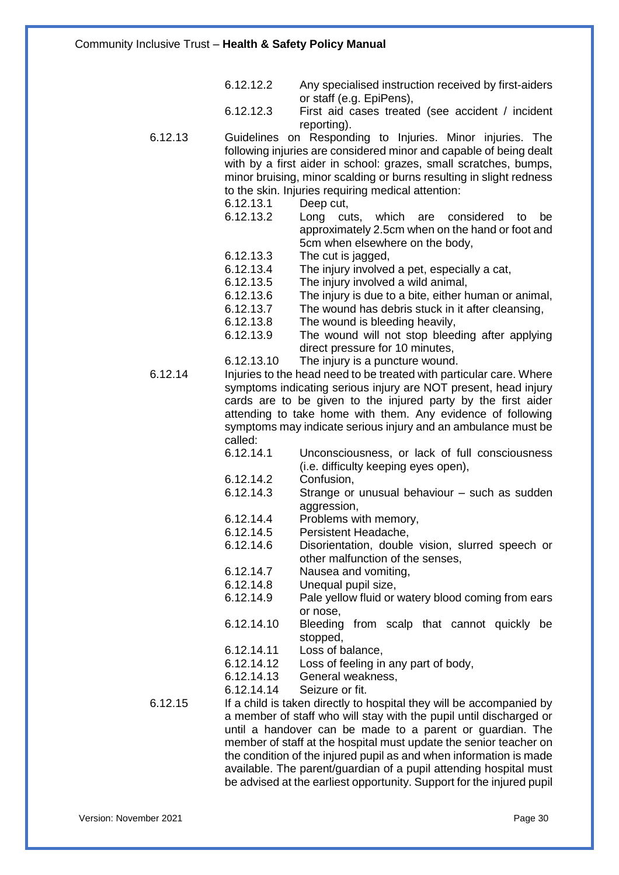| 6.12.12.2 | Any specialised instruction received by first-aiders |
|-----------|------------------------------------------------------|
|           | or staff (e.g. EpiPens),                             |

- 6.12.12.3 First aid cases treated (see accident / incident reporting).
- 6.12.13 Guidelines on Responding to Injuries. Minor injuries. The following injuries are considered minor and capable of being dealt with by a first aider in school: grazes, small scratches, bumps, minor bruising, minor scalding or burns resulting in slight redness to the skin. Injuries requiring medical attention:<br>6.12.13.1 Deep cut.
	- Deep cut,
	- 6.12.13.2 Long cuts, which are considered to be approximately 2.5cm when on the hand or foot and 5cm when elsewhere on the body,
	- 6.12.13.3 The cut is jagged,
	- 6.12.13.4 The injury involved a pet, especially a cat,
	- 6.12.13.5 The injury involved a wild animal,
	- 6.12.13.6 The injury is due to a bite, either human or animal,
	- 6.12.13.7 The wound has debris stuck in it after cleansing,
	- 6.12.13.8 The wound is bleeding heavily,
	- 6.12.13.9 The wound will not stop bleeding after applying direct pressure for 10 minutes,
	- 6.12.13.10 The injury is a puncture wound.

6.12.14 Injuries to the head need to be treated with particular care. Where symptoms indicating serious injury are NOT present, head injury cards are to be given to the injured party by the first aider attending to take home with them. Any evidence of following symptoms may indicate serious injury and an ambulance must be called:

- 6.12.14.1 Unconsciousness, or lack of full consciousness (i.e. difficulty keeping eyes open),
- 6.12.14.2 Confusion,
- 6.12.14.3 Strange or unusual behaviour such as sudden aggression,
- 6.12.14.4 Problems with memory,
- 6.12.14.5 Persistent Headache,
- 6.12.14.6 Disorientation, double vision, slurred speech or other malfunction of the senses,
- 6.12.14.7 Nausea and vomiting,
- 6.12.14.8 Unequal pupil size,
- 6.12.14.9 Pale yellow fluid or watery blood coming from ears or nose,
- 6.12.14.10 Bleeding from scalp that cannot quickly be stopped,
- 6.12.14.11 Loss of balance,
- 6.12.14.12 Loss of feeling in any part of body,
- 6.12.14.13 General weakness,

6.12.14.14 Seizure or fit.

6.12.15 If a child is taken directly to hospital they will be accompanied by a member of staff who will stay with the pupil until discharged or until a handover can be made to a parent or guardian. The member of staff at the hospital must update the senior teacher on the condition of the injured pupil as and when information is made available. The parent/guardian of a pupil attending hospital must be advised at the earliest opportunity. Support for the injured pupil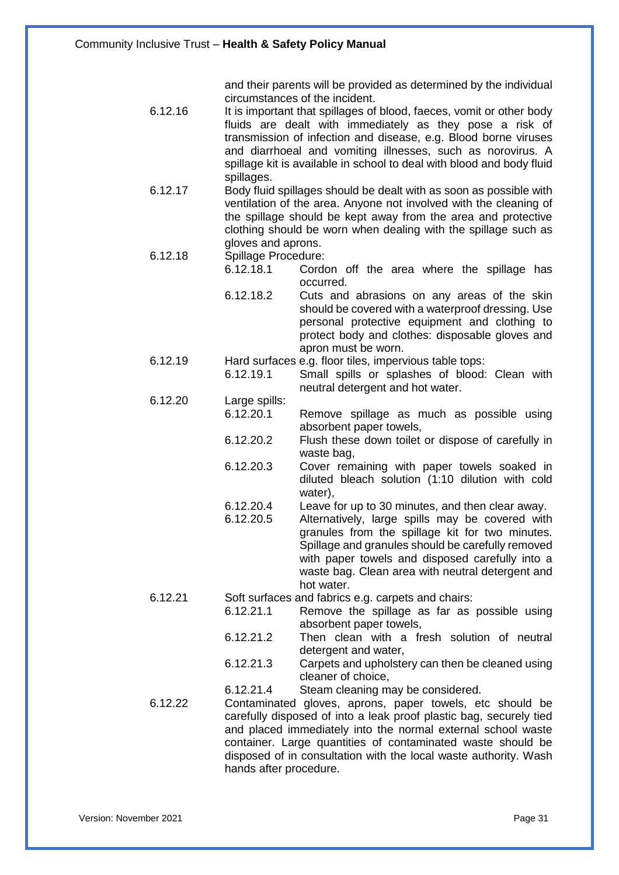and their parents will be provided as determined by the individual circumstances of the incident.

- 6.12.16 It is important that spillages of blood, faeces, vomit or other body fluids are dealt with immediately as they pose a risk of transmission of infection and disease, e.g. Blood borne viruses and diarrhoeal and vomiting illnesses, such as norovirus. A spillage kit is available in school to deal with blood and body fluid spillages.
- 6.12.17 Body fluid spillages should be dealt with as soon as possible with ventilation of the area. Anyone not involved with the cleaning of the spillage should be kept away from the area and protective clothing should be worn when dealing with the spillage such as gloves and aprons.

# 6.12.18 Spillage Procedure:<br>6.12.18.1 Corde

- Cordon off the area where the spillage has occurred.
- 6.12.18.2 Cuts and abrasions on any areas of the skin should be covered with a waterproof dressing. Use personal protective equipment and clothing to protect body and clothes: disposable gloves and apron must be worn.
- 6.12.19 Hard surfaces e.g. floor tiles, impervious table tops:
	- 6.12.19.1 Small spills or splashes of blood: Clean with neutral detergent and hot water.
- 6.12.20 Large spills: 6.12.20.1 Remove spillage as much as possible using absorbent paper towels,
	- 6.12.20.2 Flush these down toilet or dispose of carefully in waste bag,
	- 6.12.20.3 Cover remaining with paper towels soaked in diluted bleach solution (1:10 dilution with cold water),
	- 6.12.20.4 Leave for up to 30 minutes, and then clear away.
	- 6.12.20.5 Alternatively, large spills may be covered with granules from the spillage kit for two minutes. Spillage and granules should be carefully removed with paper towels and disposed carefully into a waste bag. Clean area with neutral detergent and hot water.
- 6.12.21 Soft surfaces and fabrics e.g. carpets and chairs:
	- 6.12.21.1 Remove the spillage as far as possible using absorbent paper towels,
	- 6.12.21.2 Then clean with a fresh solution of neutral detergent and water,
	- 6.12.21.3 Carpets and upholstery can then be cleaned using cleaner of choice,
	- 6.12.21.4 Steam cleaning may be considered.
- 6.12.22 Contaminated gloves, aprons, paper towels, etc should be carefully disposed of into a leak proof plastic bag, securely tied and placed immediately into the normal external school waste container. Large quantities of contaminated waste should be disposed of in consultation with the local waste authority. Wash hands after procedure.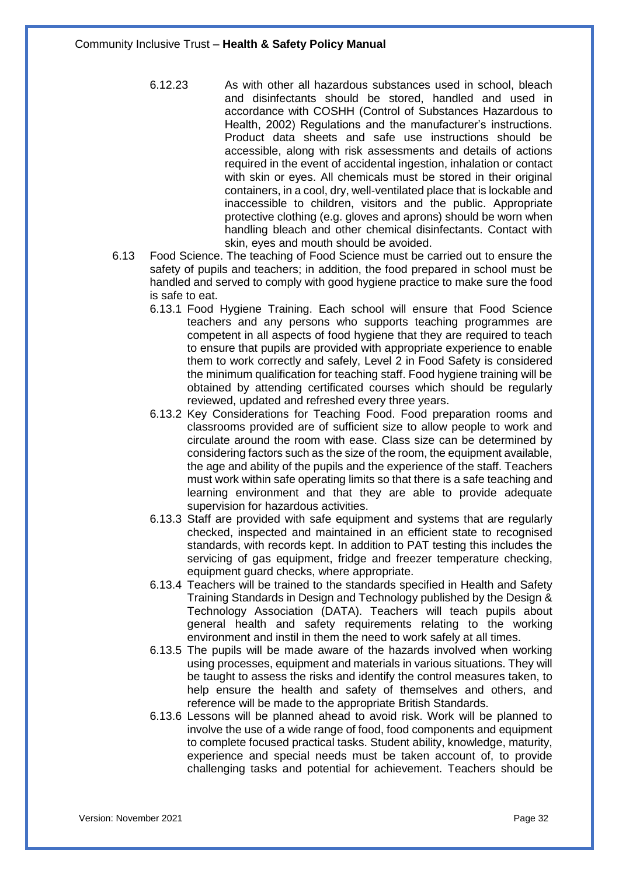6.12.23 As with other all hazardous substances used in school, bleach and disinfectants should be stored, handled and used in accordance with COSHH (Control of Substances Hazardous to Health, 2002) Regulations and the manufacturer's instructions. Product data sheets and safe use instructions should be accessible, along with risk assessments and details of actions required in the event of accidental ingestion, inhalation or contact with skin or eyes. All chemicals must be stored in their original containers, in a cool, dry, well-ventilated place that is lockable and inaccessible to children, visitors and the public. Appropriate protective clothing (e.g. gloves and aprons) should be worn when handling bleach and other chemical disinfectants. Contact with skin, eyes and mouth should be avoided.

- 6.13 Food Science. The teaching of Food Science must be carried out to ensure the safety of pupils and teachers; in addition, the food prepared in school must be handled and served to comply with good hygiene practice to make sure the food is safe to eat.
	- 6.13.1 Food Hygiene Training. Each school will ensure that Food Science teachers and any persons who supports teaching programmes are competent in all aspects of food hygiene that they are required to teach to ensure that pupils are provided with appropriate experience to enable them to work correctly and safely, Level 2 in Food Safety is considered the minimum qualification for teaching staff. Food hygiene training will be obtained by attending certificated courses which should be regularly reviewed, updated and refreshed every three years.
	- 6.13.2 Key Considerations for Teaching Food. Food preparation rooms and classrooms provided are of sufficient size to allow people to work and circulate around the room with ease. Class size can be determined by considering factors such as the size of the room, the equipment available, the age and ability of the pupils and the experience of the staff. Teachers must work within safe operating limits so that there is a safe teaching and learning environment and that they are able to provide adequate supervision for hazardous activities.
	- 6.13.3 Staff are provided with safe equipment and systems that are regularly checked, inspected and maintained in an efficient state to recognised standards, with records kept. In addition to PAT testing this includes the servicing of gas equipment, fridge and freezer temperature checking, equipment guard checks, where appropriate.
	- 6.13.4 Teachers will be trained to the standards specified in Health and Safety Training Standards in Design and Technology published by the Design & Technology Association (DATA). Teachers will teach pupils about general health and safety requirements relating to the working environment and instil in them the need to work safely at all times.
	- 6.13.5 The pupils will be made aware of the hazards involved when working using processes, equipment and materials in various situations. They will be taught to assess the risks and identify the control measures taken, to help ensure the health and safety of themselves and others, and reference will be made to the appropriate British Standards.
	- 6.13.6 Lessons will be planned ahead to avoid risk. Work will be planned to involve the use of a wide range of food, food components and equipment to complete focused practical tasks. Student ability, knowledge, maturity, experience and special needs must be taken account of, to provide challenging tasks and potential for achievement. Teachers should be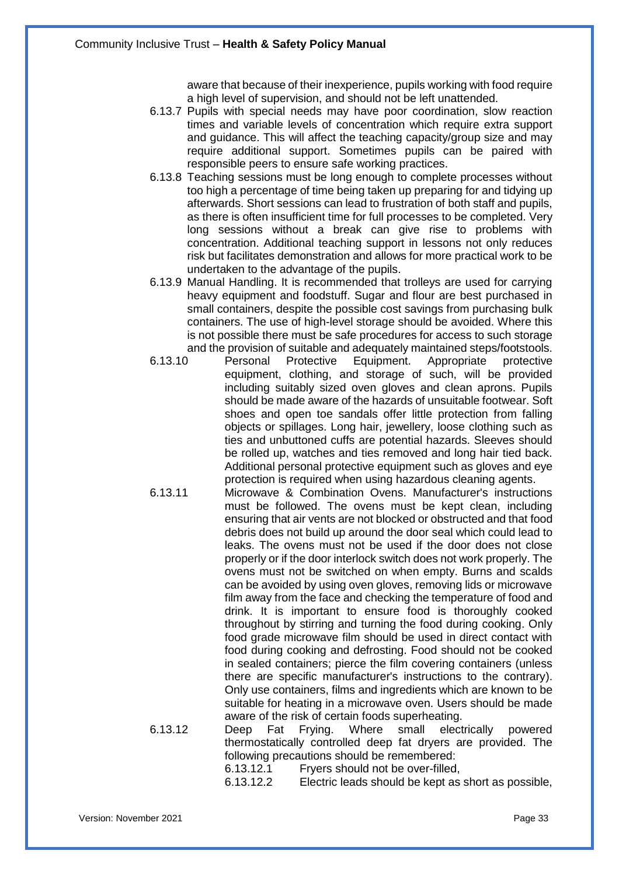aware that because of their inexperience, pupils working with food require a high level of supervision, and should not be left unattended.

- 6.13.7 Pupils with special needs may have poor coordination, slow reaction times and variable levels of concentration which require extra support and guidance. This will affect the teaching capacity/group size and may require additional support. Sometimes pupils can be paired with responsible peers to ensure safe working practices.
- 6.13.8 Teaching sessions must be long enough to complete processes without too high a percentage of time being taken up preparing for and tidying up afterwards. Short sessions can lead to frustration of both staff and pupils, as there is often insufficient time for full processes to be completed. Very long sessions without a break can give rise to problems with concentration. Additional teaching support in lessons not only reduces risk but facilitates demonstration and allows for more practical work to be undertaken to the advantage of the pupils.
- 6.13.9 Manual Handling. It is recommended that trolleys are used for carrying heavy equipment and foodstuff. Sugar and flour are best purchased in small containers, despite the possible cost savings from purchasing bulk containers. The use of high-level storage should be avoided. Where this is not possible there must be safe procedures for access to such storage and the provision of suitable and adequately maintained steps/footstools.
- 6.13.10 Personal Protective Equipment. Appropriate protective equipment, clothing, and storage of such, will be provided including suitably sized oven gloves and clean aprons. Pupils should be made aware of the hazards of unsuitable footwear. Soft shoes and open toe sandals offer little protection from falling objects or spillages. Long hair, jewellery, loose clothing such as ties and unbuttoned cuffs are potential hazards. Sleeves should be rolled up, watches and ties removed and long hair tied back. Additional personal protective equipment such as gloves and eye protection is required when using hazardous cleaning agents.
- 6.13.11 Microwave & Combination Ovens. Manufacturer's instructions must be followed. The ovens must be kept clean, including ensuring that air vents are not blocked or obstructed and that food debris does not build up around the door seal which could lead to leaks. The ovens must not be used if the door does not close properly or if the door interlock switch does not work properly. The ovens must not be switched on when empty. Burns and scalds can be avoided by using oven gloves, removing lids or microwave film away from the face and checking the temperature of food and drink. It is important to ensure food is thoroughly cooked throughout by stirring and turning the food during cooking. Only food grade microwave film should be used in direct contact with food during cooking and defrosting. Food should not be cooked in sealed containers; pierce the film covering containers (unless there are specific manufacturer's instructions to the contrary). Only use containers, films and ingredients which are known to be suitable for heating in a microwave oven. Users should be made aware of the risk of certain foods superheating.

6.13.12 Deep Fat Frying. Where small electrically powered thermostatically controlled deep fat dryers are provided. The following precautions should be remembered:

- 6.13.12.1 Fryers should not be over-filled,
- 6.13.12.2 Electric leads should be kept as short as possible,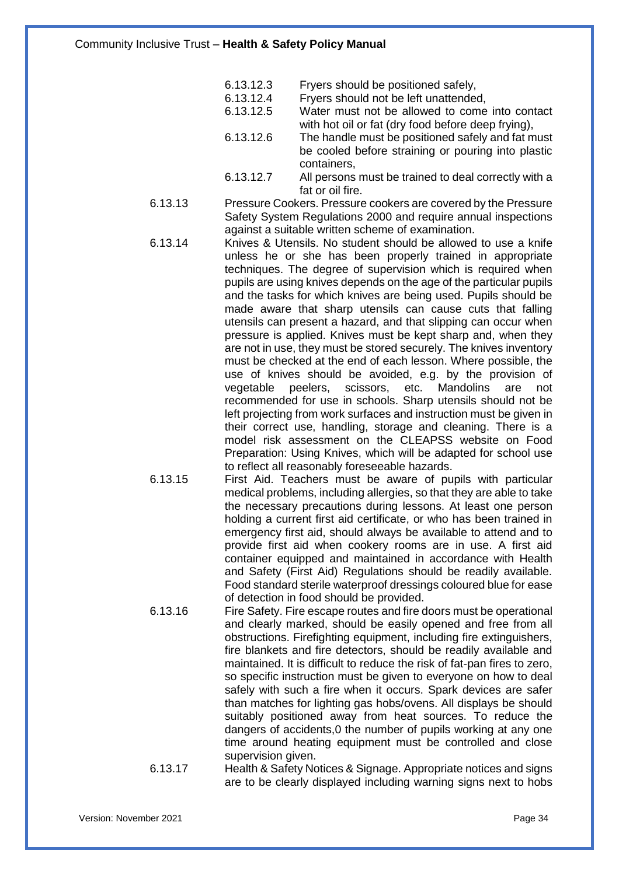- 6.13.12.3 Fryers should be positioned safely,<br>6.13.12.4 Fryers should not be left unattended
- 6.13.12.4 Fryers should not be left unattended,<br>6.13.12.5 Water must not be allowed to come
	- Water must not be allowed to come into contact with hot oil or fat (dry food before deep frying),
- 6.13.12.6 The handle must be positioned safely and fat must be cooled before straining or pouring into plastic containers,
- 6.13.12.7 All persons must be trained to deal correctly with a fat or oil fire.
- 6.13.13 Pressure Cookers. Pressure cookers are covered by the Pressure Safety System Regulations 2000 and require annual inspections against a suitable written scheme of examination.
- 6.13.14 Knives & Utensils. No student should be allowed to use a knife unless he or she has been properly trained in appropriate techniques. The degree of supervision which is required when pupils are using knives depends on the age of the particular pupils and the tasks for which knives are being used. Pupils should be made aware that sharp utensils can cause cuts that falling utensils can present a hazard, and that slipping can occur when pressure is applied. Knives must be kept sharp and, when they are not in use, they must be stored securely. The knives inventory must be checked at the end of each lesson. Where possible, the use of knives should be avoided, e.g. by the provision of vegetable peelers, scissors, etc. Mandolins are not recommended for use in schools. Sharp utensils should not be left projecting from work surfaces and instruction must be given in their correct use, handling, storage and cleaning. There is a model risk assessment on the CLEAPSS website on Food Preparation: Using Knives, which will be adapted for school use to reflect all reasonably foreseeable hazards.
- 6.13.15 First Aid. Teachers must be aware of pupils with particular medical problems, including allergies, so that they are able to take the necessary precautions during lessons. At least one person holding a current first aid certificate, or who has been trained in emergency first aid, should always be available to attend and to provide first aid when cookery rooms are in use. A first aid container equipped and maintained in accordance with Health and Safety (First Aid) Regulations should be readily available. Food standard sterile waterproof dressings coloured blue for ease of detection in food should be provided.
- 6.13.16 Fire Safety. Fire escape routes and fire doors must be operational and clearly marked, should be easily opened and free from all obstructions. Firefighting equipment, including fire extinguishers, fire blankets and fire detectors, should be readily available and maintained. It is difficult to reduce the risk of fat-pan fires to zero, so specific instruction must be given to everyone on how to deal safely with such a fire when it occurs. Spark devices are safer than matches for lighting gas hobs/ovens. All displays be should suitably positioned away from heat sources. To reduce the dangers of accidents,0 the number of pupils working at any one time around heating equipment must be controlled and close supervision given.
- 6.13.17 Health & Safety Notices & Signage. Appropriate notices and signs are to be clearly displayed including warning signs next to hobs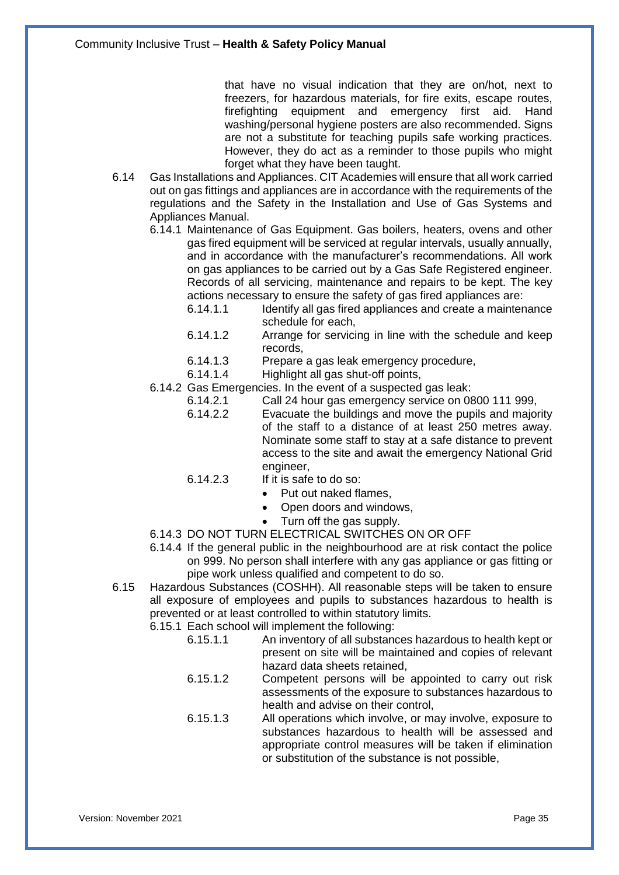that have no visual indication that they are on/hot, next to freezers, for hazardous materials, for fire exits, escape routes, firefighting equipment and emergency first aid. Hand washing/personal hygiene posters are also recommended. Signs are not a substitute for teaching pupils safe working practices. However, they do act as a reminder to those pupils who might forget what they have been taught.

- 6.14 Gas Installations and Appliances. CIT Academies will ensure that all work carried out on gas fittings and appliances are in accordance with the requirements of the regulations and the Safety in the Installation and Use of Gas Systems and Appliances Manual.
	- 6.14.1 Maintenance of Gas Equipment. Gas boilers, heaters, ovens and other gas fired equipment will be serviced at regular intervals, usually annually, and in accordance with the manufacturer's recommendations. All work on gas appliances to be carried out by a Gas Safe Registered engineer. Records of all servicing, maintenance and repairs to be kept. The key actions necessary to ensure the safety of gas fired appliances are:
		- 6.14.1.1 Identify all gas fired appliances and create a maintenance schedule for each,
		- 6.14.1.2 Arrange for servicing in line with the schedule and keep records,
		- 6.14.1.3 Prepare a gas leak emergency procedure,
		- 6.14.1.4 Highlight all gas shut-off points,
	- 6.14.2 Gas Emergencies. In the event of a suspected gas leak:
		- 6.14.2.1 Call 24 hour gas emergency service on 0800 111 999,
		- 6.14.2.2 Evacuate the buildings and move the pupils and majority of the staff to a distance of at least 250 metres away. Nominate some staff to stay at a safe distance to prevent access to the site and await the emergency National Grid engineer,
		- 6.14.2.3 If it is safe to do so:
			- Put out naked flames.
			- Open doors and windows,
			- Turn off the gas supply.
	- 6.14.3 DO NOT TURN ELECTRICAL SWITCHES ON OR OFF
	- 6.14.4 If the general public in the neighbourhood are at risk contact the police on 999. No person shall interfere with any gas appliance or gas fitting or pipe work unless qualified and competent to do so.
- 6.15 Hazardous Substances (COSHH). All reasonable steps will be taken to ensure all exposure of employees and pupils to substances hazardous to health is prevented or at least controlled to within statutory limits.
	- 6.15.1 Each school will implement the following:
		- 6.15.1.1 An inventory of all substances hazardous to health kept or present on site will be maintained and copies of relevant hazard data sheets retained,
		- 6.15.1.2 Competent persons will be appointed to carry out risk assessments of the exposure to substances hazardous to health and advise on their control,
		- 6.15.1.3 All operations which involve, or may involve, exposure to substances hazardous to health will be assessed and appropriate control measures will be taken if elimination or substitution of the substance is not possible,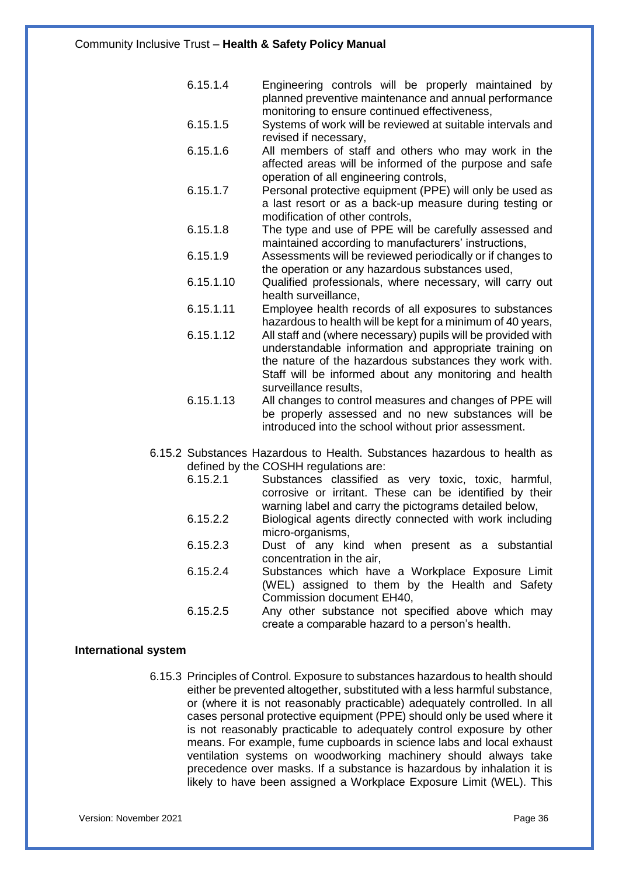- 6.15.1.4 Engineering controls will be properly maintained by planned preventive maintenance and annual performance monitoring to ensure continued effectiveness,
- 6.15.1.5 Systems of work will be reviewed at suitable intervals and revised if necessary,
- 6.15.1.6 All members of staff and others who may work in the affected areas will be informed of the purpose and safe operation of all engineering controls,
- 6.15.1.7 Personal protective equipment (PPE) will only be used as a last resort or as a back-up measure during testing or modification of other controls,
- 6.15.1.8 The type and use of PPE will be carefully assessed and maintained according to manufacturers' instructions,
- 6.15.1.9 Assessments will be reviewed periodically or if changes to the operation or any hazardous substances used,
- 6.15.1.10 Qualified professionals, where necessary, will carry out health surveillance,
- 6.15.1.11 Employee health records of all exposures to substances hazardous to health will be kept for a minimum of 40 years,
- 6.15.1.12 All staff and (where necessary) pupils will be provided with understandable information and appropriate training on the nature of the hazardous substances they work with. Staff will be informed about any monitoring and health surveillance results,
- 6.15.1.13 All changes to control measures and changes of PPE will be properly assessed and no new substances will be introduced into the school without prior assessment.
- 6.15.2 Substances Hazardous to Health. Substances hazardous to health as defined by the COSHH regulations are:
	- 6.15.2.1 Substances classified as very toxic, toxic, harmful, corrosive or irritant. These can be identified by their warning label and carry the pictograms detailed below,
	- 6.15.2.2 Biological agents directly connected with work including micro-organisms,
	- 6.15.2.3 Dust of any kind when present as a substantial concentration in the air,
	- 6.15.2.4 Substances which have a Workplace Exposure Limit (WEL) assigned to them by the Health and Safety Commission document EH40,
	- 6.15.2.5 Any other substance not specified above which may create a comparable hazard to a person's health.

#### **International system**

6.15.3 Principles of Control. Exposure to substances hazardous to health should either be prevented altogether, substituted with a less harmful substance, or (where it is not reasonably practicable) adequately controlled. In all cases personal protective equipment (PPE) should only be used where it is not reasonably practicable to adequately control exposure by other means. For example, fume cupboards in science labs and local exhaust ventilation systems on woodworking machinery should always take precedence over masks. If a substance is hazardous by inhalation it is likely to have been assigned a Workplace Exposure Limit (WEL). This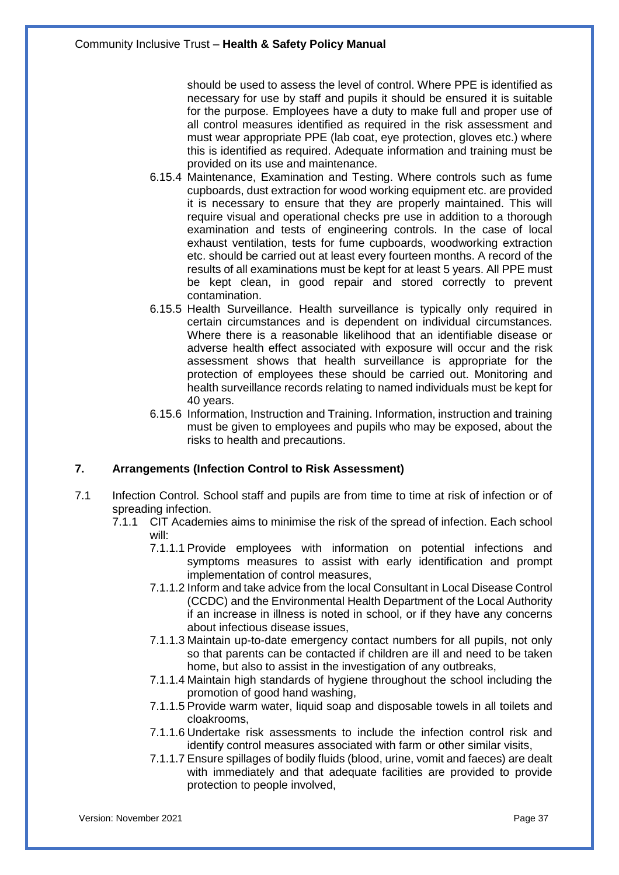should be used to assess the level of control. Where PPE is identified as necessary for use by staff and pupils it should be ensured it is suitable for the purpose. Employees have a duty to make full and proper use of all control measures identified as required in the risk assessment and must wear appropriate PPE (lab coat, eye protection, gloves etc.) where this is identified as required. Adequate information and training must be provided on its use and maintenance.

- 6.15.4 Maintenance, Examination and Testing. Where controls such as fume cupboards, dust extraction for wood working equipment etc. are provided it is necessary to ensure that they are properly maintained. This will require visual and operational checks pre use in addition to a thorough examination and tests of engineering controls. In the case of local exhaust ventilation, tests for fume cupboards, woodworking extraction etc. should be carried out at least every fourteen months. A record of the results of all examinations must be kept for at least 5 years. All PPE must be kept clean, in good repair and stored correctly to prevent contamination.
- 6.15.5 Health Surveillance. Health surveillance is typically only required in certain circumstances and is dependent on individual circumstances. Where there is a reasonable likelihood that an identifiable disease or adverse health effect associated with exposure will occur and the risk assessment shows that health surveillance is appropriate for the protection of employees these should be carried out. Monitoring and health surveillance records relating to named individuals must be kept for 40 years.
- 6.15.6 Information, Instruction and Training. Information, instruction and training must be given to employees and pupils who may be exposed, about the risks to health and precautions.

## **7. Arrangements (Infection Control to Risk Assessment)**

- 7.1 Infection Control. School staff and pupils are from time to time at risk of infection or of spreading infection.
	- 7.1.1 CIT Academies aims to minimise the risk of the spread of infection. Each school will:
		- 7.1.1.1 Provide employees with information on potential infections and symptoms measures to assist with early identification and prompt implementation of control measures,
		- 7.1.1.2 Inform and take advice from the local Consultant in Local Disease Control (CCDC) and the Environmental Health Department of the Local Authority if an increase in illness is noted in school, or if they have any concerns about infectious disease issues,
		- 7.1.1.3 Maintain up-to-date emergency contact numbers for all pupils, not only so that parents can be contacted if children are ill and need to be taken home, but also to assist in the investigation of any outbreaks,
		- 7.1.1.4 Maintain high standards of hygiene throughout the school including the promotion of good hand washing,
		- 7.1.1.5 Provide warm water, liquid soap and disposable towels in all toilets and cloakrooms,
		- 7.1.1.6 Undertake risk assessments to include the infection control risk and identify control measures associated with farm or other similar visits,
		- 7.1.1.7 Ensure spillages of bodily fluids (blood, urine, vomit and faeces) are dealt with immediately and that adequate facilities are provided to provide protection to people involved,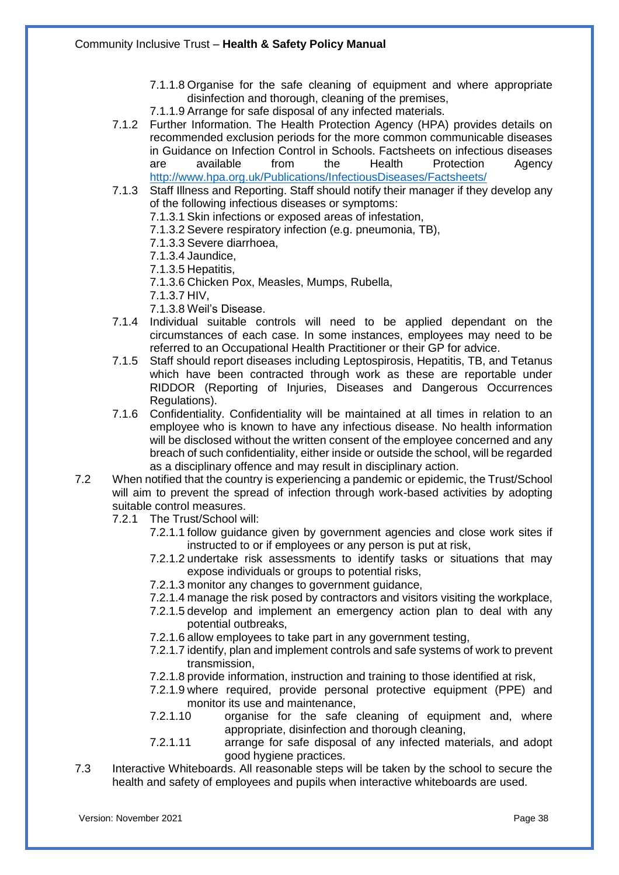- 7.1.1.8 Organise for the safe cleaning of equipment and where appropriate disinfection and thorough, cleaning of the premises,
- 7.1.1.9 Arrange for safe disposal of any infected materials.
- 7.1.2 Further Information. The Health Protection Agency (HPA) provides details on recommended exclusion periods for the more common communicable diseases in Guidance on Infection Control in Schools. Factsheets on infectious diseases are available from the Health Protection Agency <http://www.hpa.org.uk/Publications/InfectiousDiseases/Factsheets/>
- 7.1.3 Staff Illness and Reporting. Staff should notify their manager if they develop any of the following infectious diseases or symptoms:
	- 7.1.3.1 Skin infections or exposed areas of infestation,
	- 7.1.3.2 Severe respiratory infection (e.g. pneumonia, TB),
	- 7.1.3.3 Severe diarrhoea,
	- 7.1.3.4 Jaundice,
	- 7.1.3.5 Hepatitis,
	- 7.1.3.6 Chicken Pox, Measles, Mumps, Rubella,
	- 7.1.3.7 HIV,
	- 7.1.3.8 Weil's Disease.
- 7.1.4 Individual suitable controls will need to be applied dependant on the circumstances of each case. In some instances, employees may need to be referred to an Occupational Health Practitioner or their GP for advice.
- 7.1.5 Staff should report diseases including Leptospirosis, Hepatitis, TB, and Tetanus which have been contracted through work as these are reportable under RIDDOR (Reporting of Injuries, Diseases and Dangerous Occurrences Regulations).
- 7.1.6 Confidentiality. Confidentiality will be maintained at all times in relation to an employee who is known to have any infectious disease. No health information will be disclosed without the written consent of the employee concerned and any breach of such confidentiality, either inside or outside the school, will be regarded as a disciplinary offence and may result in disciplinary action.
- 7.2 When notified that the country is experiencing a pandemic or epidemic, the Trust/School will aim to prevent the spread of infection through work-based activities by adopting suitable control measures.
	- 7.2.1 The Trust/School will:
		- 7.2.1.1 follow guidance given by government agencies and close work sites if instructed to or if employees or any person is put at risk,
		- 7.2.1.2 undertake risk assessments to identify tasks or situations that may expose individuals or groups to potential risks,
		- 7.2.1.3 monitor any changes to government guidance,
		- 7.2.1.4 manage the risk posed by contractors and visitors visiting the workplace,
		- 7.2.1.5 develop and implement an emergency action plan to deal with any potential outbreaks,
		- 7.2.1.6 allow employees to take part in any government testing,
		- 7.2.1.7 identify, plan and implement controls and safe systems of work to prevent transmission,
		- 7.2.1.8 provide information, instruction and training to those identified at risk,
		- 7.2.1.9 where required, provide personal protective equipment (PPE) and monitor its use and maintenance,
		- 7.2.1.10 organise for the safe cleaning of equipment and, where appropriate, disinfection and thorough cleaning,
		- 7.2.1.11 arrange for safe disposal of any infected materials, and adopt good hygiene practices.
- 7.3 Interactive Whiteboards. All reasonable steps will be taken by the school to secure the health and safety of employees and pupils when interactive whiteboards are used.

Version: November 2021 Page 38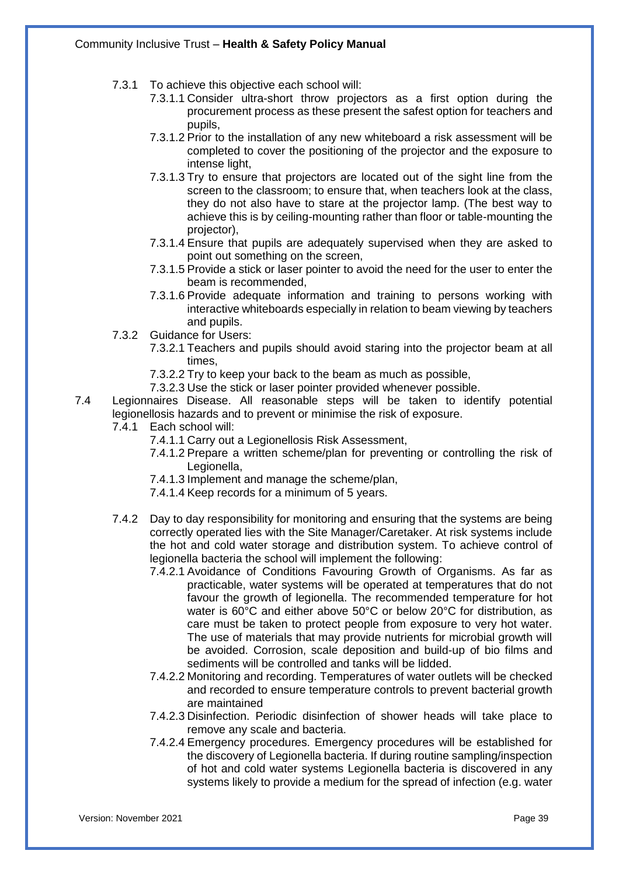- 7.3.1 To achieve this objective each school will:
	- 7.3.1.1 Consider ultra-short throw projectors as a first option during the procurement process as these present the safest option for teachers and pupils,
	- 7.3.1.2 Prior to the installation of any new whiteboard a risk assessment will be completed to cover the positioning of the projector and the exposure to intense light,
	- 7.3.1.3 Try to ensure that projectors are located out of the sight line from the screen to the classroom; to ensure that, when teachers look at the class, they do not also have to stare at the projector lamp. (The best way to achieve this is by ceiling-mounting rather than floor or table-mounting the projector),
	- 7.3.1.4 Ensure that pupils are adequately supervised when they are asked to point out something on the screen,
	- 7.3.1.5 Provide a stick or laser pointer to avoid the need for the user to enter the beam is recommended,
	- 7.3.1.6 Provide adequate information and training to persons working with interactive whiteboards especially in relation to beam viewing by teachers and pupils.
- 7.3.2 Guidance for Users:
	- 7.3.2.1 Teachers and pupils should avoid staring into the projector beam at all times,
	- 7.3.2.2 Try to keep your back to the beam as much as possible,
	- 7.3.2.3 Use the stick or laser pointer provided whenever possible.
- 7.4 Legionnaires Disease. All reasonable steps will be taken to identify potential legionellosis hazards and to prevent or minimise the risk of exposure.
	- 7.4.1 Each school will:
		- 7.4.1.1 Carry out a Legionellosis Risk Assessment,
		- 7.4.1.2 Prepare a written scheme/plan for preventing or controlling the risk of Legionella,
		- 7.4.1.3 Implement and manage the scheme/plan,
		- 7.4.1.4 Keep records for a minimum of 5 years.
	- 7.4.2 Day to day responsibility for monitoring and ensuring that the systems are being correctly operated lies with the Site Manager/Caretaker. At risk systems include the hot and cold water storage and distribution system. To achieve control of legionella bacteria the school will implement the following:
		- 7.4.2.1 Avoidance of Conditions Favouring Growth of Organisms. As far as practicable, water systems will be operated at temperatures that do not favour the growth of legionella. The recommended temperature for hot water is 60°C and either above 50°C or below 20°C for distribution, as care must be taken to protect people from exposure to very hot water. The use of materials that may provide nutrients for microbial growth will be avoided. Corrosion, scale deposition and build-up of bio films and sediments will be controlled and tanks will be lidded.
		- 7.4.2.2 Monitoring and recording. Temperatures of water outlets will be checked and recorded to ensure temperature controls to prevent bacterial growth are maintained
		- 7.4.2.3 Disinfection. Periodic disinfection of shower heads will take place to remove any scale and bacteria.
		- 7.4.2.4 Emergency procedures. Emergency procedures will be established for the discovery of Legionella bacteria. If during routine sampling/inspection of hot and cold water systems Legionella bacteria is discovered in any systems likely to provide a medium for the spread of infection (e.g. water

Version: November 2021 **Page 39**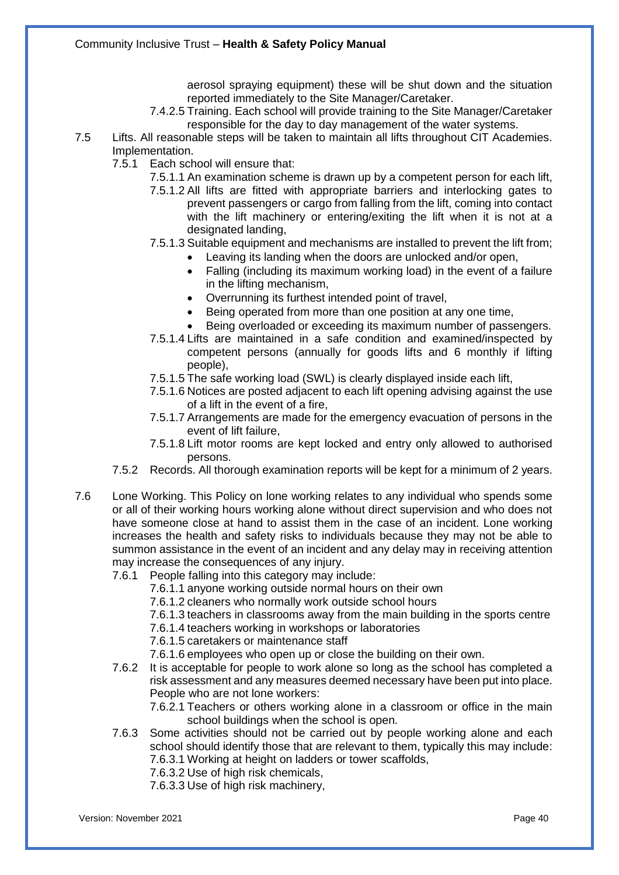aerosol spraying equipment) these will be shut down and the situation reported immediately to the Site Manager/Caretaker.

- 7.4.2.5 Training. Each school will provide training to the Site Manager/Caretaker responsible for the day to day management of the water systems.
- 7.5 Lifts. All reasonable steps will be taken to maintain all lifts throughout CIT Academies. Implementation.
	- 7.5.1 Each school will ensure that:
		- 7.5.1.1 An examination scheme is drawn up by a competent person for each lift,
		- 7.5.1.2 All lifts are fitted with appropriate barriers and interlocking gates to prevent passengers or cargo from falling from the lift, coming into contact with the lift machinery or entering/exiting the lift when it is not at a designated landing,
		- 7.5.1.3 Suitable equipment and mechanisms are installed to prevent the lift from;
			- Leaving its landing when the doors are unlocked and/or open,
			- Falling (including its maximum working load) in the event of a failure in the lifting mechanism,
			- Overrunning its furthest intended point of travel,
			- Being operated from more than one position at any one time,
			- Being overloaded or exceeding its maximum number of passengers.
		- 7.5.1.4 Lifts are maintained in a safe condition and examined/inspected by competent persons (annually for goods lifts and 6 monthly if lifting people),
		- 7.5.1.5 The safe working load (SWL) is clearly displayed inside each lift,
		- 7.5.1.6 Notices are posted adjacent to each lift opening advising against the use of a lift in the event of a fire,
		- 7.5.1.7 Arrangements are made for the emergency evacuation of persons in the event of lift failure,
		- 7.5.1.8 Lift motor rooms are kept locked and entry only allowed to authorised persons.
	- 7.5.2 Records. All thorough examination reports will be kept for a minimum of 2 years.
- 7.6 Lone Working. This Policy on lone working relates to any individual who spends some or all of their working hours working alone without direct supervision and who does not have someone close at hand to assist them in the case of an incident. Lone working increases the health and safety risks to individuals because they may not be able to summon assistance in the event of an incident and any delay may in receiving attention may increase the consequences of any injury.
	- 7.6.1 People falling into this category may include:
		- 7.6.1.1 anyone working outside normal hours on their own
		- 7.6.1.2 cleaners who normally work outside school hours
		- 7.6.1.3 teachers in classrooms away from the main building in the sports centre
		- 7.6.1.4 teachers working in workshops or laboratories
		- 7.6.1.5 caretakers or maintenance staff
		- 7.6.1.6 employees who open up or close the building on their own.
	- 7.6.2 It is acceptable for people to work alone so long as the school has completed a risk assessment and any measures deemed necessary have been put into place. People who are not lone workers:
		- 7.6.2.1 Teachers or others working alone in a classroom or office in the main school buildings when the school is open.
	- 7.6.3 Some activities should not be carried out by people working alone and each school should identify those that are relevant to them, typically this may include: 7.6.3.1 Working at height on ladders or tower scaffolds,
		- 7.6.3.2 Use of high risk chemicals,
		- 7.6.3.3 Use of high risk machinery,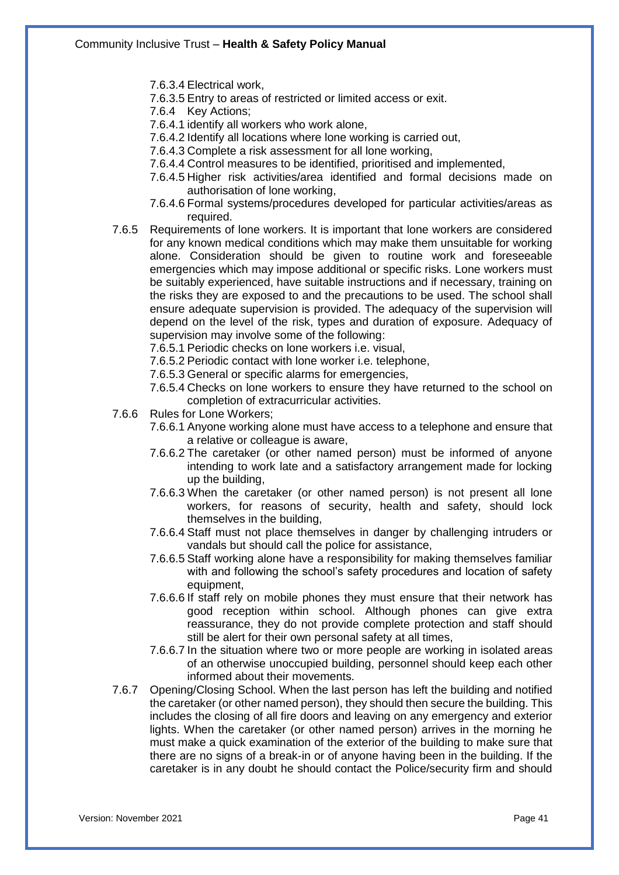- 7.6.3.4 Electrical work,
- 7.6.3.5 Entry to areas of restricted or limited access or exit.
- 7.6.4 Key Actions;
- 7.6.4.1 identify all workers who work alone,
- 7.6.4.2 Identify all locations where lone working is carried out,
- 7.6.4.3 Complete a risk assessment for all lone working,
- 7.6.4.4 Control measures to be identified, prioritised and implemented,
- 7.6.4.5 Higher risk activities/area identified and formal decisions made on authorisation of lone working,
- 7.6.4.6 Formal systems/procedures developed for particular activities/areas as required.
- 7.6.5 Requirements of lone workers. It is important that lone workers are considered for any known medical conditions which may make them unsuitable for working alone. Consideration should be given to routine work and foreseeable emergencies which may impose additional or specific risks. Lone workers must be suitably experienced, have suitable instructions and if necessary, training on the risks they are exposed to and the precautions to be used. The school shall ensure adequate supervision is provided. The adequacy of the supervision will depend on the level of the risk, types and duration of exposure. Adequacy of supervision may involve some of the following:

7.6.5.1 Periodic checks on lone workers i.e. visual,

- 7.6.5.2 Periodic contact with lone worker i.e. telephone,
- 7.6.5.3 General or specific alarms for emergencies,
- 7.6.5.4 Checks on lone workers to ensure they have returned to the school on completion of extracurricular activities.
- 7.6.6 Rules for Lone Workers;
	- 7.6.6.1 Anyone working alone must have access to a telephone and ensure that a relative or colleague is aware,
	- 7.6.6.2 The caretaker (or other named person) must be informed of anyone intending to work late and a satisfactory arrangement made for locking up the building,
	- 7.6.6.3 When the caretaker (or other named person) is not present all lone workers, for reasons of security, health and safety, should lock themselves in the building,
	- 7.6.6.4 Staff must not place themselves in danger by challenging intruders or vandals but should call the police for assistance,
	- 7.6.6.5 Staff working alone have a responsibility for making themselves familiar with and following the school's safety procedures and location of safety equipment,
	- 7.6.6.6 If staff rely on mobile phones they must ensure that their network has good reception within school. Although phones can give extra reassurance, they do not provide complete protection and staff should still be alert for their own personal safety at all times,
	- 7.6.6.7 In the situation where two or more people are working in isolated areas of an otherwise unoccupied building, personnel should keep each other informed about their movements.
- 7.6.7 Opening/Closing School. When the last person has left the building and notified the caretaker (or other named person), they should then secure the building. This includes the closing of all fire doors and leaving on any emergency and exterior lights. When the caretaker (or other named person) arrives in the morning he must make a quick examination of the exterior of the building to make sure that there are no signs of a break-in or of anyone having been in the building. If the caretaker is in any doubt he should contact the Police/security firm and should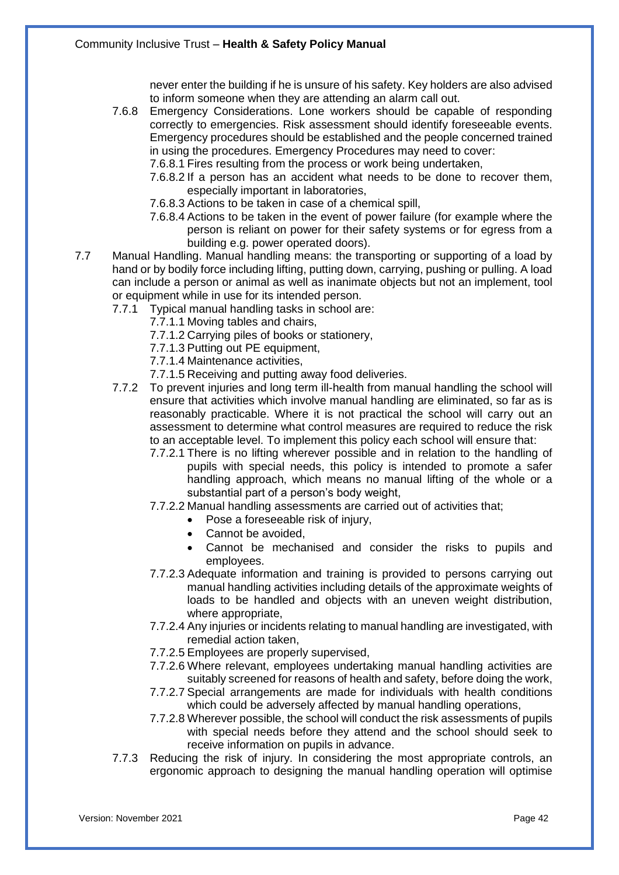never enter the building if he is unsure of his safety. Key holders are also advised to inform someone when they are attending an alarm call out.

7.6.8 Emergency Considerations. Lone workers should be capable of responding correctly to emergencies. Risk assessment should identify foreseeable events. Emergency procedures should be established and the people concerned trained in using the procedures. Emergency Procedures may need to cover:

7.6.8.1 Fires resulting from the process or work being undertaken,

- 7.6.8.2 If a person has an accident what needs to be done to recover them, especially important in laboratories,
- 7.6.8.3 Actions to be taken in case of a chemical spill,
- 7.6.8.4 Actions to be taken in the event of power failure (for example where the person is reliant on power for their safety systems or for egress from a building e.g. power operated doors).
- 7.7 Manual Handling. Manual handling means: the transporting or supporting of a load by hand or by bodily force including lifting, putting down, carrying, pushing or pulling. A load can include a person or animal as well as inanimate objects but not an implement, tool or equipment while in use for its intended person.
	- 7.7.1 Typical manual handling tasks in school are:
		- 7.7.1.1 Moving tables and chairs,
		- 7.7.1.2 Carrying piles of books or stationery,
		- 7.7.1.3 Putting out PE equipment,
		- 7.7.1.4 Maintenance activities,
		- 7.7.1.5 Receiving and putting away food deliveries.
	- 7.7.2 To prevent injuries and long term ill-health from manual handling the school will ensure that activities which involve manual handling are eliminated, so far as is reasonably practicable. Where it is not practical the school will carry out an assessment to determine what control measures are required to reduce the risk to an acceptable level. To implement this policy each school will ensure that:
		- 7.7.2.1 There is no lifting wherever possible and in relation to the handling of pupils with special needs, this policy is intended to promote a safer handling approach, which means no manual lifting of the whole or a substantial part of a person's body weight,
		- 7.7.2.2 Manual handling assessments are carried out of activities that;
			- Pose a foreseeable risk of injury,
			- Cannot be avoided,
			- Cannot be mechanised and consider the risks to pupils and employees.
		- 7.7.2.3 Adequate information and training is provided to persons carrying out manual handling activities including details of the approximate weights of loads to be handled and objects with an uneven weight distribution, where appropriate,
		- 7.7.2.4 Any injuries or incidents relating to manual handling are investigated, with remedial action taken,
		- 7.7.2.5 Employees are properly supervised,
		- 7.7.2.6 Where relevant, employees undertaking manual handling activities are suitably screened for reasons of health and safety, before doing the work,
		- 7.7.2.7 Special arrangements are made for individuals with health conditions which could be adversely affected by manual handling operations,
		- 7.7.2.8 Wherever possible, the school will conduct the risk assessments of pupils with special needs before they attend and the school should seek to receive information on pupils in advance.
	- 7.7.3 Reducing the risk of injury. In considering the most appropriate controls, an ergonomic approach to designing the manual handling operation will optimise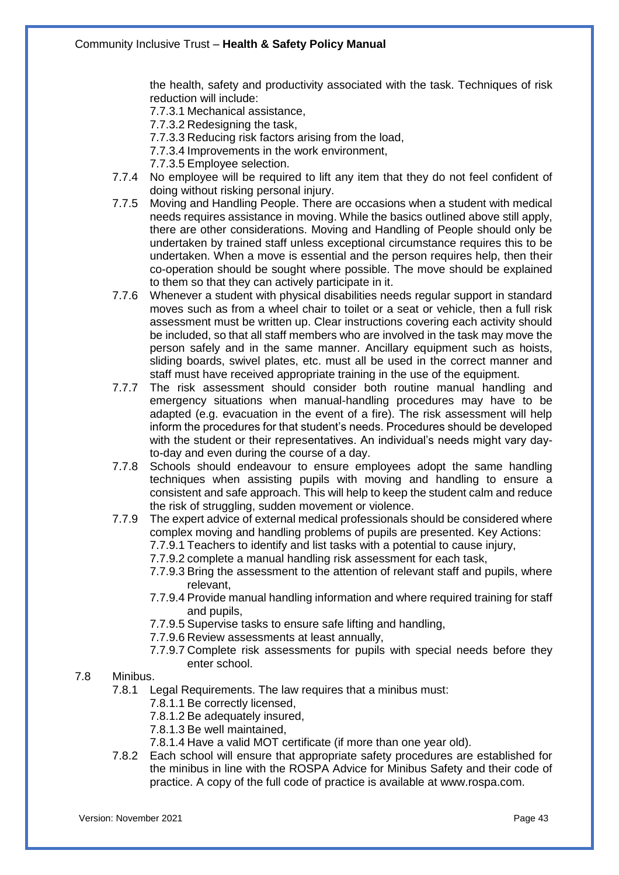the health, safety and productivity associated with the task. Techniques of risk reduction will include:

7.7.3.1 Mechanical assistance,

7.7.3.2 Redesigning the task,

7.7.3.3 Reducing risk factors arising from the load,

7.7.3.4 Improvements in the work environment,

7.7.3.5 Employee selection.

- 7.7.4 No employee will be required to lift any item that they do not feel confident of doing without risking personal injury.
- 7.7.5 Moving and Handling People. There are occasions when a student with medical needs requires assistance in moving. While the basics outlined above still apply, there are other considerations. Moving and Handling of People should only be undertaken by trained staff unless exceptional circumstance requires this to be undertaken. When a move is essential and the person requires help, then their co-operation should be sought where possible. The move should be explained to them so that they can actively participate in it.
- 7.7.6 Whenever a student with physical disabilities needs regular support in standard moves such as from a wheel chair to toilet or a seat or vehicle, then a full risk assessment must be written up. Clear instructions covering each activity should be included, so that all staff members who are involved in the task may move the person safely and in the same manner. Ancillary equipment such as hoists, sliding boards, swivel plates, etc. must all be used in the correct manner and staff must have received appropriate training in the use of the equipment.
- 7.7.7 The risk assessment should consider both routine manual handling and emergency situations when manual-handling procedures may have to be adapted (e.g. evacuation in the event of a fire). The risk assessment will help inform the procedures for that student's needs. Procedures should be developed with the student or their representatives. An individual's needs might vary dayto-day and even during the course of a day.
- 7.7.8 Schools should endeavour to ensure employees adopt the same handling techniques when assisting pupils with moving and handling to ensure a consistent and safe approach. This will help to keep the student calm and reduce the risk of struggling, sudden movement or violence.
- 7.7.9 The expert advice of external medical professionals should be considered where complex moving and handling problems of pupils are presented. Key Actions:

7.7.9.1 Teachers to identify and list tasks with a potential to cause injury,

7.7.9.2 complete a manual handling risk assessment for each task,

- 7.7.9.3 Bring the assessment to the attention of relevant staff and pupils, where relevant,
- 7.7.9.4 Provide manual handling information and where required training for staff and pupils,
- 7.7.9.5 Supervise tasks to ensure safe lifting and handling,
- 7.7.9.6 Review assessments at least annually,
- 7.7.9.7 Complete risk assessments for pupils with special needs before they enter school.

#### 7.8 Minibus.

- 7.8.1 Legal Requirements. The law requires that a minibus must:
	- 7.8.1.1 Be correctly licensed,
	- 7.8.1.2 Be adequately insured,
	- 7.8.1.3 Be well maintained,
	- 7.8.1.4 Have a valid MOT certificate (if more than one year old).
- 7.8.2 Each school will ensure that appropriate safety procedures are established for the minibus in line with the ROSPA Advice for Minibus Safety and their code of practice. A copy of the full code of practice is available at www.rospa.com.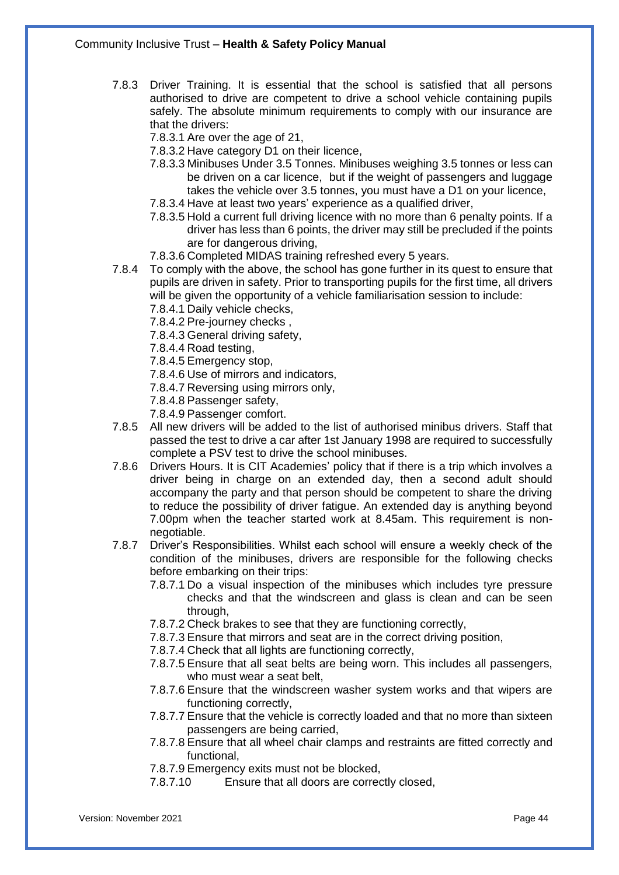- 7.8.3 Driver Training. It is essential that the school is satisfied that all persons authorised to drive are competent to drive a school vehicle containing pupils safely. The absolute minimum requirements to comply with our insurance are that the drivers:
	- 7.8.3.1 Are over the age of 21,
	- 7.8.3.2 Have category D1 on their licence,
	- 7.8.3.3 Minibuses Under 3.5 Tonnes. Minibuses weighing 3.5 tonnes or less can be driven on a car licence, but if the weight of passengers and luggage takes the vehicle over 3.5 tonnes, you must have a D1 on your licence,
	- 7.8.3.4 Have at least two years' experience as a qualified driver,
	- 7.8.3.5 Hold a current full driving licence with no more than 6 penalty points. If a driver has less than 6 points, the driver may still be precluded if the points are for dangerous driving,
	- 7.8.3.6 Completed MIDAS training refreshed every 5 years.
- 7.8.4 To comply with the above, the school has gone further in its quest to ensure that pupils are driven in safety. Prior to transporting pupils for the first time, all drivers will be given the opportunity of a vehicle familiarisation session to include:
	- 7.8.4.1 Daily vehicle checks,
	- 7.8.4.2 Pre-journey checks ,
	- 7.8.4.3 General driving safety,
	- 7.8.4.4 Road testing,
	- 7.8.4.5 Emergency stop,
	- 7.8.4.6 Use of mirrors and indicators,
	- 7.8.4.7 Reversing using mirrors only,
	- 7.8.4.8 Passenger safety,
	- 7.8.4.9 Passenger comfort.
- 7.8.5 All new drivers will be added to the list of authorised minibus drivers. Staff that passed the test to drive a car after 1st January 1998 are required to successfully complete a PSV test to drive the school minibuses.
- 7.8.6 Drivers Hours. It is CIT Academies' policy that if there is a trip which involves a driver being in charge on an extended day, then a second adult should accompany the party and that person should be competent to share the driving to reduce the possibility of driver fatigue. An extended day is anything beyond 7.00pm when the teacher started work at 8.45am. This requirement is nonnegotiable.
- 7.8.7 Driver's Responsibilities. Whilst each school will ensure a weekly check of the condition of the minibuses, drivers are responsible for the following checks before embarking on their trips:
	- 7.8.7.1 Do a visual inspection of the minibuses which includes tyre pressure checks and that the windscreen and glass is clean and can be seen through,
	- 7.8.7.2 Check brakes to see that they are functioning correctly,
	- 7.8.7.3 Ensure that mirrors and seat are in the correct driving position,
	- 7.8.7.4 Check that all lights are functioning correctly,
	- 7.8.7.5 Ensure that all seat belts are being worn. This includes all passengers, who must wear a seat belt,
	- 7.8.7.6 Ensure that the windscreen washer system works and that wipers are functioning correctly,
	- 7.8.7.7 Ensure that the vehicle is correctly loaded and that no more than sixteen passengers are being carried,
	- 7.8.7.8 Ensure that all wheel chair clamps and restraints are fitted correctly and functional,
	- 7.8.7.9 Emergency exits must not be blocked,
	- 7.8.7.10 Ensure that all doors are correctly closed,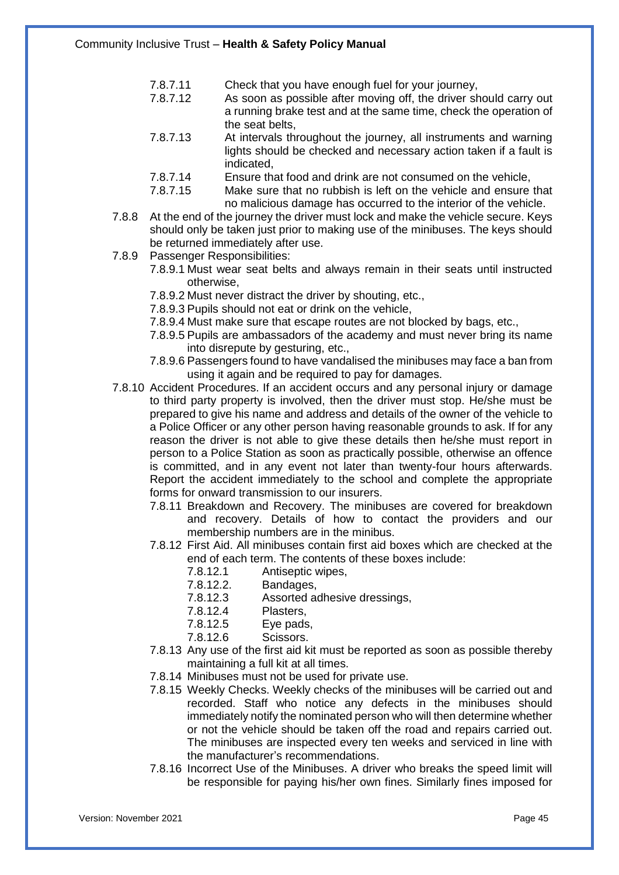- 7.8.7.11 Check that you have enough fuel for your journey,<br>7.8.7.12 As soon as possible after moving off, the driver sh
	- As soon as possible after moving off, the driver should carry out a running brake test and at the same time, check the operation of the seat belts,
- 7.8.7.13 At intervals throughout the journey, all instruments and warning lights should be checked and necessary action taken if a fault is indicated,
- 7.8.7.14 Ensure that food and drink are not consumed on the vehicle,<br>7.8.7.15 Make sure that no rubbish is left on the vehicle and ensure
- Make sure that no rubbish is left on the vehicle and ensure that no malicious damage has occurred to the interior of the vehicle.
- 7.8.8 At the end of the journey the driver must lock and make the vehicle secure. Keys should only be taken just prior to making use of the minibuses. The keys should be returned immediately after use.
- 7.8.9 Passenger Responsibilities:
	- 7.8.9.1 Must wear seat belts and always remain in their seats until instructed otherwise,
	- 7.8.9.2 Must never distract the driver by shouting, etc.,
	- 7.8.9.3 Pupils should not eat or drink on the vehicle,
	- 7.8.9.4 Must make sure that escape routes are not blocked by bags, etc.,
	- 7.8.9.5 Pupils are ambassadors of the academy and must never bring its name into disrepute by gesturing, etc.,
	- 7.8.9.6 Passengers found to have vandalised the minibuses may face a ban from using it again and be required to pay for damages.
- 7.8.10 Accident Procedures. If an accident occurs and any personal injury or damage to third party property is involved, then the driver must stop. He/she must be prepared to give his name and address and details of the owner of the vehicle to a Police Officer or any other person having reasonable grounds to ask. If for any reason the driver is not able to give these details then he/she must report in person to a Police Station as soon as practically possible, otherwise an offence is committed, and in any event not later than twenty-four hours afterwards. Report the accident immediately to the school and complete the appropriate forms for onward transmission to our insurers.
	- 7.8.11 Breakdown and Recovery. The minibuses are covered for breakdown and recovery. Details of how to contact the providers and our membership numbers are in the minibus.
	- 7.8.12 First Aid. All minibuses contain first aid boxes which are checked at the end of each term. The contents of these boxes include:
		- 7.8.12.1 Antiseptic wipes,
		- 7.8.12.2. Bandages,
		- 7.8.12.3 Assorted adhesive dressings,
		- 7.8.12.4 Plasters,
		- 7.8.12.5 Eye pads,
		- 7.8.12.6 Scissors.
	- 7.8.13 Any use of the first aid kit must be reported as soon as possible thereby maintaining a full kit at all times.
	- 7.8.14 Minibuses must not be used for private use.
	- 7.8.15 Weekly Checks. Weekly checks of the minibuses will be carried out and recorded. Staff who notice any defects in the minibuses should immediately notify the nominated person who will then determine whether or not the vehicle should be taken off the road and repairs carried out. The minibuses are inspected every ten weeks and serviced in line with the manufacturer's recommendations.
	- 7.8.16 Incorrect Use of the Minibuses. A driver who breaks the speed limit will be responsible for paying his/her own fines. Similarly fines imposed for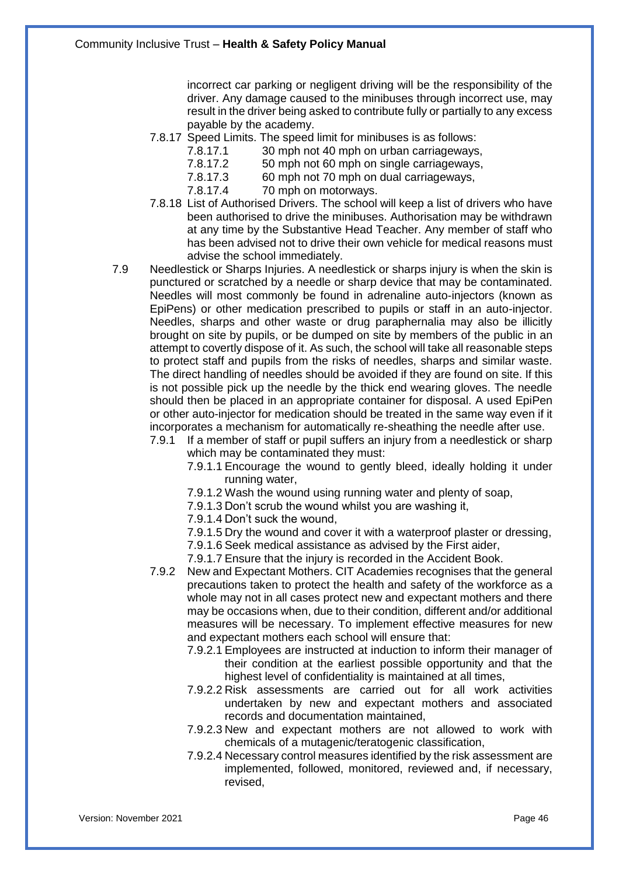incorrect car parking or negligent driving will be the responsibility of the driver. Any damage caused to the minibuses through incorrect use, may result in the driver being asked to contribute fully or partially to any excess payable by the academy.

- 7.8.17 Speed Limits. The speed limit for minibuses is as follows:
	- 7.8.17.1 30 mph not 40 mph on urban carriageways,<br>7.8.17.2 50 mph not 60 mph on single carriageways.
	- 7.8.17.2 50 mph not 60 mph on single carriageways,<br>7.8.17.3 60 mph not 70 mph on dual carriageways.
	- 7.8.17.3 60 mph not 70 mph on dual carriageways,<br>7.8.17.4 70 mph on motorways.
	- 70 mph on motorways.
- 7.8.18 List of Authorised Drivers. The school will keep a list of drivers who have been authorised to drive the minibuses. Authorisation may be withdrawn at any time by the Substantive Head Teacher. Any member of staff who has been advised not to drive their own vehicle for medical reasons must advise the school immediately.
- 7.9 Needlestick or Sharps Injuries. A needlestick or sharps injury is when the skin is punctured or scratched by a needle or sharp device that may be contaminated. Needles will most commonly be found in adrenaline auto-injectors (known as EpiPens) or other medication prescribed to pupils or staff in an auto-injector. Needles, sharps and other waste or drug paraphernalia may also be illicitly brought on site by pupils, or be dumped on site by members of the public in an attempt to covertly dispose of it. As such, the school will take all reasonable steps to protect staff and pupils from the risks of needles, sharps and similar waste. The direct handling of needles should be avoided if they are found on site. If this is not possible pick up the needle by the thick end wearing gloves. The needle should then be placed in an appropriate container for disposal. A used EpiPen or other auto-injector for medication should be treated in the same way even if it incorporates a mechanism for automatically re-sheathing the needle after use.
	- 7.9.1 If a member of staff or pupil suffers an injury from a needlestick or sharp which may be contaminated they must:
		- 7.9.1.1 Encourage the wound to gently bleed, ideally holding it under running water,
		- 7.9.1.2 Wash the wound using running water and plenty of soap,
		- 7.9.1.3 Don't scrub the wound whilst you are washing it,
		- 7.9.1.4 Don't suck the wound,
		- 7.9.1.5 Dry the wound and cover it with a waterproof plaster or dressing,
		- 7.9.1.6 Seek medical assistance as advised by the First aider,
		- 7.9.1.7 Ensure that the injury is recorded in the Accident Book.
	- 7.9.2 New and Expectant Mothers. CIT Academies recognises that the general precautions taken to protect the health and safety of the workforce as a whole may not in all cases protect new and expectant mothers and there may be occasions when, due to their condition, different and/or additional measures will be necessary. To implement effective measures for new and expectant mothers each school will ensure that:
		- 7.9.2.1 Employees are instructed at induction to inform their manager of their condition at the earliest possible opportunity and that the highest level of confidentiality is maintained at all times,
		- 7.9.2.2 Risk assessments are carried out for all work activities undertaken by new and expectant mothers and associated records and documentation maintained,
		- 7.9.2.3 New and expectant mothers are not allowed to work with chemicals of a mutagenic/teratogenic classification,
		- 7.9.2.4 Necessary control measures identified by the risk assessment are implemented, followed, monitored, reviewed and, if necessary, revised,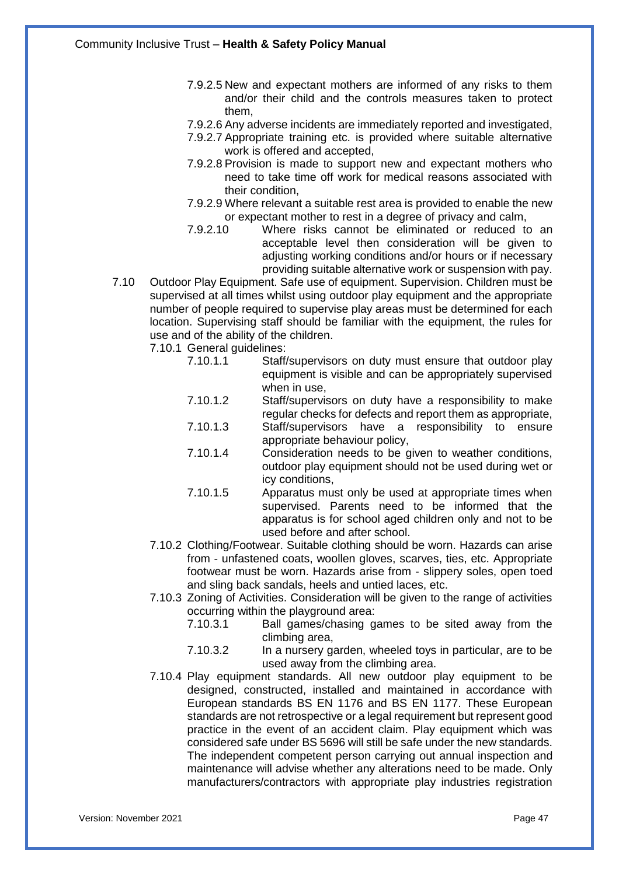- 7.9.2.5 New and expectant mothers are informed of any risks to them and/or their child and the controls measures taken to protect them,
- 7.9.2.6 Any adverse incidents are immediately reported and investigated,
- 7.9.2.7 Appropriate training etc. is provided where suitable alternative work is offered and accepted,
- 7.9.2.8 Provision is made to support new and expectant mothers who need to take time off work for medical reasons associated with their condition,
- 7.9.2.9 Where relevant a suitable rest area is provided to enable the new or expectant mother to rest in a degree of privacy and calm,
- 7.9.2.10 Where risks cannot be eliminated or reduced to an acceptable level then consideration will be given to adjusting working conditions and/or hours or if necessary providing suitable alternative work or suspension with pay.
- 7.10 Outdoor Play Equipment. Safe use of equipment. Supervision. Children must be supervised at all times whilst using outdoor play equipment and the appropriate number of people required to supervise play areas must be determined for each location. Supervising staff should be familiar with the equipment, the rules for use and of the ability of the children.

7.10.1 General guidelines:

- 7.10.1.1 Staff/supervisors on duty must ensure that outdoor play equipment is visible and can be appropriately supervised when in use,
- 7.10.1.2 Staff/supervisors on duty have a responsibility to make regular checks for defects and report them as appropriate,
- 7.10.1.3 Staff/supervisors have a responsibility to ensure appropriate behaviour policy,
- 7.10.1.4 Consideration needs to be given to weather conditions, outdoor play equipment should not be used during wet or icy conditions,
- 7.10.1.5 Apparatus must only be used at appropriate times when supervised. Parents need to be informed that the apparatus is for school aged children only and not to be used before and after school.
- 7.10.2 Clothing/Footwear. Suitable clothing should be worn. Hazards can arise from - unfastened coats, woollen gloves, scarves, ties, etc. Appropriate footwear must be worn. Hazards arise from - slippery soles, open toed and sling back sandals, heels and untied laces, etc.
- 7.10.3 Zoning of Activities. Consideration will be given to the range of activities occurring within the playground area:
	- 7.10.3.1 Ball games/chasing games to be sited away from the climbing area,
	- 7.10.3.2 In a nursery garden, wheeled toys in particular, are to be used away from the climbing area.
- 7.10.4 Play equipment standards. All new outdoor play equipment to be designed, constructed, installed and maintained in accordance with European standards BS EN 1176 and BS EN 1177. These European standards are not retrospective or a legal requirement but represent good practice in the event of an accident claim. Play equipment which was considered safe under BS 5696 will still be safe under the new standards. The independent competent person carrying out annual inspection and maintenance will advise whether any alterations need to be made. Only manufacturers/contractors with appropriate play industries registration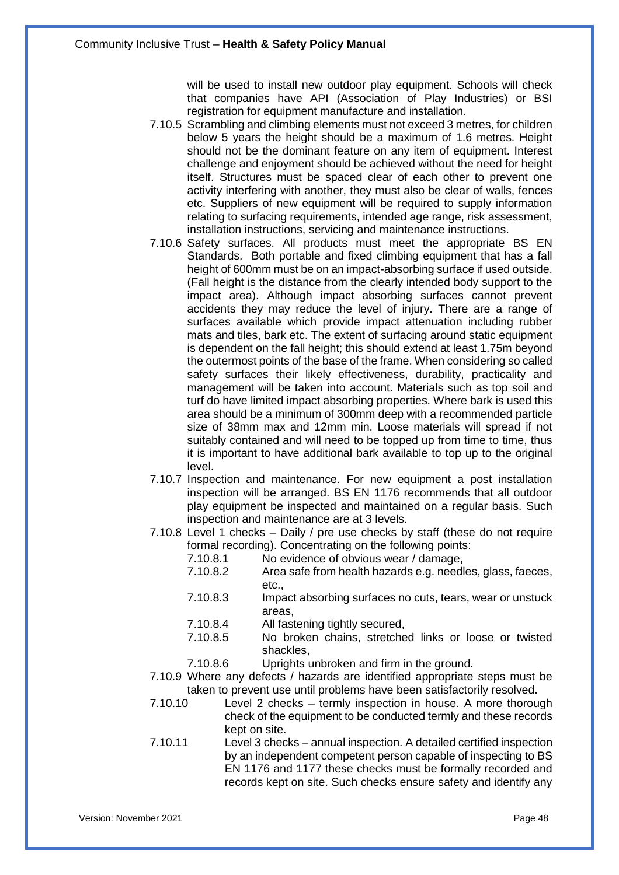will be used to install new outdoor play equipment. Schools will check that companies have API (Association of Play Industries) or BSI registration for equipment manufacture and installation.

- 7.10.5 Scrambling and climbing elements must not exceed 3 metres, for children below 5 years the height should be a maximum of 1.6 metres. Height should not be the dominant feature on any item of equipment. Interest challenge and enjoyment should be achieved without the need for height itself. Structures must be spaced clear of each other to prevent one activity interfering with another, they must also be clear of walls, fences etc. Suppliers of new equipment will be required to supply information relating to surfacing requirements, intended age range, risk assessment, installation instructions, servicing and maintenance instructions.
- 7.10.6 Safety surfaces. All products must meet the appropriate BS EN Standards. Both portable and fixed climbing equipment that has a fall height of 600mm must be on an impact-absorbing surface if used outside. (Fall height is the distance from the clearly intended body support to the impact area). Although impact absorbing surfaces cannot prevent accidents they may reduce the level of injury. There are a range of surfaces available which provide impact attenuation including rubber mats and tiles, bark etc. The extent of surfacing around static equipment is dependent on the fall height; this should extend at least 1.75m beyond the outermost points of the base of the frame. When considering so called safety surfaces their likely effectiveness, durability, practicality and management will be taken into account. Materials such as top soil and turf do have limited impact absorbing properties. Where bark is used this area should be a minimum of 300mm deep with a recommended particle size of 38mm max and 12mm min. Loose materials will spread if not suitably contained and will need to be topped up from time to time, thus it is important to have additional bark available to top up to the original level.
- 7.10.7 Inspection and maintenance. For new equipment a post installation inspection will be arranged. BS EN 1176 recommends that all outdoor play equipment be inspected and maintained on a regular basis. Such inspection and maintenance are at 3 levels.
- 7.10.8 Level 1 checks Daily / pre use checks by staff (these do not require formal recording). Concentrating on the following points:
	- 7.10.8.1 No evidence of obvious wear / damage,
	- 7.10.8.2 Area safe from health hazards e.g. needles, glass, faeces, etc.,
	- 7.10.8.3 Impact absorbing surfaces no cuts, tears, wear or unstuck areas,
	- 7.10.8.4 All fastening tightly secured,
	- 7.10.8.5 No broken chains, stretched links or loose or twisted shackles,
	- 7.10.8.6 Uprights unbroken and firm in the ground.
- 7.10.9 Where any defects / hazards are identified appropriate steps must be taken to prevent use until problems have been satisfactorily resolved.
- 7.10.10 Level 2 checks termly inspection in house. A more thorough check of the equipment to be conducted termly and these records kept on site.
- 7.10.11 Level 3 checks annual inspection. A detailed certified inspection by an independent competent person capable of inspecting to BS EN 1176 and 1177 these checks must be formally recorded and records kept on site. Such checks ensure safety and identify any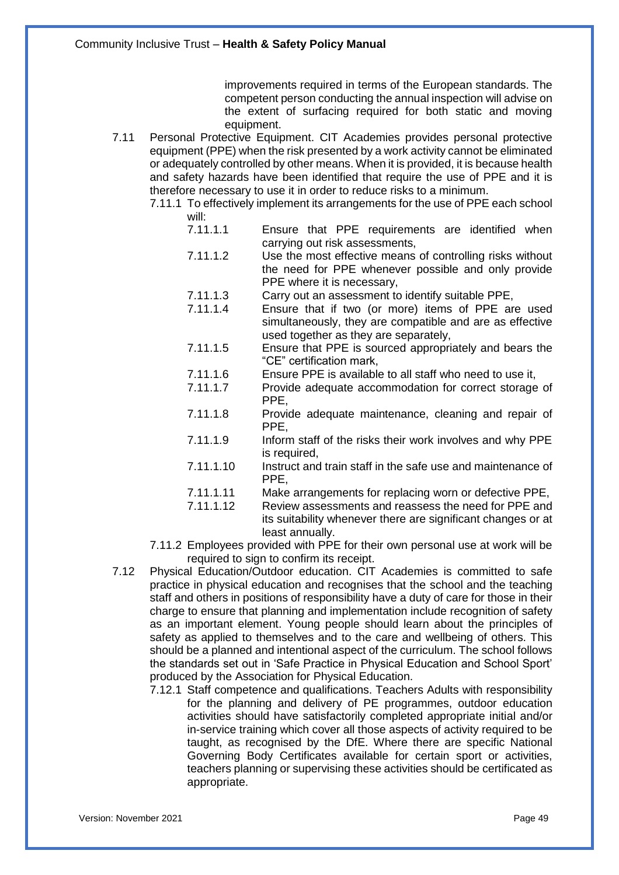improvements required in terms of the European standards. The competent person conducting the annual inspection will advise on the extent of surfacing required for both static and moving equipment.

- 7.11 Personal Protective Equipment. CIT Academies provides personal protective equipment (PPE) when the risk presented by a work activity cannot be eliminated or adequately controlled by other means. When it is provided, it is because health and safety hazards have been identified that require the use of PPE and it is therefore necessary to use it in order to reduce risks to a minimum.
	- 7.11.1 To effectively implement its arrangements for the use of PPE each school will:
		- 7.11.1.1 Ensure that PPE requirements are identified when carrying out risk assessments,
		- 7.11.1.2 Use the most effective means of controlling risks without the need for PPE whenever possible and only provide PPE where it is necessary,
		- 7.11.1.3 Carry out an assessment to identify suitable PPE,
		- 7.11.1.4 Ensure that if two (or more) items of PPE are used simultaneously, they are compatible and are as effective used together as they are separately,
		- 7.11.1.5 Ensure that PPE is sourced appropriately and bears the "CE" certification mark,
		- 7.11.1.6 Ensure PPE is available to all staff who need to use it,<br>7.11.1.7 Provide adequate accommodation for correct storage
			- Provide adequate accommodation for correct storage of PPE,
		- 7.11.1.8 Provide adequate maintenance, cleaning and repair of PPE,
		- 7.11.1.9 Inform staff of the risks their work involves and why PPE is required,
		- 7.11.1.10 Instruct and train staff in the safe use and maintenance of PPE,
		- 7.11.1.11 Make arrangements for replacing worn or defective PPE,
		- 7.11.1.12 Review assessments and reassess the need for PPE and its suitability whenever there are significant changes or at least annually.
	- 7.11.2 Employees provided with PPE for their own personal use at work will be required to sign to confirm its receipt.
- 7.12 Physical Education/Outdoor education. CIT Academies is committed to safe practice in physical education and recognises that the school and the teaching staff and others in positions of responsibility have a duty of care for those in their charge to ensure that planning and implementation include recognition of safety as an important element. Young people should learn about the principles of safety as applied to themselves and to the care and wellbeing of others. This should be a planned and intentional aspect of the curriculum. The school follows the standards set out in 'Safe Practice in Physical Education and School Sport' produced by the Association for Physical Education.
	- 7.12.1 Staff competence and qualifications. Teachers Adults with responsibility for the planning and delivery of PE programmes, outdoor education activities should have satisfactorily completed appropriate initial and/or in-service training which cover all those aspects of activity required to be taught, as recognised by the DfE. Where there are specific National Governing Body Certificates available for certain sport or activities, teachers planning or supervising these activities should be certificated as appropriate.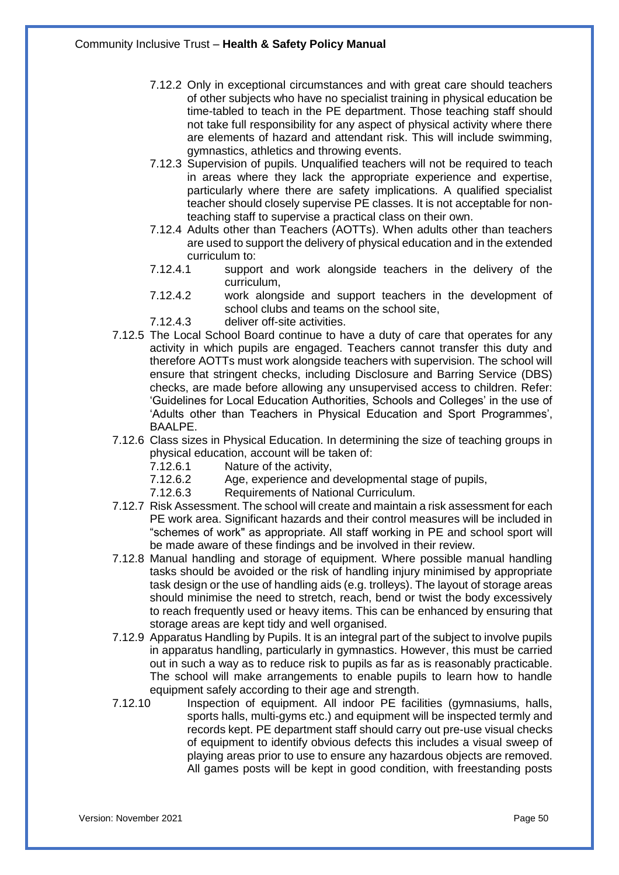- 7.12.2 Only in exceptional circumstances and with great care should teachers of other subjects who have no specialist training in physical education be time-tabled to teach in the PE department. Those teaching staff should not take full responsibility for any aspect of physical activity where there are elements of hazard and attendant risk. This will include swimming, gymnastics, athletics and throwing events.
- 7.12.3 Supervision of pupils. Unqualified teachers will not be required to teach in areas where they lack the appropriate experience and expertise, particularly where there are safety implications. A qualified specialist teacher should closely supervise PE classes. It is not acceptable for nonteaching staff to supervise a practical class on their own.
- 7.12.4 Adults other than Teachers (AOTTs). When adults other than teachers are used to support the delivery of physical education and in the extended curriculum to:
- 7.12.4.1 support and work alongside teachers in the delivery of the curriculum,
- 7.12.4.2 work alongside and support teachers in the development of school clubs and teams on the school site,
- 7.12.4.3 deliver off-site activities.
- 7.12.5 The Local School Board continue to have a duty of care that operates for any activity in which pupils are engaged. Teachers cannot transfer this duty and therefore AOTTs must work alongside teachers with supervision. The school will ensure that stringent checks, including Disclosure and Barring Service (DBS) checks, are made before allowing any unsupervised access to children. Refer: 'Guidelines for Local Education Authorities, Schools and Colleges' in the use of 'Adults other than Teachers in Physical Education and Sport Programmes', BAALPE.
- 7.12.6 Class sizes in Physical Education. In determining the size of teaching groups in physical education, account will be taken of:
	- 7.12.6.1 Nature of the activity,
	- 7.12.6.2 Age, experience and developmental stage of pupils,
	- 7.12.6.3 Requirements of National Curriculum.
- 7.12.7 Risk Assessment. The school will create and maintain a risk assessment for each PE work area. Significant hazards and their control measures will be included in "schemes of work" as appropriate. All staff working in PE and school sport will be made aware of these findings and be involved in their review.
- 7.12.8 Manual handling and storage of equipment. Where possible manual handling tasks should be avoided or the risk of handling injury minimised by appropriate task design or the use of handling aids (e.g. trolleys). The layout of storage areas should minimise the need to stretch, reach, bend or twist the body excessively to reach frequently used or heavy items. This can be enhanced by ensuring that storage areas are kept tidy and well organised.
- 7.12.9 Apparatus Handling by Pupils. It is an integral part of the subject to involve pupils in apparatus handling, particularly in gymnastics. However, this must be carried out in such a way as to reduce risk to pupils as far as is reasonably practicable. The school will make arrangements to enable pupils to learn how to handle equipment safely according to their age and strength.
- 7.12.10 Inspection of equipment. All indoor PE facilities (gymnasiums, halls, sports halls, multi-gyms etc.) and equipment will be inspected termly and records kept. PE department staff should carry out pre-use visual checks of equipment to identify obvious defects this includes a visual sweep of playing areas prior to use to ensure any hazardous objects are removed. All games posts will be kept in good condition, with freestanding posts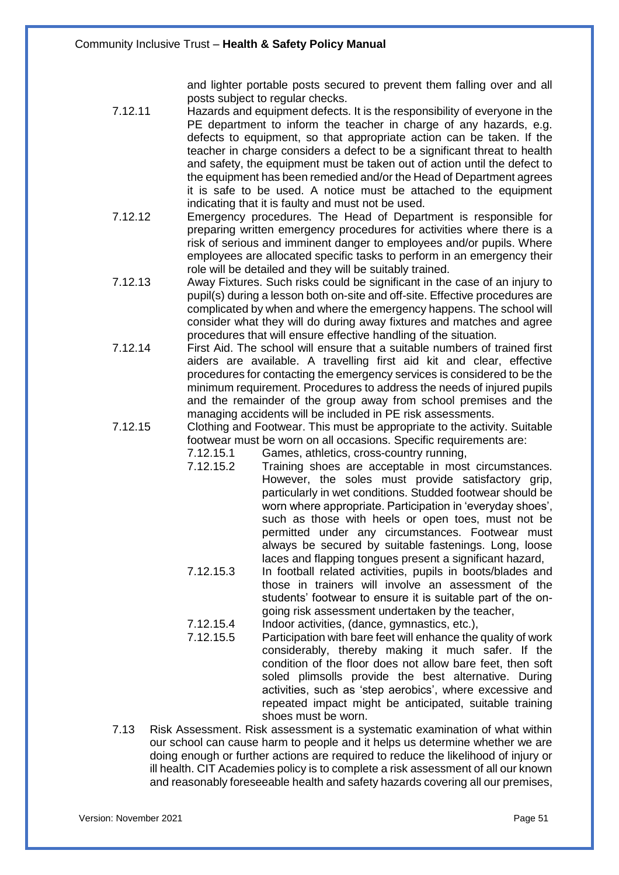and lighter portable posts secured to prevent them falling over and all posts subject to regular checks.

- 7.12.11 Hazards and equipment defects. It is the responsibility of everyone in the PE department to inform the teacher in charge of any hazards, e.g. defects to equipment, so that appropriate action can be taken. If the teacher in charge considers a defect to be a significant threat to health and safety, the equipment must be taken out of action until the defect to the equipment has been remedied and/or the Head of Department agrees it is safe to be used. A notice must be attached to the equipment indicating that it is faulty and must not be used.
- 7.12.12 Emergency procedures. The Head of Department is responsible for preparing written emergency procedures for activities where there is a risk of serious and imminent danger to employees and/or pupils. Where employees are allocated specific tasks to perform in an emergency their role will be detailed and they will be suitably trained.
- 7.12.13 Away Fixtures. Such risks could be significant in the case of an injury to pupil(s) during a lesson both on-site and off-site. Effective procedures are complicated by when and where the emergency happens. The school will consider what they will do during away fixtures and matches and agree procedures that will ensure effective handling of the situation.
- 7.12.14 First Aid. The school will ensure that a suitable numbers of trained first aiders are available. A travelling first aid kit and clear, effective procedures for contacting the emergency services is considered to be the minimum requirement. Procedures to address the needs of injured pupils and the remainder of the group away from school premises and the managing accidents will be included in PE risk assessments.
- 7.12.15 Clothing and Footwear. This must be appropriate to the activity. Suitable footwear must be worn on all occasions. Specific requirements are:

7.12.15.1 Games, athletics, cross-country running,

- 7.12.15.2 Training shoes are acceptable in most circumstances. However, the soles must provide satisfactory grip, particularly in wet conditions. Studded footwear should be worn where appropriate. Participation in 'everyday shoes', such as those with heels or open toes, must not be permitted under any circumstances. Footwear must always be secured by suitable fastenings. Long, loose laces and flapping tongues present a significant hazard,
- 7.12.15.3 In football related activities, pupils in boots/blades and those in trainers will involve an assessment of the students' footwear to ensure it is suitable part of the ongoing risk assessment undertaken by the teacher,
- 7.12.15.4 Indoor activities, (dance, gymnastics, etc.),
- 7.12.15.5 Participation with bare feet will enhance the quality of work considerably, thereby making it much safer. If the condition of the floor does not allow bare feet, then soft soled plimsolls provide the best alternative. During activities, such as 'step aerobics', where excessive and repeated impact might be anticipated, suitable training shoes must be worn.
- 7.13 Risk Assessment. Risk assessment is a systematic examination of what within our school can cause harm to people and it helps us determine whether we are doing enough or further actions are required to reduce the likelihood of injury or ill health. CIT Academies policy is to complete a risk assessment of all our known and reasonably foreseeable health and safety hazards covering all our premises,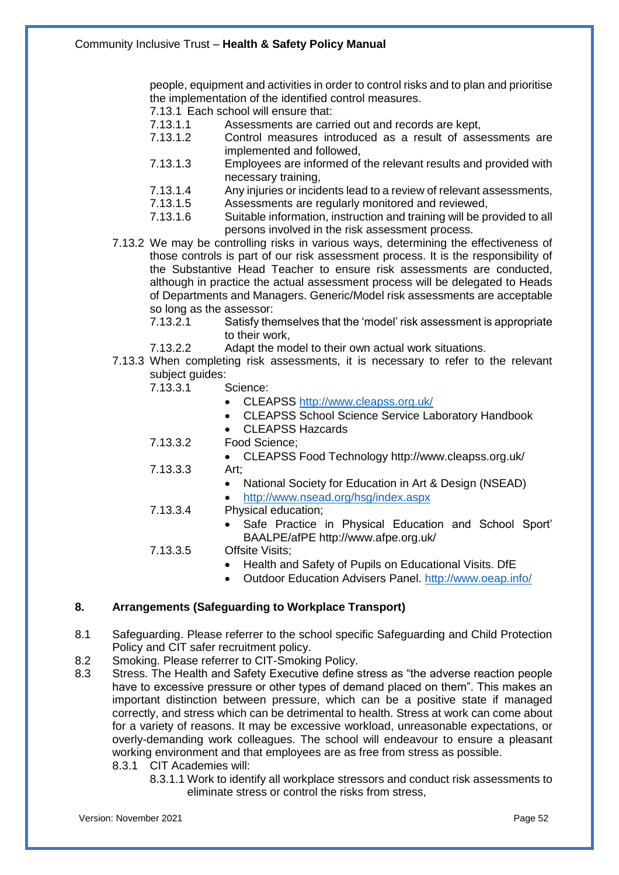people, equipment and activities in order to control risks and to plan and prioritise the implementation of the identified control measures.

7.13.1 Each school will ensure that:<br>7.13.1.1 Assessments are carr

- Assessments are carried out and records are kept,
- 7.13.1.2 Control measures introduced as a result of assessments are implemented and followed,
- 7.13.1.3 Employees are informed of the relevant results and provided with necessary training,
- 7.13.1.4 Any injuries or incidents lead to a review of relevant assessments,<br>7.13.1.5 Assessments are regularly monitored and reviewed.
- Assessments are regularly monitored and reviewed,
- 7.13.1.6 Suitable information, instruction and training will be provided to all persons involved in the risk assessment process.
- 7.13.2 We may be controlling risks in various ways, determining the effectiveness of those controls is part of our risk assessment process. It is the responsibility of the Substantive Head Teacher to ensure risk assessments are conducted, although in practice the actual assessment process will be delegated to Heads of Departments and Managers. Generic/Model risk assessments are acceptable so long as the assessor:
	- 7.13.2.1 Satisfy themselves that the 'model' risk assessment is appropriate to their work,
	- 7.13.2.2 Adapt the model to their own actual work situations.
- 7.13.3 When completing risk assessments, it is necessary to refer to the relevant subject guides:<br>7.13.3.1
	- Science:
		- CLEAPSS<http://www.cleapss.org.uk/>
		- CLEAPSS School Science Service Laboratory Handbook
		- CLEAPSS Hazcards
	- 7.13.3.2 Food Science;
		- CLEAPSS Food Technology http://www.cleapss.org.uk/
	- 7.13.3.3 Art;
		- National Society for Education in Art & Design (NSEAD)
		- <http://www.nsead.org/hsg/index.aspx>
	- 7.13.3.4 Physical education;
		- Safe Practice in Physical Education and School Sport' BAALPE/afPE http://www.afpe.org.uk/
	- 7.13.3.5 Offsite Visits;
		- Health and Safety of Pupils on Educational Visits. DfE
		- Outdoor Education Advisers Panel.<http://www.oeap.info/>

### **8. Arrangements (Safeguarding to Workplace Transport)**

- 8.1 Safeguarding. Please referrer to the school specific Safeguarding and Child Protection Policy and CIT safer recruitment policy.
- 8.2 Smoking. Please referrer to CIT-Smoking Policy.
- 8.3 Stress. The Health and Safety Executive define stress as "the adverse reaction people have to excessive pressure or other types of demand placed on them". This makes an important distinction between pressure, which can be a positive state if managed correctly, and stress which can be detrimental to health. Stress at work can come about for a variety of reasons. It may be excessive workload, unreasonable expectations, or overly-demanding work colleagues. The school will endeavour to ensure a pleasant working environment and that employees are as free from stress as possible. 8.3.1 CIT Academies will:
	- 8.3.1.1 Work to identify all workplace stressors and conduct risk assessments to eliminate stress or control the risks from stress,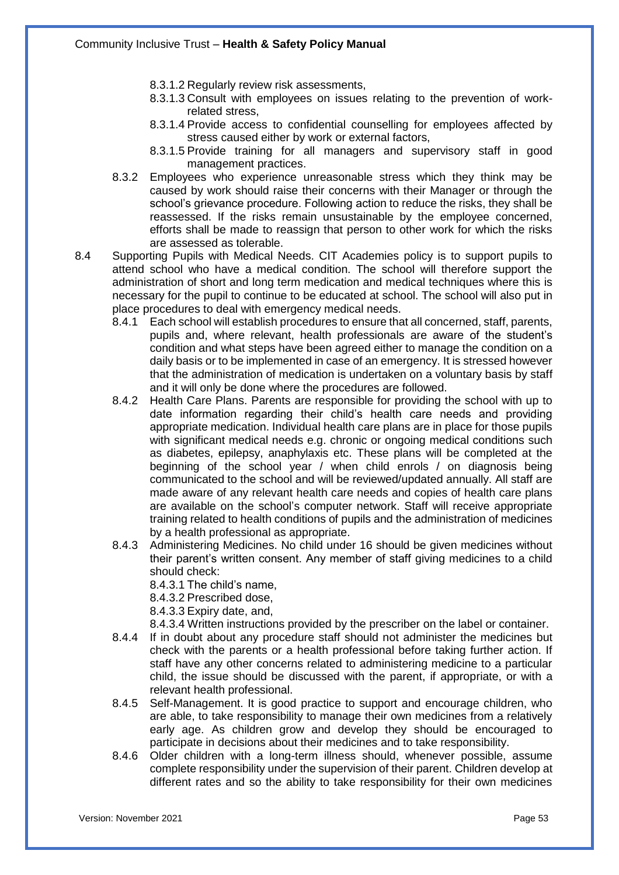- 8.3.1.2 Regularly review risk assessments,
- 8.3.1.3 Consult with employees on issues relating to the prevention of workrelated stress,
- 8.3.1.4 Provide access to confidential counselling for employees affected by stress caused either by work or external factors,
- 8.3.1.5 Provide training for all managers and supervisory staff in good management practices.
- 8.3.2 Employees who experience unreasonable stress which they think may be caused by work should raise their concerns with their Manager or through the school's grievance procedure. Following action to reduce the risks, they shall be reassessed. If the risks remain unsustainable by the employee concerned, efforts shall be made to reassign that person to other work for which the risks are assessed as tolerable.
- 8.4 Supporting Pupils with Medical Needs. CIT Academies policy is to support pupils to attend school who have a medical condition. The school will therefore support the administration of short and long term medication and medical techniques where this is necessary for the pupil to continue to be educated at school. The school will also put in place procedures to deal with emergency medical needs.
	- 8.4.1 Each school will establish procedures to ensure that all concerned, staff, parents, pupils and, where relevant, health professionals are aware of the student's condition and what steps have been agreed either to manage the condition on a daily basis or to be implemented in case of an emergency. It is stressed however that the administration of medication is undertaken on a voluntary basis by staff and it will only be done where the procedures are followed.
	- 8.4.2 Health Care Plans. Parents are responsible for providing the school with up to date information regarding their child's health care needs and providing appropriate medication. Individual health care plans are in place for those pupils with significant medical needs e.g. chronic or ongoing medical conditions such as diabetes, epilepsy, anaphylaxis etc. These plans will be completed at the beginning of the school year / when child enrols / on diagnosis being communicated to the school and will be reviewed/updated annually. All staff are made aware of any relevant health care needs and copies of health care plans are available on the school's computer network. Staff will receive appropriate training related to health conditions of pupils and the administration of medicines by a health professional as appropriate.
	- 8.4.3 Administering Medicines. No child under 16 should be given medicines without their parent's written consent. Any member of staff giving medicines to a child should check:
		- 8.4.3.1 The child's name,
		- 8.4.3.2 Prescribed dose,
		- 8.4.3.3 Expiry date, and,
		- 8.4.3.4 Written instructions provided by the prescriber on the label or container.
	- 8.4.4 If in doubt about any procedure staff should not administer the medicines but check with the parents or a health professional before taking further action. If staff have any other concerns related to administering medicine to a particular child, the issue should be discussed with the parent, if appropriate, or with a relevant health professional.
	- 8.4.5 Self-Management. It is good practice to support and encourage children, who are able, to take responsibility to manage their own medicines from a relatively early age. As children grow and develop they should be encouraged to participate in decisions about their medicines and to take responsibility.
	- 8.4.6 Older children with a long-term illness should, whenever possible, assume complete responsibility under the supervision of their parent. Children develop at different rates and so the ability to take responsibility for their own medicines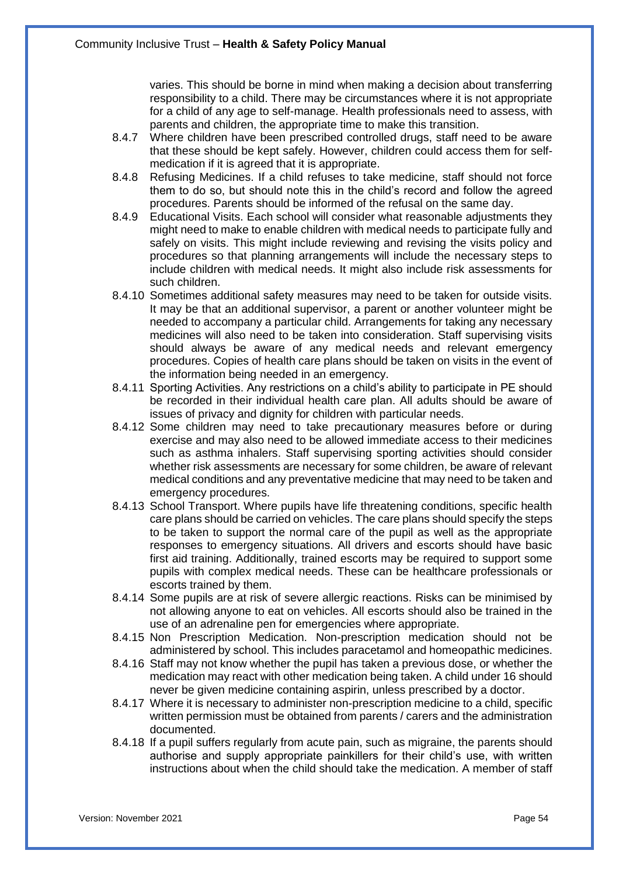varies. This should be borne in mind when making a decision about transferring responsibility to a child. There may be circumstances where it is not appropriate for a child of any age to self-manage. Health professionals need to assess, with parents and children, the appropriate time to make this transition.

- 8.4.7 Where children have been prescribed controlled drugs, staff need to be aware that these should be kept safely. However, children could access them for selfmedication if it is agreed that it is appropriate.
- 8.4.8 Refusing Medicines. If a child refuses to take medicine, staff should not force them to do so, but should note this in the child's record and follow the agreed procedures. Parents should be informed of the refusal on the same day.
- 8.4.9 Educational Visits. Each school will consider what reasonable adjustments they might need to make to enable children with medical needs to participate fully and safely on visits. This might include reviewing and revising the visits policy and procedures so that planning arrangements will include the necessary steps to include children with medical needs. It might also include risk assessments for such children.
- 8.4.10 Sometimes additional safety measures may need to be taken for outside visits. It may be that an additional supervisor, a parent or another volunteer might be needed to accompany a particular child. Arrangements for taking any necessary medicines will also need to be taken into consideration. Staff supervising visits should always be aware of any medical needs and relevant emergency procedures. Copies of health care plans should be taken on visits in the event of the information being needed in an emergency.
- 8.4.11 Sporting Activities. Any restrictions on a child's ability to participate in PE should be recorded in their individual health care plan. All adults should be aware of issues of privacy and dignity for children with particular needs.
- 8.4.12 Some children may need to take precautionary measures before or during exercise and may also need to be allowed immediate access to their medicines such as asthma inhalers. Staff supervising sporting activities should consider whether risk assessments are necessary for some children, be aware of relevant medical conditions and any preventative medicine that may need to be taken and emergency procedures.
- 8.4.13 School Transport. Where pupils have life threatening conditions, specific health care plans should be carried on vehicles. The care plans should specify the steps to be taken to support the normal care of the pupil as well as the appropriate responses to emergency situations. All drivers and escorts should have basic first aid training. Additionally, trained escorts may be required to support some pupils with complex medical needs. These can be healthcare professionals or escorts trained by them.
- 8.4.14 Some pupils are at risk of severe allergic reactions. Risks can be minimised by not allowing anyone to eat on vehicles. All escorts should also be trained in the use of an adrenaline pen for emergencies where appropriate.
- 8.4.15 Non Prescription Medication. Non-prescription medication should not be administered by school. This includes paracetamol and homeopathic medicines.
- 8.4.16 Staff may not know whether the pupil has taken a previous dose, or whether the medication may react with other medication being taken. A child under 16 should never be given medicine containing aspirin, unless prescribed by a doctor.
- 8.4.17 Where it is necessary to administer non-prescription medicine to a child, specific written permission must be obtained from parents / carers and the administration documented.
- 8.4.18 If a pupil suffers regularly from acute pain, such as migraine, the parents should authorise and supply appropriate painkillers for their child's use, with written instructions about when the child should take the medication. A member of staff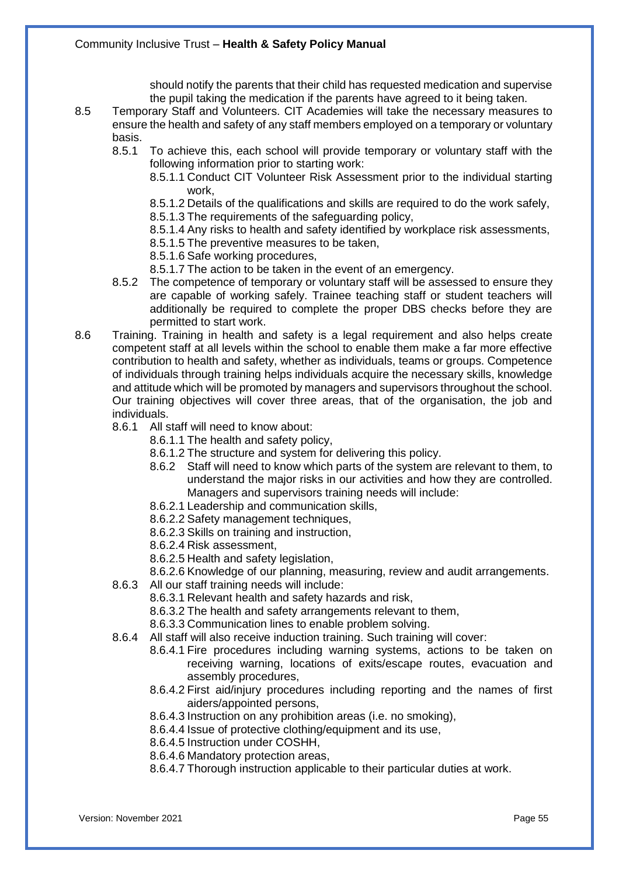should notify the parents that their child has requested medication and supervise the pupil taking the medication if the parents have agreed to it being taken.

- 8.5 Temporary Staff and Volunteers. CIT Academies will take the necessary measures to ensure the health and safety of any staff members employed on a temporary or voluntary basis.
	- 8.5.1 To achieve this, each school will provide temporary or voluntary staff with the following information prior to starting work:
		- 8.5.1.1 Conduct CIT Volunteer Risk Assessment prior to the individual starting work,

8.5.1.2 Details of the qualifications and skills are required to do the work safely,

- 8.5.1.3 The requirements of the safeguarding policy,
- 8.5.1.4 Any risks to health and safety identified by workplace risk assessments,
- 8.5.1.5 The preventive measures to be taken,

8.5.1.6 Safe working procedures,

- 8.5.1.7 The action to be taken in the event of an emergency.
- 8.5.2 The competence of temporary or voluntary staff will be assessed to ensure they are capable of working safely. Trainee teaching staff or student teachers will additionally be required to complete the proper DBS checks before they are permitted to start work.
- 8.6 Training. Training in health and safety is a legal requirement and also helps create competent staff at all levels within the school to enable them make a far more effective contribution to health and safety, whether as individuals, teams or groups. Competence of individuals through training helps individuals acquire the necessary skills, knowledge and attitude which will be promoted by managers and supervisors throughout the school. Our training objectives will cover three areas, that of the organisation, the job and individuals.
	- 8.6.1 All staff will need to know about:
		- 8.6.1.1 The health and safety policy,
		- 8.6.1.2 The structure and system for delivering this policy.
		- 8.6.2 Staff will need to know which parts of the system are relevant to them, to understand the major risks in our activities and how they are controlled. Managers and supervisors training needs will include:
		- 8.6.2.1 Leadership and communication skills,
		- 8.6.2.2 Safety management techniques,
		- 8.6.2.3 Skills on training and instruction,
		- 8.6.2.4 Risk assessment,
		- 8.6.2.5 Health and safety legislation,
		- 8.6.2.6 Knowledge of our planning, measuring, review and audit arrangements.
	- 8.6.3 All our staff training needs will include:
		- 8.6.3.1 Relevant health and safety hazards and risk,
		- 8.6.3.2 The health and safety arrangements relevant to them,
		- 8.6.3.3 Communication lines to enable problem solving.
	- 8.6.4 All staff will also receive induction training. Such training will cover:
		- 8.6.4.1 Fire procedures including warning systems, actions to be taken on receiving warning, locations of exits/escape routes, evacuation and assembly procedures,
		- 8.6.4.2 First aid/injury procedures including reporting and the names of first aiders/appointed persons,
		- 8.6.4.3 Instruction on any prohibition areas (i.e. no smoking),
		- 8.6.4.4 Issue of protective clothing/equipment and its use,
		- 8.6.4.5 Instruction under COSHH,
		- 8.6.4.6 Mandatory protection areas,
		- 8.6.4.7 Thorough instruction applicable to their particular duties at work.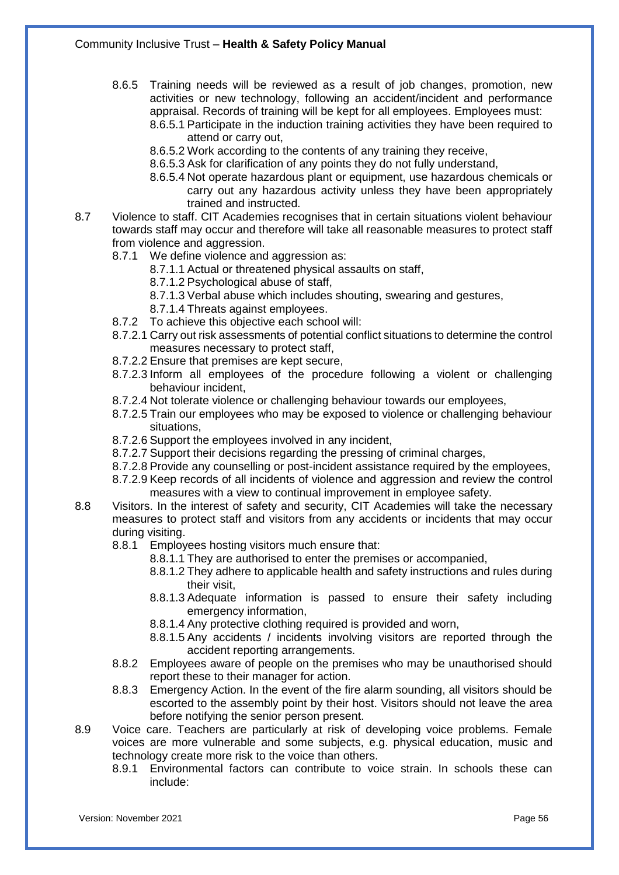- 8.6.5 Training needs will be reviewed as a result of job changes, promotion, new activities or new technology, following an accident/incident and performance appraisal. Records of training will be kept for all employees. Employees must:
	- 8.6.5.1 Participate in the induction training activities they have been required to attend or carry out,
	- 8.6.5.2 Work according to the contents of any training they receive,
	- 8.6.5.3 Ask for clarification of any points they do not fully understand,
	- 8.6.5.4 Not operate hazardous plant or equipment, use hazardous chemicals or carry out any hazardous activity unless they have been appropriately trained and instructed.
- 8.7 Violence to staff. CIT Academies recognises that in certain situations violent behaviour towards staff may occur and therefore will take all reasonable measures to protect staff from violence and aggression.
	- 8.7.1 We define violence and aggression as:
		- 8.7.1.1 Actual or threatened physical assaults on staff,
		- 8.7.1.2 Psychological abuse of staff,
		- 8.7.1.3 Verbal abuse which includes shouting, swearing and gestures,
		- 8.7.1.4 Threats against employees.
	- 8.7.2 To achieve this objective each school will:
	- 8.7.2.1 Carry out risk assessments of potential conflict situations to determine the control measures necessary to protect staff,
	- 8.7.2.2 Ensure that premises are kept secure,
	- 8.7.2.3 Inform all employees of the procedure following a violent or challenging behaviour incident,
	- 8.7.2.4 Not tolerate violence or challenging behaviour towards our employees,
	- 8.7.2.5 Train our employees who may be exposed to violence or challenging behaviour situations,
	- 8.7.2.6 Support the employees involved in any incident,
	- 8.7.2.7 Support their decisions regarding the pressing of criminal charges,
	- 8.7.2.8 Provide any counselling or post-incident assistance required by the employees,
	- 8.7.2.9 Keep records of all incidents of violence and aggression and review the control measures with a view to continual improvement in employee safety.
- 8.8 Visitors. In the interest of safety and security, CIT Academies will take the necessary measures to protect staff and visitors from any accidents or incidents that may occur during visiting.
	- 8.8.1 Employees hosting visitors much ensure that:
		- 8.8.1.1 They are authorised to enter the premises or accompanied,
		- 8.8.1.2 They adhere to applicable health and safety instructions and rules during their visit,
		- 8.8.1.3 Adequate information is passed to ensure their safety including emergency information,
		- 8.8.1.4 Any protective clothing required is provided and worn,
		- 8.8.1.5 Any accidents / incidents involving visitors are reported through the accident reporting arrangements.
	- 8.8.2 Employees aware of people on the premises who may be unauthorised should report these to their manager for action.
	- 8.8.3 Emergency Action. In the event of the fire alarm sounding, all visitors should be escorted to the assembly point by their host. Visitors should not leave the area before notifying the senior person present.
- 8.9 Voice care. Teachers are particularly at risk of developing voice problems. Female voices are more vulnerable and some subjects, e.g. physical education, music and technology create more risk to the voice than others.
	- 8.9.1 Environmental factors can contribute to voice strain. In schools these can include: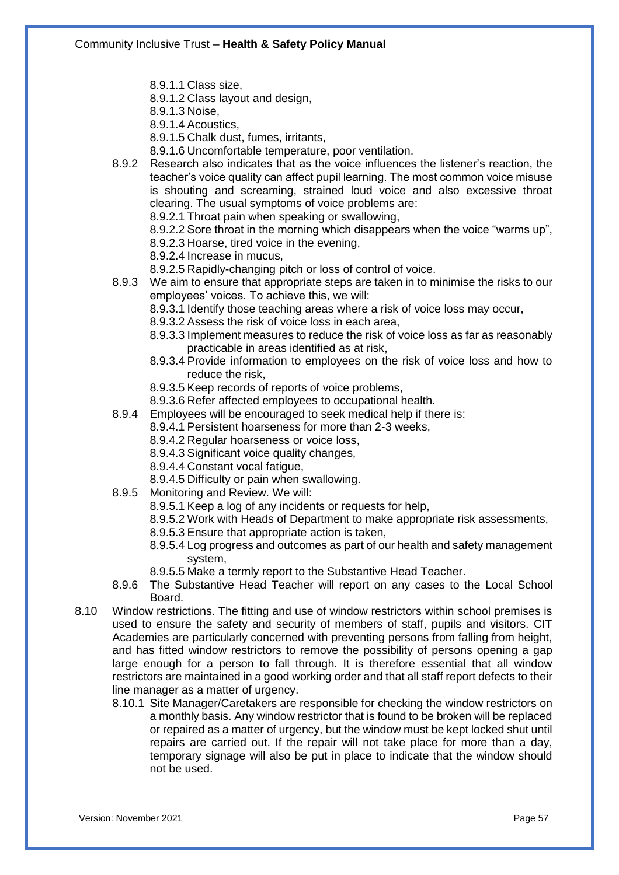- 8.9.1.1 Class size,
- 8.9.1.2 Class layout and design,
- 8.9.1.3 Noise,
- 8.9.1.4 Acoustics,
- 8.9.1.5 Chalk dust, fumes, irritants,
- 8.9.1.6 Uncomfortable temperature, poor ventilation.
- 8.9.2 Research also indicates that as the voice influences the listener's reaction, the teacher's voice quality can affect pupil learning. The most common voice misuse is shouting and screaming, strained loud voice and also excessive throat clearing. The usual symptoms of voice problems are:
	- 8.9.2.1 Throat pain when speaking or swallowing,
	- 8.9.2.2 Sore throat in the morning which disappears when the voice "warms up",
	- 8.9.2.3 Hoarse, tired voice in the evening,
	- 8.9.2.4 Increase in mucus,
	- 8.9.2.5 Rapidly-changing pitch or loss of control of voice.
- 8.9.3 We aim to ensure that appropriate steps are taken in to minimise the risks to our employees' voices. To achieve this, we will:
	- 8.9.3.1 Identify those teaching areas where a risk of voice loss may occur,
	- 8.9.3.2 Assess the risk of voice loss in each area,
	- 8.9.3.3 Implement measures to reduce the risk of voice loss as far as reasonably practicable in areas identified as at risk,
	- 8.9.3.4 Provide information to employees on the risk of voice loss and how to reduce the risk,
	- 8.9.3.5 Keep records of reports of voice problems,
	- 8.9.3.6 Refer affected employees to occupational health.
- 8.9.4 Employees will be encouraged to seek medical help if there is:

8.9.4.1 Persistent hoarseness for more than 2-3 weeks,

- 8.9.4.2 Regular hoarseness or voice loss,
- 8.9.4.3 Significant voice quality changes,
- 8.9.4.4 Constant vocal fatigue,
- 8.9.4.5 Difficulty or pain when swallowing.
- 8.9.5 Monitoring and Review. We will:
	- 8.9.5.1 Keep a log of any incidents or requests for help,
	- 8.9.5.2 Work with Heads of Department to make appropriate risk assessments,
	- 8.9.5.3 Ensure that appropriate action is taken,
	- 8.9.5.4 Log progress and outcomes as part of our health and safety management system,
	- 8.9.5.5 Make a termly report to the Substantive Head Teacher.
- 8.9.6 The Substantive Head Teacher will report on any cases to the Local School Board.
- 8.10 Window restrictions. The fitting and use of window restrictors within school premises is used to ensure the safety and security of members of staff, pupils and visitors. CIT Academies are particularly concerned with preventing persons from falling from height, and has fitted window restrictors to remove the possibility of persons opening a gap large enough for a person to fall through. It is therefore essential that all window restrictors are maintained in a good working order and that all staff report defects to their line manager as a matter of urgency.
	- 8.10.1 Site Manager/Caretakers are responsible for checking the window restrictors on a monthly basis. Any window restrictor that is found to be broken will be replaced or repaired as a matter of urgency, but the window must be kept locked shut until repairs are carried out. If the repair will not take place for more than a day, temporary signage will also be put in place to indicate that the window should not be used.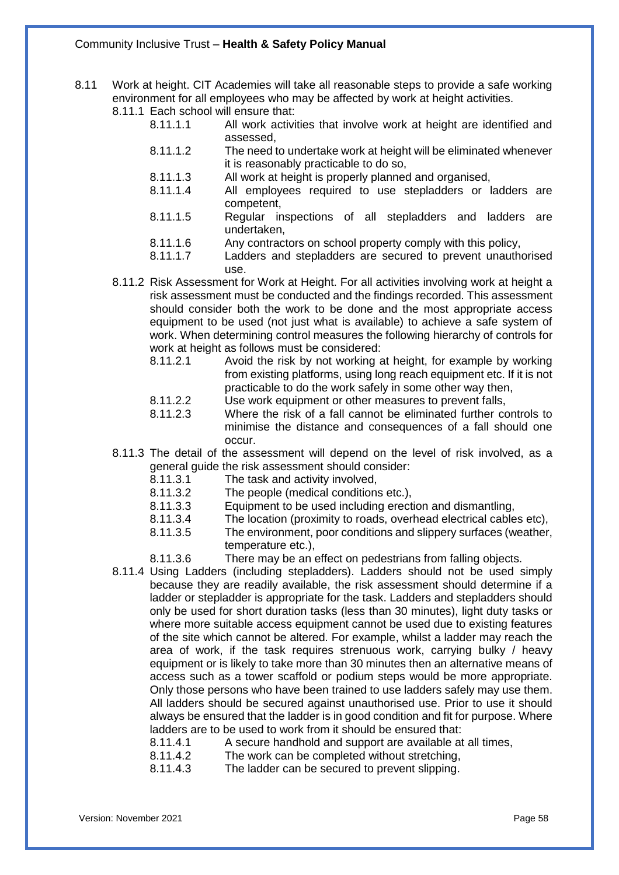- 8.11 Work at height. CIT Academies will take all reasonable steps to provide a safe working environment for all employees who may be affected by work at height activities.
	- 8.11.1 Each school will ensure that:<br>8.11.1.1 All work activi
		- All work activities that involve work at height are identified and assessed,
		- 8.11.1.2 The need to undertake work at height will be eliminated whenever it is reasonably practicable to do so,
		- 8.11.1.3 All work at height is properly planned and organised,<br>8.11.1.4 All employees required to use stepladders or I
		- All employees required to use stepladders or ladders are competent,
		- 8.11.1.5 Regular inspections of all stepladders and ladders are undertaken,
		- 8.11.1.6 Any contractors on school property comply with this policy,
		- 8.11.1.7 Ladders and stepladders are secured to prevent unauthorised use.
	- 8.11.2 Risk Assessment for Work at Height. For all activities involving work at height a risk assessment must be conducted and the findings recorded. This assessment should consider both the work to be done and the most appropriate access equipment to be used (not just what is available) to achieve a safe system of work. When determining control measures the following hierarchy of controls for work at height as follows must be considered:
		- 8.11.2.1 Avoid the risk by not working at height, for example by working from existing platforms, using long reach equipment etc. If it is not practicable to do the work safely in some other way then,
		- 8.11.2.2 Use work equipment or other measures to prevent falls,
		- 8.11.2.3 Where the risk of a fall cannot be eliminated further controls to minimise the distance and consequences of a fall should one occur.
	- 8.11.3 The detail of the assessment will depend on the level of risk involved, as a general guide the risk assessment should consider:
		- 8.11.3.1 The task and activity involved,
		- 8.11.3.2 The people (medical conditions etc.),
		- 8.11.3.3 Equipment to be used including erection and dismantling,
		- 8.11.3.4 The location (proximity to roads, overhead electrical cables etc),
		- 8.11.3.5 The environment, poor conditions and slippery surfaces (weather, temperature etc.),
		- 8.11.3.6 There may be an effect on pedestrians from falling objects.
	- 8.11.4 Using Ladders (including stepladders). Ladders should not be used simply because they are readily available, the risk assessment should determine if a ladder or stepladder is appropriate for the task. Ladders and stepladders should only be used for short duration tasks (less than 30 minutes), light duty tasks or where more suitable access equipment cannot be used due to existing features of the site which cannot be altered. For example, whilst a ladder may reach the area of work, if the task requires strenuous work, carrying bulky / heavy equipment or is likely to take more than 30 minutes then an alternative means of access such as a tower scaffold or podium steps would be more appropriate. Only those persons who have been trained to use ladders safely may use them. All ladders should be secured against unauthorised use. Prior to use it should always be ensured that the ladder is in good condition and fit for purpose. Where ladders are to be used to work from it should be ensured that:
		- 8.11.4.1 A secure handhold and support are available at all times,
		- 8.11.4.2 The work can be completed without stretching,
		- 8.11.4.3 The ladder can be secured to prevent slipping.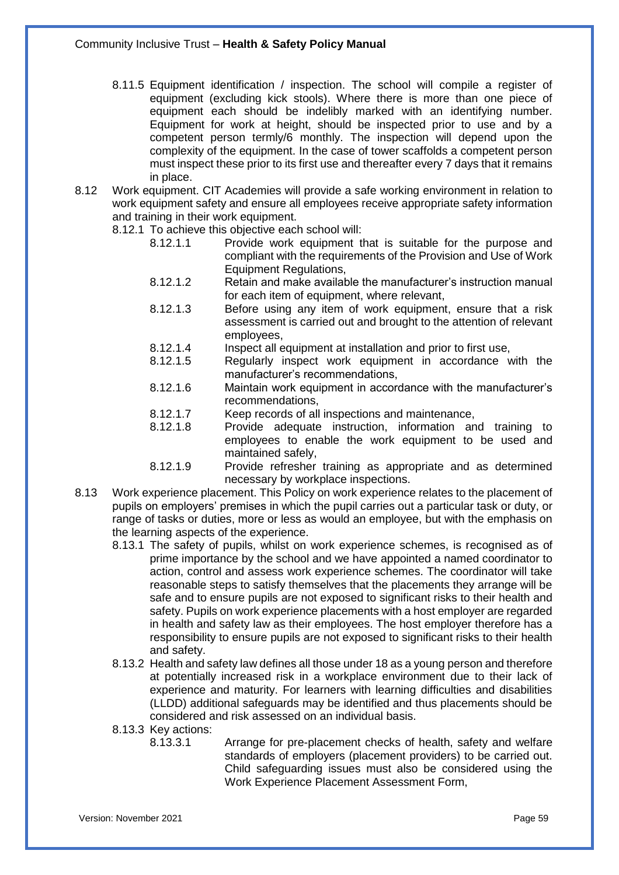- 8.11.5 Equipment identification / inspection. The school will compile a register of equipment (excluding kick stools). Where there is more than one piece of equipment each should be indelibly marked with an identifying number. Equipment for work at height, should be inspected prior to use and by a competent person termly/6 monthly. The inspection will depend upon the complexity of the equipment. In the case of tower scaffolds a competent person must inspect these prior to its first use and thereafter every 7 days that it remains in place.
- 8.12 Work equipment. CIT Academies will provide a safe working environment in relation to work equipment safety and ensure all employees receive appropriate safety information and training in their work equipment.
	- 8.12.1 To achieve this objective each school will:
		- 8.12.1.1 Provide work equipment that is suitable for the purpose and compliant with the requirements of the Provision and Use of Work Equipment Regulations,
		- 8.12.1.2 Retain and make available the manufacturer's instruction manual for each item of equipment, where relevant,
		- 8.12.1.3 Before using any item of work equipment, ensure that a risk assessment is carried out and brought to the attention of relevant employees,
		- 8.12.1.4 Inspect all equipment at installation and prior to first use,
		- 8.12.1.5 Regularly inspect work equipment in accordance with the manufacturer's recommendations,
		- 8.12.1.6 Maintain work equipment in accordance with the manufacturer's recommendations,
		- 8.12.1.7 Keep records of all inspections and maintenance,
		- 8.12.1.8 Provide adequate instruction, information and training to employees to enable the work equipment to be used and maintained safely,
		- 8.12.1.9 Provide refresher training as appropriate and as determined necessary by workplace inspections.
- 8.13 Work experience placement. This Policy on work experience relates to the placement of pupils on employers' premises in which the pupil carries out a particular task or duty, or range of tasks or duties, more or less as would an employee, but with the emphasis on the learning aspects of the experience.
	- 8.13.1 The safety of pupils, whilst on work experience schemes, is recognised as of prime importance by the school and we have appointed a named coordinator to action, control and assess work experience schemes. The coordinator will take reasonable steps to satisfy themselves that the placements they arrange will be safe and to ensure pupils are not exposed to significant risks to their health and safety. Pupils on work experience placements with a host employer are regarded in health and safety law as their employees. The host employer therefore has a responsibility to ensure pupils are not exposed to significant risks to their health and safety.
	- 8.13.2 Health and safety law defines all those under 18 as a young person and therefore at potentially increased risk in a workplace environment due to their lack of experience and maturity. For learners with learning difficulties and disabilities (LLDD) additional safeguards may be identified and thus placements should be considered and risk assessed on an individual basis.
	- 8.13.3 Key actions:
		- 8.13.3.1 Arrange for pre-placement checks of health, safety and welfare standards of employers (placement providers) to be carried out. Child safeguarding issues must also be considered using the Work Experience Placement Assessment Form,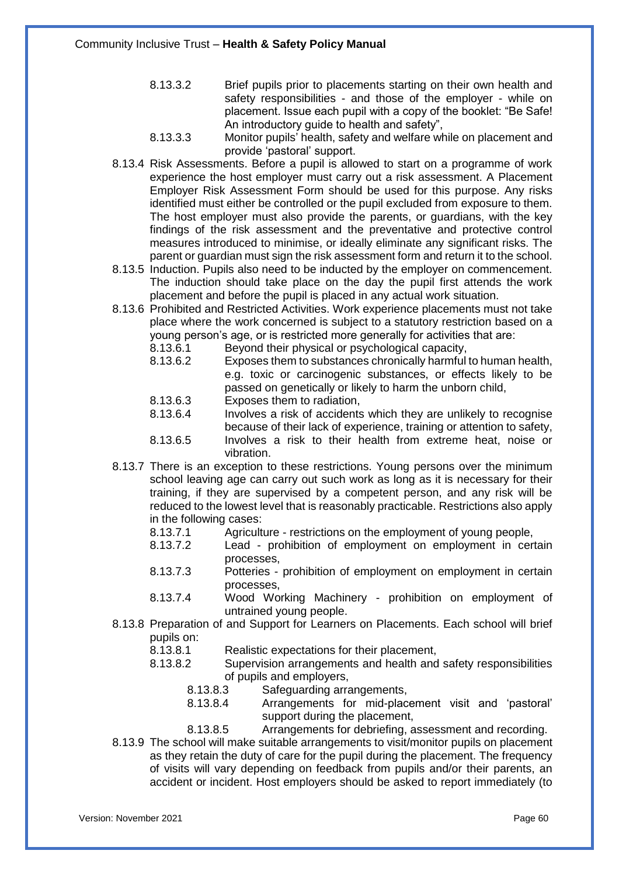- 8.13.3.2 Brief pupils prior to placements starting on their own health and safety responsibilities - and those of the employer - while on placement. Issue each pupil with a copy of the booklet: "Be Safe! An introductory guide to health and safety",
- 8.13.3.3 Monitor pupils' health, safety and welfare while on placement and provide 'pastoral' support.
- 8.13.4 Risk Assessments. Before a pupil is allowed to start on a programme of work experience the host employer must carry out a risk assessment. A Placement Employer Risk Assessment Form should be used for this purpose. Any risks identified must either be controlled or the pupil excluded from exposure to them. The host employer must also provide the parents, or guardians, with the key findings of the risk assessment and the preventative and protective control measures introduced to minimise, or ideally eliminate any significant risks. The parent or guardian must sign the risk assessment form and return it to the school.
- 8.13.5 Induction. Pupils also need to be inducted by the employer on commencement. The induction should take place on the day the pupil first attends the work placement and before the pupil is placed in any actual work situation.
- 8.13.6 Prohibited and Restricted Activities. Work experience placements must not take place where the work concerned is subject to a statutory restriction based on a young person's age, or is restricted more generally for activities that are:
	- 8.13.6.1 Beyond their physical or psychological capacity,<br>8.13.6.2 Exposes them to substances chronically harmful
	- Exposes them to substances chronically harmful to human health, e.g. toxic or carcinogenic substances, or effects likely to be passed on genetically or likely to harm the unborn child,
	- 8.13.6.3 Exposes them to radiation,
	- 8.13.6.4 Involves a risk of accidents which they are unlikely to recognise because of their lack of experience, training or attention to safety,
	- 8.13.6.5 Involves a risk to their health from extreme heat, noise or vibration.
- 8.13.7 There is an exception to these restrictions. Young persons over the minimum school leaving age can carry out such work as long as it is necessary for their training, if they are supervised by a competent person, and any risk will be reduced to the lowest level that is reasonably practicable. Restrictions also apply in the following cases:
	- 8.13.7.1 Agriculture restrictions on the employment of young people,
	- 8.13.7.2 Lead prohibition of employment on employment in certain processes,
	- 8.13.7.3 Potteries prohibition of employment on employment in certain processes,
	- 8.13.7.4 Wood Working Machinery prohibition on employment of untrained young people.
- 8.13.8 Preparation of and Support for Learners on Placements. Each school will brief pupils on:
	- 8.13.8.1 Realistic expectations for their placement,
	- 8.13.8.2 Supervision arrangements and health and safety responsibilities of pupils and employers,
		- 8.13.8.3 Safeguarding arrangements,
		- 8.13.8.4 Arrangements for mid-placement visit and 'pastoral' support during the placement,
		- 8.13.8.5 Arrangements for debriefing, assessment and recording.
- 8.13.9 The school will make suitable arrangements to visit/monitor pupils on placement as they retain the duty of care for the pupil during the placement. The frequency of visits will vary depending on feedback from pupils and/or their parents, an accident or incident. Host employers should be asked to report immediately (to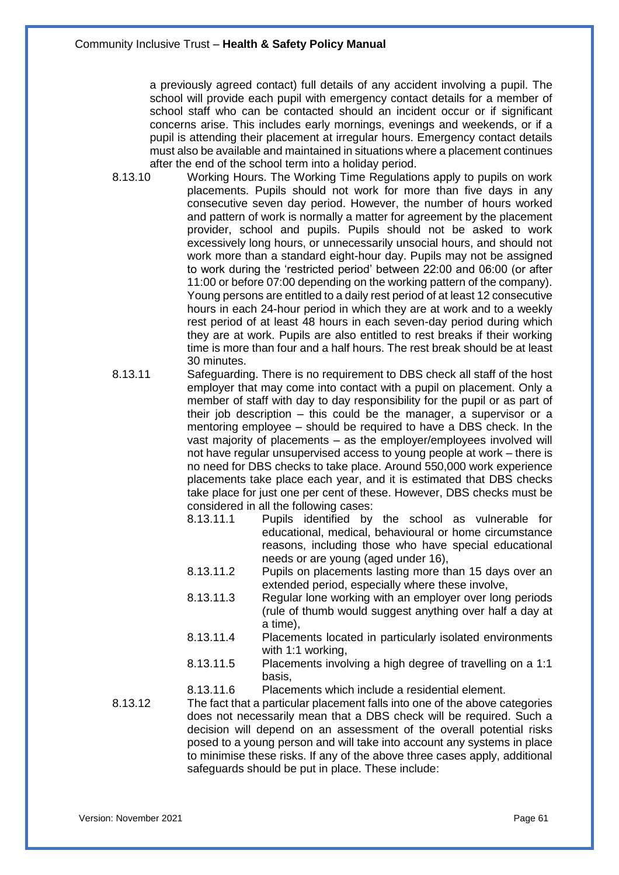a previously agreed contact) full details of any accident involving a pupil. The school will provide each pupil with emergency contact details for a member of school staff who can be contacted should an incident occur or if significant concerns arise. This includes early mornings, evenings and weekends, or if a pupil is attending their placement at irregular hours. Emergency contact details must also be available and maintained in situations where a placement continues after the end of the school term into a holiday period.

- 8.13.10 Working Hours. The Working Time Regulations apply to pupils on work placements. Pupils should not work for more than five days in any consecutive seven day period. However, the number of hours worked and pattern of work is normally a matter for agreement by the placement provider, school and pupils. Pupils should not be asked to work excessively long hours, or unnecessarily unsocial hours, and should not work more than a standard eight-hour day. Pupils may not be assigned to work during the 'restricted period' between 22:00 and 06:00 (or after 11:00 or before 07:00 depending on the working pattern of the company). Young persons are entitled to a daily rest period of at least 12 consecutive hours in each 24-hour period in which they are at work and to a weekly rest period of at least 48 hours in each seven-day period during which they are at work. Pupils are also entitled to rest breaks if their working time is more than four and a half hours. The rest break should be at least 30 minutes.
- 8.13.11 Safeguarding. There is no requirement to DBS check all staff of the host employer that may come into contact with a pupil on placement. Only a member of staff with day to day responsibility for the pupil or as part of their job description – this could be the manager, a supervisor or a mentoring employee – should be required to have a DBS check. In the vast majority of placements – as the employer/employees involved will not have regular unsupervised access to young people at work – there is no need for DBS checks to take place. Around 550,000 work experience placements take place each year, and it is estimated that DBS checks take place for just one per cent of these. However, DBS checks must be considered in all the following cases:
	- 8.13.11.1 Pupils identified by the school as vulnerable for educational, medical, behavioural or home circumstance reasons, including those who have special educational needs or are young (aged under 16),
	- 8.13.11.2 Pupils on placements lasting more than 15 days over an extended period, especially where these involve,
	- 8.13.11.3 Regular lone working with an employer over long periods (rule of thumb would suggest anything over half a day at a time),
	- 8.13.11.4 Placements located in particularly isolated environments with 1:1 working,
	- 8.13.11.5 Placements involving a high degree of travelling on a 1:1 basis,
	- 8.13.11.6 Placements which include a residential element.
- 8.13.12 The fact that a particular placement falls into one of the above categories does not necessarily mean that a DBS check will be required. Such a decision will depend on an assessment of the overall potential risks posed to a young person and will take into account any systems in place to minimise these risks. If any of the above three cases apply, additional safeguards should be put in place. These include: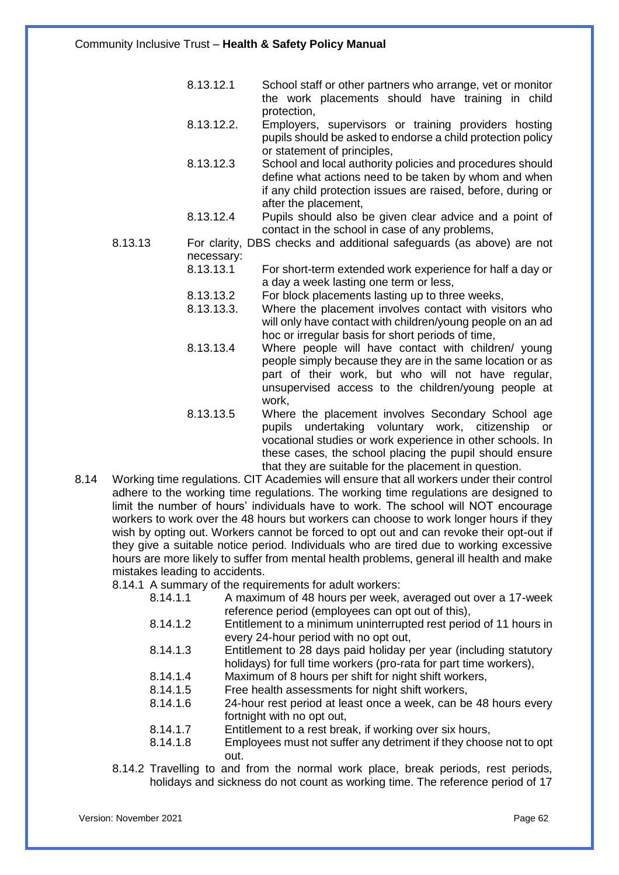- 8.13.12.1 School staff or other partners who arrange, vet or monitor the work placements should have training in child protection,
- 8.13.12.2. Employers, supervisors or training providers hosting pupils should be asked to endorse a child protection policy or statement of principles,
- 8.13.12.3 School and local authority policies and procedures should define what actions need to be taken by whom and when if any child protection issues are raised, before, during or after the placement,
- 8.13.12.4 Pupils should also be given clear advice and a point of contact in the school in case of any problems,
- 8.13.13 For clarity, DBS checks and additional safeguards (as above) are not necessary:
	- 8.13.13.1 For short-term extended work experience for half a day or a day a week lasting one term or less,
	- 8.13.13.2 For block placements lasting up to three weeks,
	- 8.13.13.3. Where the placement involves contact with visitors who will only have contact with children/young people on an ad hoc or irregular basis for short periods of time,
	- 8.13.13.4 Where people will have contact with children/ young people simply because they are in the same location or as part of their work, but who will not have regular, unsupervised access to the children/young people at work,
	- 8.13.13.5 Where the placement involves Secondary School age pupils undertaking voluntary work, citizenship or vocational studies or work experience in other schools. In these cases, the school placing the pupil should ensure that they are suitable for the placement in question.
- 8.14 Working time regulations. CIT Academies will ensure that all workers under their control adhere to the working time regulations. The working time regulations are designed to limit the number of hours' individuals have to work. The school will NOT encourage workers to work over the 48 hours but workers can choose to work longer hours if they wish by opting out. Workers cannot be forced to opt out and can revoke their opt-out if they give a suitable notice period. Individuals who are tired due to working excessive hours are more likely to suffer from mental health problems, general ill health and make mistakes leading to accidents.

8.14.1 A summary of the requirements for adult workers:

- 8.14.1.1 A maximum of 48 hours per week, averaged out over a 17-week reference period (employees can opt out of this),
- 8.14.1.2 Entitlement to a minimum uninterrupted rest period of 11 hours in every 24-hour period with no opt out,
- 8.14.1.3 Entitlement to 28 days paid holiday per year (including statutory holidays) for full time workers (pro-rata for part time workers),
- 8.14.1.4 Maximum of 8 hours per shift for night shift workers,
- 8.14.1.5 Free health assessments for night shift workers,
- 8.14.1.6 24-hour rest period at least once a week, can be 48 hours every fortnight with no opt out,
- 8.14.1.7 Entitlement to a rest break, if working over six hours,
- 8.14.1.8 Employees must not suffer any detriment if they choose not to opt out.
- 8.14.2 Travelling to and from the normal work place, break periods, rest periods, holidays and sickness do not count as working time. The reference period of 17

Version: November 2021 Page 62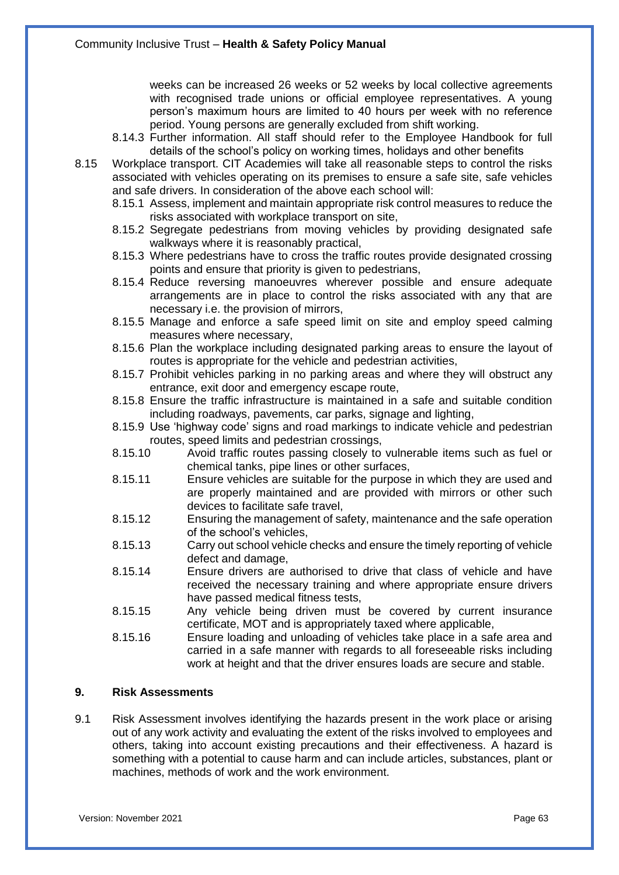weeks can be increased 26 weeks or 52 weeks by local collective agreements with recognised trade unions or official employee representatives. A young person's maximum hours are limited to 40 hours per week with no reference period. Young persons are generally excluded from shift working.

- 8.14.3 Further information. All staff should refer to the Employee Handbook for full details of the school's policy on working times, holidays and other benefits
- 8.15 Workplace transport. CIT Academies will take all reasonable steps to control the risks associated with vehicles operating on its premises to ensure a safe site, safe vehicles and safe drivers. In consideration of the above each school will:
	- 8.15.1 Assess, implement and maintain appropriate risk control measures to reduce the risks associated with workplace transport on site,
	- 8.15.2 Segregate pedestrians from moving vehicles by providing designated safe walkways where it is reasonably practical,
	- 8.15.3 Where pedestrians have to cross the traffic routes provide designated crossing points and ensure that priority is given to pedestrians,
	- 8.15.4 Reduce reversing manoeuvres wherever possible and ensure adequate arrangements are in place to control the risks associated with any that are necessary i.e. the provision of mirrors,
	- 8.15.5 Manage and enforce a safe speed limit on site and employ speed calming measures where necessary,
	- 8.15.6 Plan the workplace including designated parking areas to ensure the layout of routes is appropriate for the vehicle and pedestrian activities,
	- 8.15.7 Prohibit vehicles parking in no parking areas and where they will obstruct any entrance, exit door and emergency escape route,
	- 8.15.8 Ensure the traffic infrastructure is maintained in a safe and suitable condition including roadways, pavements, car parks, signage and lighting,
	- 8.15.9 Use 'highway code' signs and road markings to indicate vehicle and pedestrian routes, speed limits and pedestrian crossings,
	- 8.15.10 Avoid traffic routes passing closely to vulnerable items such as fuel or chemical tanks, pipe lines or other surfaces,
	- 8.15.11 Ensure vehicles are suitable for the purpose in which they are used and are properly maintained and are provided with mirrors or other such devices to facilitate safe travel,
	- 8.15.12 Ensuring the management of safety, maintenance and the safe operation of the school's vehicles,
	- 8.15.13 Carry out school vehicle checks and ensure the timely reporting of vehicle defect and damage,
	- 8.15.14 Ensure drivers are authorised to drive that class of vehicle and have received the necessary training and where appropriate ensure drivers have passed medical fitness tests,
	- 8.15.15 Any vehicle being driven must be covered by current insurance certificate, MOT and is appropriately taxed where applicable,
	- 8.15.16 Ensure loading and unloading of vehicles take place in a safe area and carried in a safe manner with regards to all foreseeable risks including work at height and that the driver ensures loads are secure and stable.

## **9. Risk Assessments**

9.1 Risk Assessment involves identifying the hazards present in the work place or arising out of any work activity and evaluating the extent of the risks involved to employees and others, taking into account existing precautions and their effectiveness. A hazard is something with a potential to cause harm and can include articles, substances, plant or machines, methods of work and the work environment.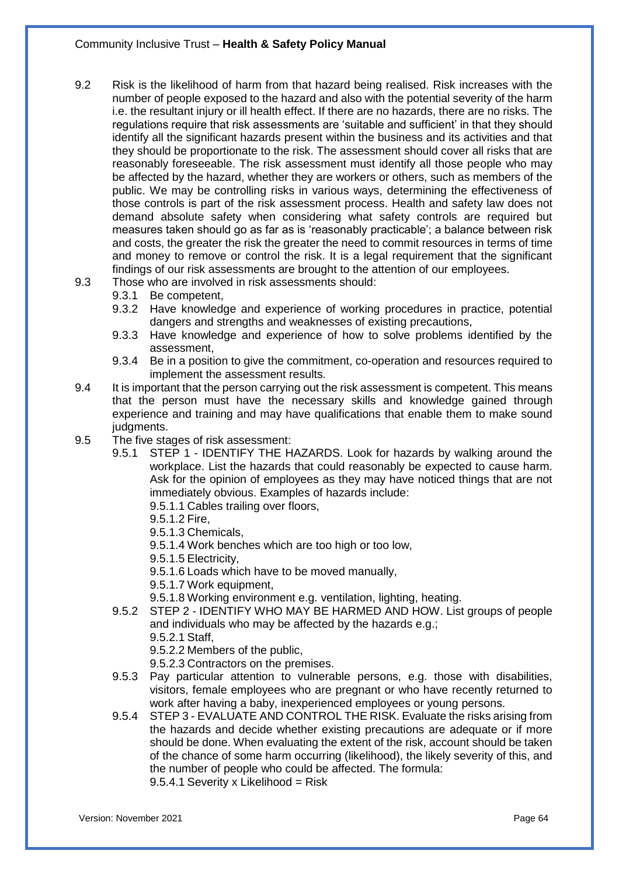- 9.2 Risk is the likelihood of harm from that hazard being realised. Risk increases with the number of people exposed to the hazard and also with the potential severity of the harm i.e. the resultant injury or ill health effect. If there are no hazards, there are no risks. The regulations require that risk assessments are 'suitable and sufficient' in that they should identify all the significant hazards present within the business and its activities and that they should be proportionate to the risk. The assessment should cover all risks that are reasonably foreseeable. The risk assessment must identify all those people who may be affected by the hazard, whether they are workers or others, such as members of the public. We may be controlling risks in various ways, determining the effectiveness of those controls is part of the risk assessment process. Health and safety law does not demand absolute safety when considering what safety controls are required but measures taken should go as far as is 'reasonably practicable'; a balance between risk and costs, the greater the risk the greater the need to commit resources in terms of time and money to remove or control the risk. It is a legal requirement that the significant findings of our risk assessments are brought to the attention of our employees.
- 9.3 Those who are involved in risk assessments should:
	- 9.3.1 Be competent,
	- 9.3.2 Have knowledge and experience of working procedures in practice, potential dangers and strengths and weaknesses of existing precautions,
	- 9.3.3 Have knowledge and experience of how to solve problems identified by the assessment,
	- 9.3.4 Be in a position to give the commitment, co-operation and resources required to implement the assessment results.
- 9.4 It is important that the person carrying out the risk assessment is competent. This means that the person must have the necessary skills and knowledge gained through experience and training and may have qualifications that enable them to make sound judgments.
- 9.5 The five stages of risk assessment:
	- 9.5.1 STEP 1 IDENTIFY THE HAZARDS. Look for hazards by walking around the workplace. List the hazards that could reasonably be expected to cause harm. Ask for the opinion of employees as they may have noticed things that are not immediately obvious. Examples of hazards include:
		- 9.5.1.1 Cables trailing over floors,
		- 9.5.1.2 Fire,
		- 9.5.1.3 Chemicals,
		- 9.5.1.4 Work benches which are too high or too low,
		- 9.5.1.5 Electricity,
		- 9.5.1.6 Loads which have to be moved manually,
		- 9.5.1.7 Work equipment,
		- 9.5.1.8 Working environment e.g. ventilation, lighting, heating.
	- 9.5.2 STEP 2 IDENTIFY WHO MAY BE HARMED AND HOW. List groups of people and individuals who may be affected by the hazards e.g.; 9.5.2.1 Staff,
		- 9.5.2.2 Members of the public,
		- 9.5.2.3 Contractors on the premises.
	- 9.5.3 Pay particular attention to vulnerable persons, e.g. those with disabilities, visitors, female employees who are pregnant or who have recently returned to work after having a baby, inexperienced employees or young persons.
	- 9.5.4 STEP 3 EVALUATE AND CONTROL THE RISK. Evaluate the risks arising from the hazards and decide whether existing precautions are adequate or if more should be done. When evaluating the extent of the risk, account should be taken of the chance of some harm occurring (likelihood), the likely severity of this, and the number of people who could be affected. The formula: 9.5.4.1 Severity x Likelihood =  $Risk$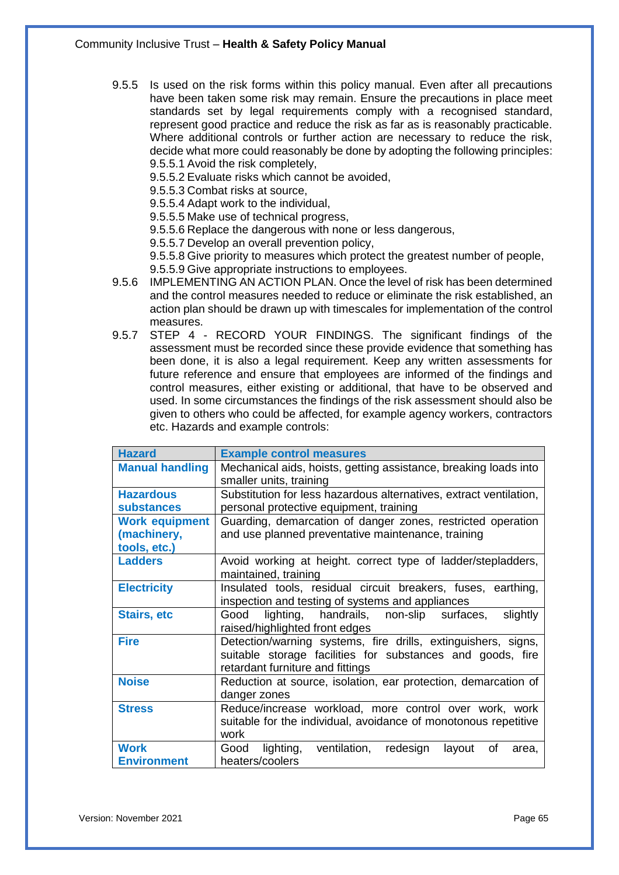9.5.5 Is used on the risk forms within this policy manual. Even after all precautions have been taken some risk may remain. Ensure the precautions in place meet standards set by legal requirements comply with a recognised standard, represent good practice and reduce the risk as far as is reasonably practicable. Where additional controls or further action are necessary to reduce the risk, decide what more could reasonably be done by adopting the following principles: 9.5.5.1 Avoid the risk completely,

9.5.5.2 Evaluate risks which cannot be avoided,

- 9.5.5.3 Combat risks at source,
- 9.5.5.4 Adapt work to the individual,
- 9.5.5.5 Make use of technical progress,
- 9.5.5.6 Replace the dangerous with none or less dangerous,

9.5.5.7 Develop an overall prevention policy,

9.5.5.8 Give priority to measures which protect the greatest number of people,

- 9.5.5.9 Give appropriate instructions to employees.
- 9.5.6 IMPLEMENTING AN ACTION PLAN. Once the level of risk has been determined and the control measures needed to reduce or eliminate the risk established, an action plan should be drawn up with timescales for implementation of the control measures.
- 9.5.7 STEP 4 RECORD YOUR FINDINGS. The significant findings of the assessment must be recorded since these provide evidence that something has been done, it is also a legal requirement. Keep any written assessments for future reference and ensure that employees are informed of the findings and control measures, either existing or additional, that have to be observed and used. In some circumstances the findings of the risk assessment should also be given to others who could be affected, for example agency workers, contractors etc. Hazards and example controls:

| <b>Hazard</b>                     | <b>Example control measures</b>                                                                                                                                 |  |  |  |  |  |
|-----------------------------------|-----------------------------------------------------------------------------------------------------------------------------------------------------------------|--|--|--|--|--|
| <b>Manual handling</b>            | Mechanical aids, hoists, getting assistance, breaking loads into<br>smaller units, training                                                                     |  |  |  |  |  |
| <b>Hazardous</b>                  | Substitution for less hazardous alternatives, extract ventilation,                                                                                              |  |  |  |  |  |
| <b>substances</b>                 | personal protective equipment, training                                                                                                                         |  |  |  |  |  |
| <b>Work equipment</b>             | Guarding, demarcation of danger zones, restricted operation                                                                                                     |  |  |  |  |  |
| (machinery,<br>tools, etc.)       | and use planned preventative maintenance, training                                                                                                              |  |  |  |  |  |
| <b>Ladders</b>                    | Avoid working at height. correct type of ladder/stepladders,<br>maintained, training                                                                            |  |  |  |  |  |
| <b>Electricity</b>                | Insulated tools, residual circuit breakers, fuses, earthing,<br>inspection and testing of systems and appliances                                                |  |  |  |  |  |
| <b>Stairs, etc</b>                | handrails, non-slip surfaces,<br>lighting,<br>slightly<br>Good<br>raised/highlighted front edges                                                                |  |  |  |  |  |
| <b>Fire</b>                       | Detection/warning systems, fire drills, extinguishers, signs,<br>suitable storage facilities for substances and goods, fire<br>retardant furniture and fittings |  |  |  |  |  |
| <b>Noise</b>                      | Reduction at source, isolation, ear protection, demarcation of<br>danger zones                                                                                  |  |  |  |  |  |
| <b>Stress</b>                     | Reduce/increase workload, more control over work, work<br>suitable for the individual, avoidance of monotonous repetitive<br>work                               |  |  |  |  |  |
| <b>Work</b><br><b>Environment</b> | lighting,<br>ventilation,<br>redesign<br>Good<br>οf<br>layout<br>area.<br>heaters/coolers                                                                       |  |  |  |  |  |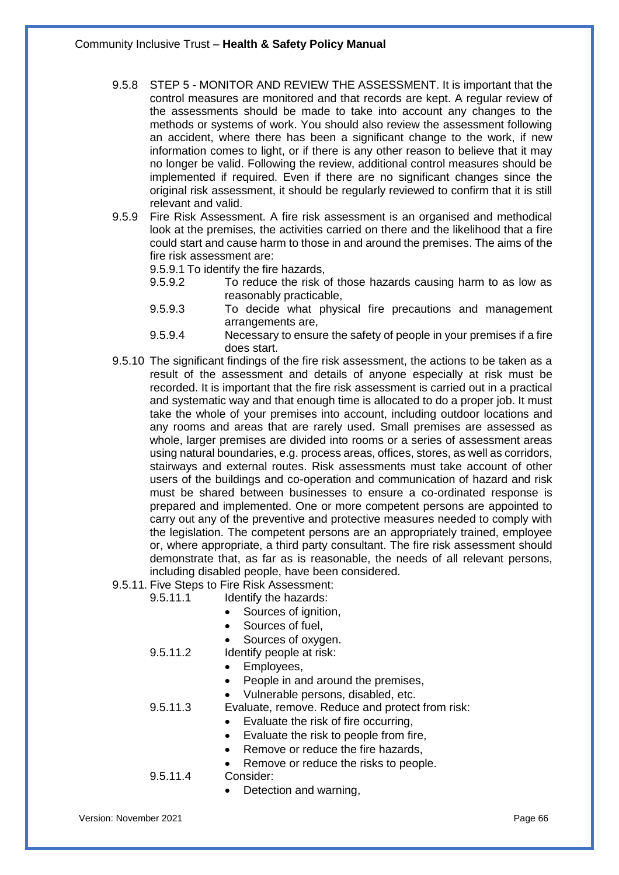- 9.5.8 STEP 5 MONITOR AND REVIEW THE ASSESSMENT. It is important that the control measures are monitored and that records are kept. A regular review of the assessments should be made to take into account any changes to the methods or systems of work. You should also review the assessment following an accident, where there has been a significant change to the work, if new information comes to light, or if there is any other reason to believe that it may no longer be valid. Following the review, additional control measures should be implemented if required. Even if there are no significant changes since the original risk assessment, it should be regularly reviewed to confirm that it is still relevant and valid.
- 9.5.9 Fire Risk Assessment. A fire risk assessment is an organised and methodical look at the premises, the activities carried on there and the likelihood that a fire could start and cause harm to those in and around the premises. The aims of the fire risk assessment are:

9.5.9.1 To identify the fire hazards,

- 9.5.9.2 To reduce the risk of those hazards causing harm to as low as reasonably practicable,
- 9.5.9.3 To decide what physical fire precautions and management arrangements are,
- 9.5.9.4 Necessary to ensure the safety of people in your premises if a fire does start.
- 9.5.10 The significant findings of the fire risk assessment, the actions to be taken as a result of the assessment and details of anyone especially at risk must be recorded. It is important that the fire risk assessment is carried out in a practical and systematic way and that enough time is allocated to do a proper job. It must take the whole of your premises into account, including outdoor locations and any rooms and areas that are rarely used. Small premises are assessed as whole, larger premises are divided into rooms or a series of assessment areas using natural boundaries, e.g. process areas, offices, stores, as well as corridors, stairways and external routes. Risk assessments must take account of other users of the buildings and co-operation and communication of hazard and risk must be shared between businesses to ensure a co-ordinated response is prepared and implemented. One or more competent persons are appointed to carry out any of the preventive and protective measures needed to comply with the legislation. The competent persons are an appropriately trained, employee or, where appropriate, a third party consultant. The fire risk assessment should demonstrate that, as far as is reasonable, the needs of all relevant persons, including disabled people, have been considered.
- 9.5.11. Five Steps to Fire Risk Assessment:
	- 9.5.11.1 Identify the hazards:
		- Sources of ignition.
		- Sources of fuel,
		- Sources of oxygen.

9.5.11.2 Identify people at risk:

- Employees,
- People in and around the premises,
- Vulnerable persons, disabled, etc.

9.5.11.3 Evaluate, remove. Reduce and protect from risk:

- Evaluate the risk of fire occurring,
- Evaluate the risk to people from fire,
- Remove or reduce the fire hazards.
- Remove or reduce the risks to people.

9.5.11.4 Consider:

Detection and warning,

Version: November 2021 Page 66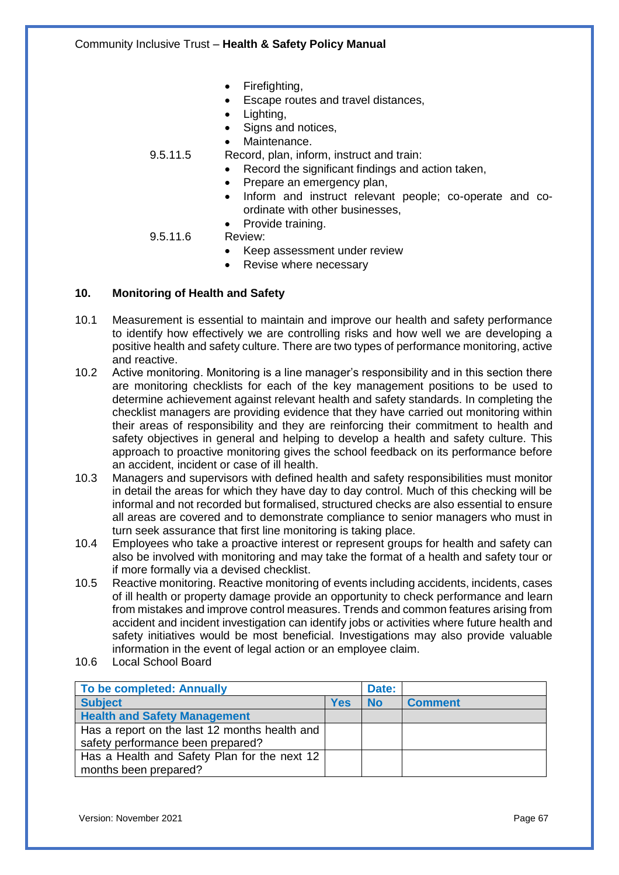- Firefighting,
- Escape routes and travel distances,
- Lighting,
- Signs and notices,

Maintenance.

- 9.5.11.5 Record, plan, inform, instruct and train:
	- Record the significant findings and action taken,
	- Prepare an emergency plan,
	- Inform and instruct relevant people; co-operate and coordinate with other businesses,
	- Provide training.

#### 9.5.11.6 Review:

- Keep assessment under review
- Revise where necessary

## **10. Monitoring of Health and Safety**

- 10.1 Measurement is essential to maintain and improve our health and safety performance to identify how effectively we are controlling risks and how well we are developing a positive health and safety culture. There are two types of performance monitoring, active and reactive.
- 10.2 Active monitoring. Monitoring is a line manager's responsibility and in this section there are monitoring checklists for each of the key management positions to be used to determine achievement against relevant health and safety standards. In completing the checklist managers are providing evidence that they have carried out monitoring within their areas of responsibility and they are reinforcing their commitment to health and safety objectives in general and helping to develop a health and safety culture. This approach to proactive monitoring gives the school feedback on its performance before an accident, incident or case of ill health.
- 10.3 Managers and supervisors with defined health and safety responsibilities must monitor in detail the areas for which they have day to day control. Much of this checking will be informal and not recorded but formalised, structured checks are also essential to ensure all areas are covered and to demonstrate compliance to senior managers who must in turn seek assurance that first line monitoring is taking place.
- 10.4 Employees who take a proactive interest or represent groups for health and safety can also be involved with monitoring and may take the format of a health and safety tour or if more formally via a devised checklist.
- 10.5 Reactive monitoring. Reactive monitoring of events including accidents, incidents, cases of ill health or property damage provide an opportunity to check performance and learn from mistakes and improve control measures. Trends and common features arising from accident and incident investigation can identify jobs or activities where future health and safety initiatives would be most beneficial. Investigations may also provide valuable information in the event of legal action or an employee claim.
- 10.6 Local School Board

| To be completed: Annually                     |            | Date:     |                |
|-----------------------------------------------|------------|-----------|----------------|
| <b>Subject</b>                                | <b>Yes</b> | <b>No</b> | <b>Comment</b> |
| <b>Health and Safety Management</b>           |            |           |                |
| Has a report on the last 12 months health and |            |           |                |
| safety performance been prepared?             |            |           |                |
| Has a Health and Safety Plan for the next 12  |            |           |                |
| months been prepared?                         |            |           |                |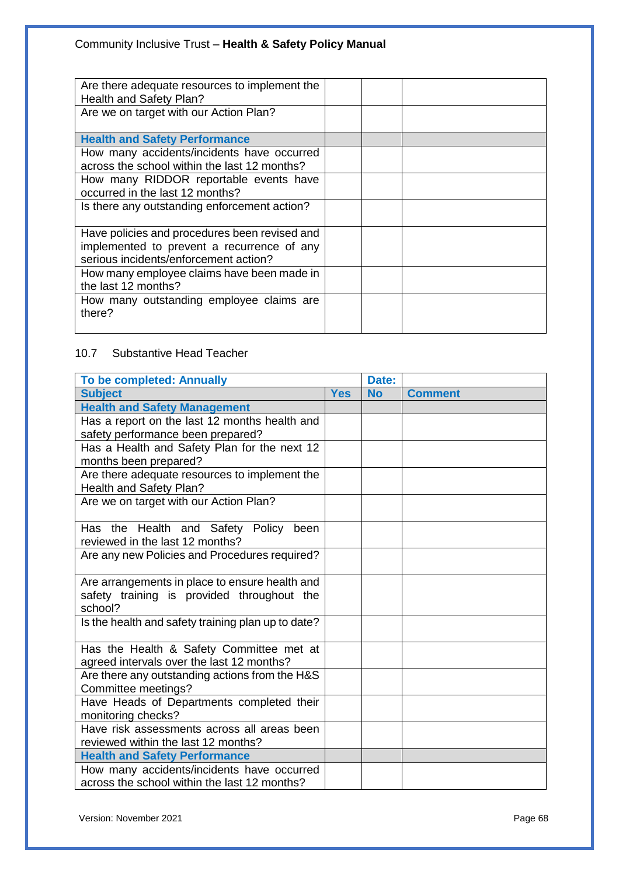| Are there adequate resources to implement the<br>Health and Safety Plan?                                                             |  |
|--------------------------------------------------------------------------------------------------------------------------------------|--|
| Are we on target with our Action Plan?                                                                                               |  |
| <b>Health and Safety Performance</b>                                                                                                 |  |
| How many accidents/incidents have occurred<br>across the school within the last 12 months?                                           |  |
| How many RIDDOR reportable events have<br>occurred in the last 12 months?                                                            |  |
| Is there any outstanding enforcement action?                                                                                         |  |
| Have policies and procedures been revised and<br>implemented to prevent a recurrence of any<br>serious incidents/enforcement action? |  |
| How many employee claims have been made in<br>the last 12 months?                                                                    |  |
| How many outstanding employee claims are<br>there?                                                                                   |  |

# 10.7 Substantive Head Teacher

| <b>To be completed: Annually</b>                   |            | Date:     |                |
|----------------------------------------------------|------------|-----------|----------------|
| <b>Subject</b>                                     | <b>Yes</b> | <b>No</b> | <b>Comment</b> |
| <b>Health and Safety Management</b>                |            |           |                |
| Has a report on the last 12 months health and      |            |           |                |
| safety performance been prepared?                  |            |           |                |
| Has a Health and Safety Plan for the next 12       |            |           |                |
| months been prepared?                              |            |           |                |
| Are there adequate resources to implement the      |            |           |                |
| Health and Safety Plan?                            |            |           |                |
| Are we on target with our Action Plan?             |            |           |                |
|                                                    |            |           |                |
| Has the Health and Safety Policy<br>been           |            |           |                |
| reviewed in the last 12 months?                    |            |           |                |
| Are any new Policies and Procedures required?      |            |           |                |
|                                                    |            |           |                |
| Are arrangements in place to ensure health and     |            |           |                |
| safety training is provided throughout the         |            |           |                |
| school?                                            |            |           |                |
| Is the health and safety training plan up to date? |            |           |                |
|                                                    |            |           |                |
| Has the Health & Safety Committee met at           |            |           |                |
| agreed intervals over the last 12 months?          |            |           |                |
| Are there any outstanding actions from the H&S     |            |           |                |
| Committee meetings?                                |            |           |                |
| Have Heads of Departments completed their          |            |           |                |
| monitoring checks?                                 |            |           |                |
| Have risk assessments across all areas been        |            |           |                |
| reviewed within the last 12 months?                |            |           |                |
| <b>Health and Safety Performance</b>               |            |           |                |
| How many accidents/incidents have occurred         |            |           |                |
| across the school within the last 12 months?       |            |           |                |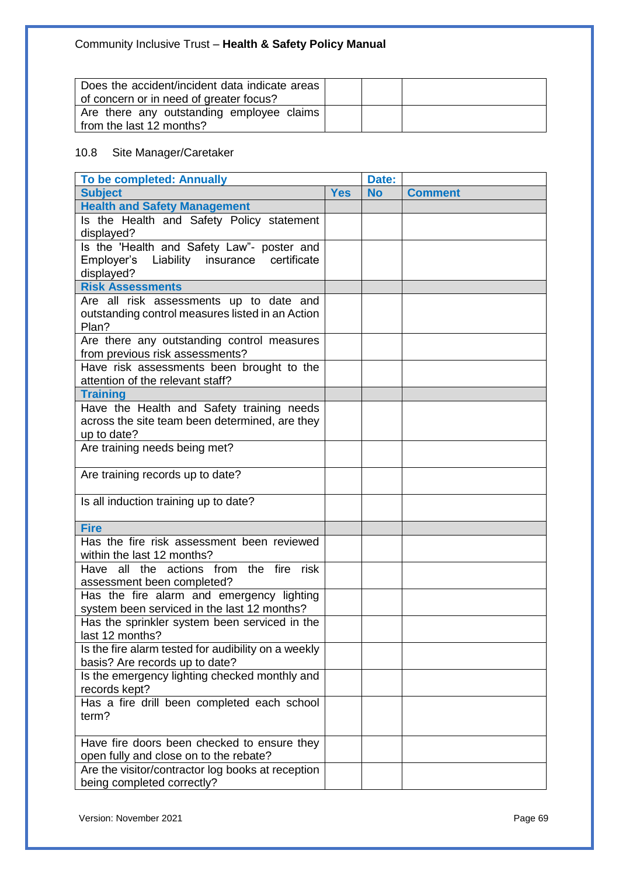| Does the accident/incident data indicate areas |  |  |
|------------------------------------------------|--|--|
| of concern or in need of greater focus?        |  |  |
| Are there any outstanding employee claims      |  |  |
| from the last 12 months?                       |  |  |

## 10.8 Site Manager/Caretaker

| <b>Yes</b><br><b>Subject</b><br><b>No</b><br><b>Comment</b><br><b>Health and Safety Management</b><br>Is the Health and Safety Policy statement<br>displayed?<br>Is the 'Health and Safety Law"- poster and<br>Employer's<br>Liability insurance certificate<br>displayed?<br><b>Risk Assessments</b><br>Are all risk assessments up to date and<br>outstanding control measures listed in an Action<br>Plan?<br>Are there any outstanding control measures<br>from previous risk assessments?<br>Have risk assessments been brought to the<br>attention of the relevant staff?<br><b>Training</b><br>Have the Health and Safety training needs<br>across the site team been determined, are they<br>up to date?<br>Are training needs being met?<br>Are training records up to date?<br>Is all induction training up to date?<br><b>Fire</b><br>Has the fire risk assessment been reviewed<br>within the last 12 months?<br>Have all the actions from the fire risk<br>assessment been completed?<br>Has the fire alarm and emergency lighting<br>system been serviced in the last 12 months?<br>Has the sprinkler system been serviced in the<br>last 12 months?<br>Is the fire alarm tested for audibility on a weekly<br>basis? Are records up to date?<br>Is the emergency lighting checked monthly and<br>records kept?<br>Has a fire drill been completed each school<br>term?<br>Have fire doors been checked to ensure they<br>open fully and close on to the rebate?<br>Are the visitor/contractor log books at reception<br>being completed correctly? | <b>To be completed: Annually</b> | Date: |  |
|-------------------------------------------------------------------------------------------------------------------------------------------------------------------------------------------------------------------------------------------------------------------------------------------------------------------------------------------------------------------------------------------------------------------------------------------------------------------------------------------------------------------------------------------------------------------------------------------------------------------------------------------------------------------------------------------------------------------------------------------------------------------------------------------------------------------------------------------------------------------------------------------------------------------------------------------------------------------------------------------------------------------------------------------------------------------------------------------------------------------------------------------------------------------------------------------------------------------------------------------------------------------------------------------------------------------------------------------------------------------------------------------------------------------------------------------------------------------------------------------------------------------------------------------------------------------|----------------------------------|-------|--|
|                                                                                                                                                                                                                                                                                                                                                                                                                                                                                                                                                                                                                                                                                                                                                                                                                                                                                                                                                                                                                                                                                                                                                                                                                                                                                                                                                                                                                                                                                                                                                                   |                                  |       |  |
|                                                                                                                                                                                                                                                                                                                                                                                                                                                                                                                                                                                                                                                                                                                                                                                                                                                                                                                                                                                                                                                                                                                                                                                                                                                                                                                                                                                                                                                                                                                                                                   |                                  |       |  |
|                                                                                                                                                                                                                                                                                                                                                                                                                                                                                                                                                                                                                                                                                                                                                                                                                                                                                                                                                                                                                                                                                                                                                                                                                                                                                                                                                                                                                                                                                                                                                                   |                                  |       |  |
|                                                                                                                                                                                                                                                                                                                                                                                                                                                                                                                                                                                                                                                                                                                                                                                                                                                                                                                                                                                                                                                                                                                                                                                                                                                                                                                                                                                                                                                                                                                                                                   |                                  |       |  |
|                                                                                                                                                                                                                                                                                                                                                                                                                                                                                                                                                                                                                                                                                                                                                                                                                                                                                                                                                                                                                                                                                                                                                                                                                                                                                                                                                                                                                                                                                                                                                                   |                                  |       |  |
|                                                                                                                                                                                                                                                                                                                                                                                                                                                                                                                                                                                                                                                                                                                                                                                                                                                                                                                                                                                                                                                                                                                                                                                                                                                                                                                                                                                                                                                                                                                                                                   |                                  |       |  |
|                                                                                                                                                                                                                                                                                                                                                                                                                                                                                                                                                                                                                                                                                                                                                                                                                                                                                                                                                                                                                                                                                                                                                                                                                                                                                                                                                                                                                                                                                                                                                                   |                                  |       |  |
|                                                                                                                                                                                                                                                                                                                                                                                                                                                                                                                                                                                                                                                                                                                                                                                                                                                                                                                                                                                                                                                                                                                                                                                                                                                                                                                                                                                                                                                                                                                                                                   |                                  |       |  |
|                                                                                                                                                                                                                                                                                                                                                                                                                                                                                                                                                                                                                                                                                                                                                                                                                                                                                                                                                                                                                                                                                                                                                                                                                                                                                                                                                                                                                                                                                                                                                                   |                                  |       |  |
|                                                                                                                                                                                                                                                                                                                                                                                                                                                                                                                                                                                                                                                                                                                                                                                                                                                                                                                                                                                                                                                                                                                                                                                                                                                                                                                                                                                                                                                                                                                                                                   |                                  |       |  |
|                                                                                                                                                                                                                                                                                                                                                                                                                                                                                                                                                                                                                                                                                                                                                                                                                                                                                                                                                                                                                                                                                                                                                                                                                                                                                                                                                                                                                                                                                                                                                                   |                                  |       |  |
|                                                                                                                                                                                                                                                                                                                                                                                                                                                                                                                                                                                                                                                                                                                                                                                                                                                                                                                                                                                                                                                                                                                                                                                                                                                                                                                                                                                                                                                                                                                                                                   |                                  |       |  |
|                                                                                                                                                                                                                                                                                                                                                                                                                                                                                                                                                                                                                                                                                                                                                                                                                                                                                                                                                                                                                                                                                                                                                                                                                                                                                                                                                                                                                                                                                                                                                                   |                                  |       |  |
|                                                                                                                                                                                                                                                                                                                                                                                                                                                                                                                                                                                                                                                                                                                                                                                                                                                                                                                                                                                                                                                                                                                                                                                                                                                                                                                                                                                                                                                                                                                                                                   |                                  |       |  |
|                                                                                                                                                                                                                                                                                                                                                                                                                                                                                                                                                                                                                                                                                                                                                                                                                                                                                                                                                                                                                                                                                                                                                                                                                                                                                                                                                                                                                                                                                                                                                                   |                                  |       |  |
|                                                                                                                                                                                                                                                                                                                                                                                                                                                                                                                                                                                                                                                                                                                                                                                                                                                                                                                                                                                                                                                                                                                                                                                                                                                                                                                                                                                                                                                                                                                                                                   |                                  |       |  |
|                                                                                                                                                                                                                                                                                                                                                                                                                                                                                                                                                                                                                                                                                                                                                                                                                                                                                                                                                                                                                                                                                                                                                                                                                                                                                                                                                                                                                                                                                                                                                                   |                                  |       |  |
|                                                                                                                                                                                                                                                                                                                                                                                                                                                                                                                                                                                                                                                                                                                                                                                                                                                                                                                                                                                                                                                                                                                                                                                                                                                                                                                                                                                                                                                                                                                                                                   |                                  |       |  |
|                                                                                                                                                                                                                                                                                                                                                                                                                                                                                                                                                                                                                                                                                                                                                                                                                                                                                                                                                                                                                                                                                                                                                                                                                                                                                                                                                                                                                                                                                                                                                                   |                                  |       |  |
|                                                                                                                                                                                                                                                                                                                                                                                                                                                                                                                                                                                                                                                                                                                                                                                                                                                                                                                                                                                                                                                                                                                                                                                                                                                                                                                                                                                                                                                                                                                                                                   |                                  |       |  |
|                                                                                                                                                                                                                                                                                                                                                                                                                                                                                                                                                                                                                                                                                                                                                                                                                                                                                                                                                                                                                                                                                                                                                                                                                                                                                                                                                                                                                                                                                                                                                                   |                                  |       |  |
|                                                                                                                                                                                                                                                                                                                                                                                                                                                                                                                                                                                                                                                                                                                                                                                                                                                                                                                                                                                                                                                                                                                                                                                                                                                                                                                                                                                                                                                                                                                                                                   |                                  |       |  |
|                                                                                                                                                                                                                                                                                                                                                                                                                                                                                                                                                                                                                                                                                                                                                                                                                                                                                                                                                                                                                                                                                                                                                                                                                                                                                                                                                                                                                                                                                                                                                                   |                                  |       |  |
|                                                                                                                                                                                                                                                                                                                                                                                                                                                                                                                                                                                                                                                                                                                                                                                                                                                                                                                                                                                                                                                                                                                                                                                                                                                                                                                                                                                                                                                                                                                                                                   |                                  |       |  |
|                                                                                                                                                                                                                                                                                                                                                                                                                                                                                                                                                                                                                                                                                                                                                                                                                                                                                                                                                                                                                                                                                                                                                                                                                                                                                                                                                                                                                                                                                                                                                                   |                                  |       |  |
|                                                                                                                                                                                                                                                                                                                                                                                                                                                                                                                                                                                                                                                                                                                                                                                                                                                                                                                                                                                                                                                                                                                                                                                                                                                                                                                                                                                                                                                                                                                                                                   |                                  |       |  |
|                                                                                                                                                                                                                                                                                                                                                                                                                                                                                                                                                                                                                                                                                                                                                                                                                                                                                                                                                                                                                                                                                                                                                                                                                                                                                                                                                                                                                                                                                                                                                                   |                                  |       |  |
|                                                                                                                                                                                                                                                                                                                                                                                                                                                                                                                                                                                                                                                                                                                                                                                                                                                                                                                                                                                                                                                                                                                                                                                                                                                                                                                                                                                                                                                                                                                                                                   |                                  |       |  |
|                                                                                                                                                                                                                                                                                                                                                                                                                                                                                                                                                                                                                                                                                                                                                                                                                                                                                                                                                                                                                                                                                                                                                                                                                                                                                                                                                                                                                                                                                                                                                                   |                                  |       |  |
|                                                                                                                                                                                                                                                                                                                                                                                                                                                                                                                                                                                                                                                                                                                                                                                                                                                                                                                                                                                                                                                                                                                                                                                                                                                                                                                                                                                                                                                                                                                                                                   |                                  |       |  |
|                                                                                                                                                                                                                                                                                                                                                                                                                                                                                                                                                                                                                                                                                                                                                                                                                                                                                                                                                                                                                                                                                                                                                                                                                                                                                                                                                                                                                                                                                                                                                                   |                                  |       |  |
|                                                                                                                                                                                                                                                                                                                                                                                                                                                                                                                                                                                                                                                                                                                                                                                                                                                                                                                                                                                                                                                                                                                                                                                                                                                                                                                                                                                                                                                                                                                                                                   |                                  |       |  |
|                                                                                                                                                                                                                                                                                                                                                                                                                                                                                                                                                                                                                                                                                                                                                                                                                                                                                                                                                                                                                                                                                                                                                                                                                                                                                                                                                                                                                                                                                                                                                                   |                                  |       |  |
|                                                                                                                                                                                                                                                                                                                                                                                                                                                                                                                                                                                                                                                                                                                                                                                                                                                                                                                                                                                                                                                                                                                                                                                                                                                                                                                                                                                                                                                                                                                                                                   |                                  |       |  |
|                                                                                                                                                                                                                                                                                                                                                                                                                                                                                                                                                                                                                                                                                                                                                                                                                                                                                                                                                                                                                                                                                                                                                                                                                                                                                                                                                                                                                                                                                                                                                                   |                                  |       |  |
|                                                                                                                                                                                                                                                                                                                                                                                                                                                                                                                                                                                                                                                                                                                                                                                                                                                                                                                                                                                                                                                                                                                                                                                                                                                                                                                                                                                                                                                                                                                                                                   |                                  |       |  |
|                                                                                                                                                                                                                                                                                                                                                                                                                                                                                                                                                                                                                                                                                                                                                                                                                                                                                                                                                                                                                                                                                                                                                                                                                                                                                                                                                                                                                                                                                                                                                                   |                                  |       |  |
|                                                                                                                                                                                                                                                                                                                                                                                                                                                                                                                                                                                                                                                                                                                                                                                                                                                                                                                                                                                                                                                                                                                                                                                                                                                                                                                                                                                                                                                                                                                                                                   |                                  |       |  |
|                                                                                                                                                                                                                                                                                                                                                                                                                                                                                                                                                                                                                                                                                                                                                                                                                                                                                                                                                                                                                                                                                                                                                                                                                                                                                                                                                                                                                                                                                                                                                                   |                                  |       |  |
|                                                                                                                                                                                                                                                                                                                                                                                                                                                                                                                                                                                                                                                                                                                                                                                                                                                                                                                                                                                                                                                                                                                                                                                                                                                                                                                                                                                                                                                                                                                                                                   |                                  |       |  |
|                                                                                                                                                                                                                                                                                                                                                                                                                                                                                                                                                                                                                                                                                                                                                                                                                                                                                                                                                                                                                                                                                                                                                                                                                                                                                                                                                                                                                                                                                                                                                                   |                                  |       |  |
|                                                                                                                                                                                                                                                                                                                                                                                                                                                                                                                                                                                                                                                                                                                                                                                                                                                                                                                                                                                                                                                                                                                                                                                                                                                                                                                                                                                                                                                                                                                                                                   |                                  |       |  |
|                                                                                                                                                                                                                                                                                                                                                                                                                                                                                                                                                                                                                                                                                                                                                                                                                                                                                                                                                                                                                                                                                                                                                                                                                                                                                                                                                                                                                                                                                                                                                                   |                                  |       |  |
|                                                                                                                                                                                                                                                                                                                                                                                                                                                                                                                                                                                                                                                                                                                                                                                                                                                                                                                                                                                                                                                                                                                                                                                                                                                                                                                                                                                                                                                                                                                                                                   |                                  |       |  |
|                                                                                                                                                                                                                                                                                                                                                                                                                                                                                                                                                                                                                                                                                                                                                                                                                                                                                                                                                                                                                                                                                                                                                                                                                                                                                                                                                                                                                                                                                                                                                                   |                                  |       |  |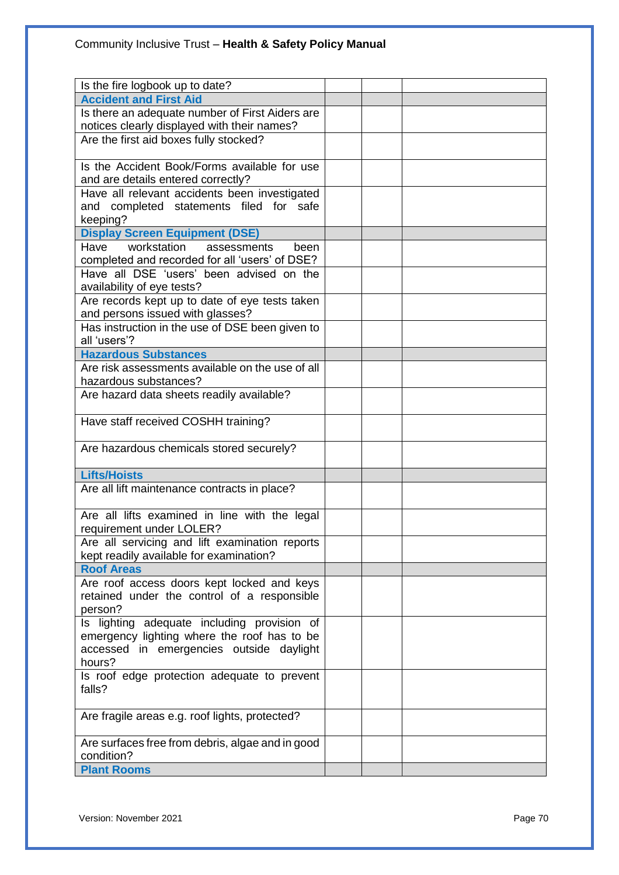| Is the fire logbook up to date?                  |  |  |
|--------------------------------------------------|--|--|
| <b>Accident and First Aid</b>                    |  |  |
| Is there an adequate number of First Aiders are  |  |  |
| notices clearly displayed with their names?      |  |  |
| Are the first aid boxes fully stocked?           |  |  |
|                                                  |  |  |
| Is the Accident Book/Forms available for use     |  |  |
| and are details entered correctly?               |  |  |
| Have all relevant accidents been investigated    |  |  |
| and completed statements filed for safe          |  |  |
| keeping?                                         |  |  |
| <b>Display Screen Equipment (DSE)</b>            |  |  |
| Have workstation<br>assessments<br>been          |  |  |
| completed and recorded for all 'users' of DSE?   |  |  |
| Have all DSE 'users' been advised on the         |  |  |
| availability of eye tests?                       |  |  |
| Are records kept up to date of eye tests taken   |  |  |
| and persons issued with glasses?                 |  |  |
| Has instruction in the use of DSE been given to  |  |  |
| all 'users'?                                     |  |  |
| <b>Hazardous Substances</b>                      |  |  |
| Are risk assessments available on the use of all |  |  |
| hazardous substances?                            |  |  |
| Are hazard data sheets readily available?        |  |  |
| Have staff received COSHH training?              |  |  |
|                                                  |  |  |
| Are hazardous chemicals stored securely?         |  |  |
|                                                  |  |  |
| <b>Lifts/Hoists</b>                              |  |  |
| Are all lift maintenance contracts in place?     |  |  |
|                                                  |  |  |
| Are all lifts examined in line with the legal    |  |  |
| requirement under LOLER?                         |  |  |
| Are all servicing and lift examination reports   |  |  |
| kept readily available for examination?          |  |  |
| <b>Roof Areas</b>                                |  |  |
| Are roof access doors kept locked and keys       |  |  |
| retained under the control of a responsible      |  |  |
| person?                                          |  |  |
| Is lighting adequate including provision of      |  |  |
| emergency lighting where the roof has to be      |  |  |
| accessed in emergencies outside daylight         |  |  |
| hours?                                           |  |  |
| Is roof edge protection adequate to prevent      |  |  |
| falls?                                           |  |  |
|                                                  |  |  |
| Are fragile areas e.g. roof lights, protected?   |  |  |
|                                                  |  |  |
| Are surfaces free from debris, algae and in good |  |  |
| condition?                                       |  |  |
| <b>Plant Rooms</b>                               |  |  |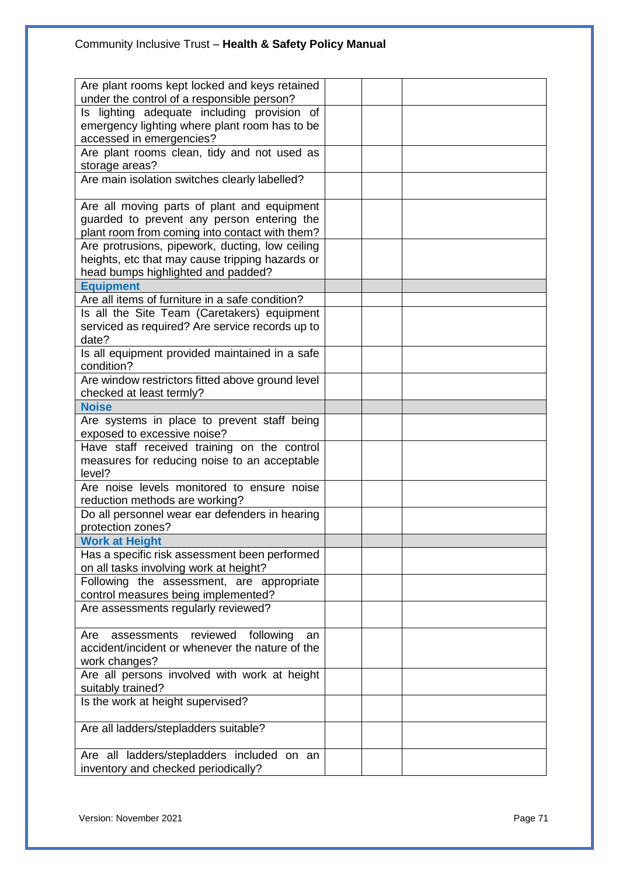# Community Inclusive Trust – **Health & Safety Policy Manual**

| Are plant rooms kept locked and keys retained     |  |  |  |
|---------------------------------------------------|--|--|--|
| under the control of a responsible person?        |  |  |  |
| Is lighting adequate including provision of       |  |  |  |
| emergency lighting where plant room has to be     |  |  |  |
| accessed in emergencies?                          |  |  |  |
| Are plant rooms clean, tidy and not used as       |  |  |  |
| storage areas?                                    |  |  |  |
| Are main isolation switches clearly labelled?     |  |  |  |
|                                                   |  |  |  |
| Are all moving parts of plant and equipment       |  |  |  |
| guarded to prevent any person entering the        |  |  |  |
| plant room from coming into contact with them?    |  |  |  |
| Are protrusions, pipework, ducting, low ceiling   |  |  |  |
| heights, etc that may cause tripping hazards or   |  |  |  |
| head bumps highlighted and padded?                |  |  |  |
| <b>Equipment</b>                                  |  |  |  |
| Are all items of furniture in a safe condition?   |  |  |  |
| Is all the Site Team (Caretakers) equipment       |  |  |  |
| serviced as required? Are service records up to   |  |  |  |
| date?                                             |  |  |  |
| Is all equipment provided maintained in a safe    |  |  |  |
| condition?                                        |  |  |  |
| Are window restrictors fitted above ground level  |  |  |  |
| checked at least termly?                          |  |  |  |
| <b>Noise</b>                                      |  |  |  |
| Are systems in place to prevent staff being       |  |  |  |
| exposed to excessive noise?                       |  |  |  |
| Have staff received training on the control       |  |  |  |
| measures for reducing noise to an acceptable      |  |  |  |
| level?                                            |  |  |  |
| Are noise levels monitored to ensure noise        |  |  |  |
| reduction methods are working?                    |  |  |  |
| Do all personnel wear ear defenders in hearing    |  |  |  |
| protection zones?                                 |  |  |  |
| <b>Work at Height</b>                             |  |  |  |
| Has a specific risk assessment been performed     |  |  |  |
| on all tasks involving work at height?            |  |  |  |
| Following the assessment, are appropriate         |  |  |  |
| control measures being implemented?               |  |  |  |
| Are assessments regularly reviewed?               |  |  |  |
|                                                   |  |  |  |
| assessments<br>reviewed<br>following<br>Are<br>an |  |  |  |
| accident/incident or whenever the nature of the   |  |  |  |
| work changes?                                     |  |  |  |
| Are all persons involved with work at height      |  |  |  |
| suitably trained?                                 |  |  |  |
| Is the work at height supervised?                 |  |  |  |
|                                                   |  |  |  |
| Are all ladders/stepladders suitable?             |  |  |  |
|                                                   |  |  |  |
| Are all ladders/stepladders included on an        |  |  |  |
| inventory and checked periodically?               |  |  |  |
|                                                   |  |  |  |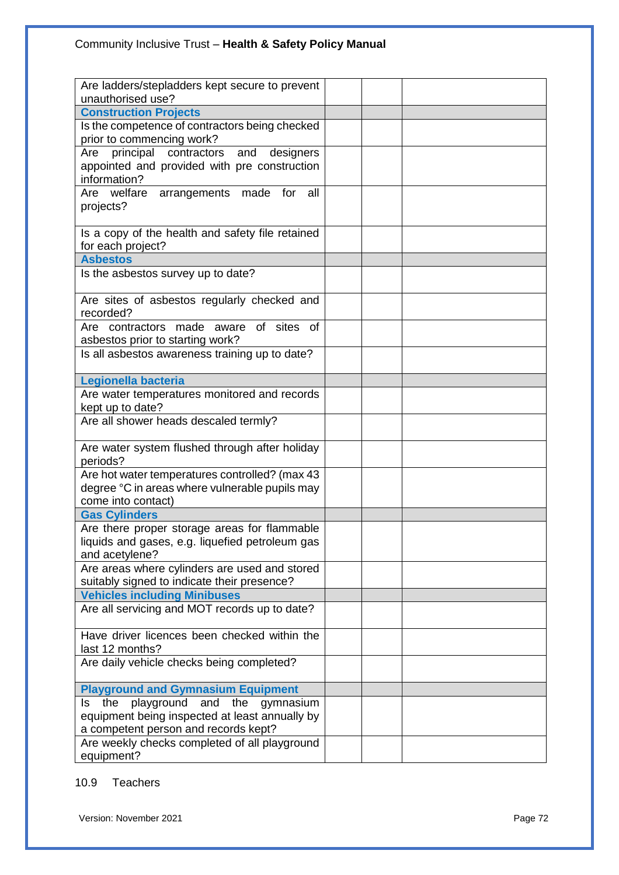| Are ladders/stepladders kept secure to prevent                                    |  |  |
|-----------------------------------------------------------------------------------|--|--|
| unauthorised use?<br><b>Construction Projects</b>                                 |  |  |
|                                                                                   |  |  |
| Is the competence of contractors being checked                                    |  |  |
| prior to commencing work?                                                         |  |  |
| principal<br>contractors<br>and<br>designers<br>Are                               |  |  |
| appointed and provided with pre construction                                      |  |  |
| information?                                                                      |  |  |
| Are welfare<br>arrangements made for<br>all                                       |  |  |
| projects?                                                                         |  |  |
|                                                                                   |  |  |
| Is a copy of the health and safety file retained                                  |  |  |
| for each project?                                                                 |  |  |
| <b>Asbestos</b>                                                                   |  |  |
| Is the asbestos survey up to date?                                                |  |  |
|                                                                                   |  |  |
| Are sites of asbestos regularly checked and                                       |  |  |
| recorded?                                                                         |  |  |
| aware of sites of<br>Are contractors made                                         |  |  |
| asbestos prior to starting work?                                                  |  |  |
| Is all asbestos awareness training up to date?                                    |  |  |
|                                                                                   |  |  |
| Legionella bacteria                                                               |  |  |
| Are water temperatures monitored and records                                      |  |  |
| kept up to date?                                                                  |  |  |
| Are all shower heads descaled termly?                                             |  |  |
|                                                                                   |  |  |
| Are water system flushed through after holiday                                    |  |  |
| periods?                                                                          |  |  |
| Are hot water temperatures controlled? (max 43                                    |  |  |
| degree °C in areas where vulnerable pupils may                                    |  |  |
| come into contact)                                                                |  |  |
| <b>Gas Cylinders</b>                                                              |  |  |
| Are there proper storage areas for flammable                                      |  |  |
| liquids and gases, e.g. liquefied petroleum gas                                   |  |  |
| and acetylene?                                                                    |  |  |
| Are areas where cylinders are used and stored                                     |  |  |
| suitably signed to indicate their presence?                                       |  |  |
| <b>Vehicles including Minibuses</b>                                               |  |  |
| Are all servicing and MOT records up to date?                                     |  |  |
|                                                                                   |  |  |
| Have driver licences been checked within the                                      |  |  |
| last 12 months?                                                                   |  |  |
| Are daily vehicle checks being completed?                                         |  |  |
|                                                                                   |  |  |
| <b>Playground and Gymnasium Equipment</b><br>playground and the gymnasium<br>ls l |  |  |
| the                                                                               |  |  |
| equipment being inspected at least annually by                                    |  |  |
| a competent person and records kept?                                              |  |  |
| Are weekly checks completed of all playground                                     |  |  |
| equipment?                                                                        |  |  |

## 10.9 Teachers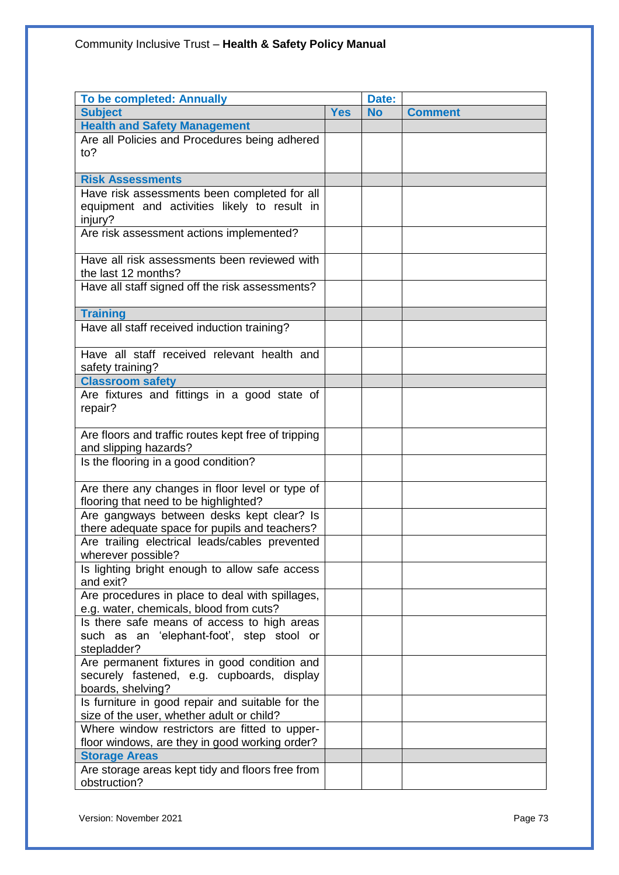| <b>To be completed: Annually</b>                                                           |            | Date:     |                |
|--------------------------------------------------------------------------------------------|------------|-----------|----------------|
| <b>Subject</b>                                                                             | <b>Yes</b> | <b>No</b> | <b>Comment</b> |
| <b>Health and Safety Management</b>                                                        |            |           |                |
| Are all Policies and Procedures being adhered                                              |            |           |                |
| to?                                                                                        |            |           |                |
|                                                                                            |            |           |                |
| <b>Risk Assessments</b>                                                                    |            |           |                |
| Have risk assessments been completed for all                                               |            |           |                |
| equipment and activities likely to result in                                               |            |           |                |
| injury?                                                                                    |            |           |                |
| Are risk assessment actions implemented?                                                   |            |           |                |
| Have all risk assessments been reviewed with                                               |            |           |                |
| the last 12 months?                                                                        |            |           |                |
| Have all staff signed off the risk assessments?                                            |            |           |                |
|                                                                                            |            |           |                |
| <b>Training</b>                                                                            |            |           |                |
| Have all staff received induction training?                                                |            |           |                |
|                                                                                            |            |           |                |
| Have all staff received relevant health and                                                |            |           |                |
| safety training?                                                                           |            |           |                |
| <b>Classroom safety</b>                                                                    |            |           |                |
| Are fixtures and fittings in a good state of                                               |            |           |                |
| repair?                                                                                    |            |           |                |
|                                                                                            |            |           |                |
| Are floors and traffic routes kept free of tripping                                        |            |           |                |
| and slipping hazards?                                                                      |            |           |                |
| Is the flooring in a good condition?                                                       |            |           |                |
|                                                                                            |            |           |                |
| Are there any changes in floor level or type of                                            |            |           |                |
| flooring that need to be highlighted?                                                      |            |           |                |
| Are gangways between desks kept clear? Is<br>there adequate space for pupils and teachers? |            |           |                |
| Are trailing electrical leads/cables prevented                                             |            |           |                |
| wherever possible?                                                                         |            |           |                |
| Is lighting bright enough to allow safe access                                             |            |           |                |
| and exit?                                                                                  |            |           |                |
| Are procedures in place to deal with spillages,                                            |            |           |                |
| e.g. water, chemicals, blood from cuts?                                                    |            |           |                |
| Is there safe means of access to high areas                                                |            |           |                |
| such as an 'elephant-foot', step stool or                                                  |            |           |                |
| stepladder?                                                                                |            |           |                |
| Are permanent fixtures in good condition and                                               |            |           |                |
| securely fastened, e.g. cupboards, display                                                 |            |           |                |
| boards, shelving?                                                                          |            |           |                |
| Is furniture in good repair and suitable for the                                           |            |           |                |
| size of the user, whether adult or child?                                                  |            |           |                |
| Where window restrictors are fitted to upper-                                              |            |           |                |
| floor windows, are they in good working order?                                             |            |           |                |
| <b>Storage Areas</b>                                                                       |            |           |                |
| Are storage areas kept tidy and floors free from                                           |            |           |                |
| obstruction?                                                                               |            |           |                |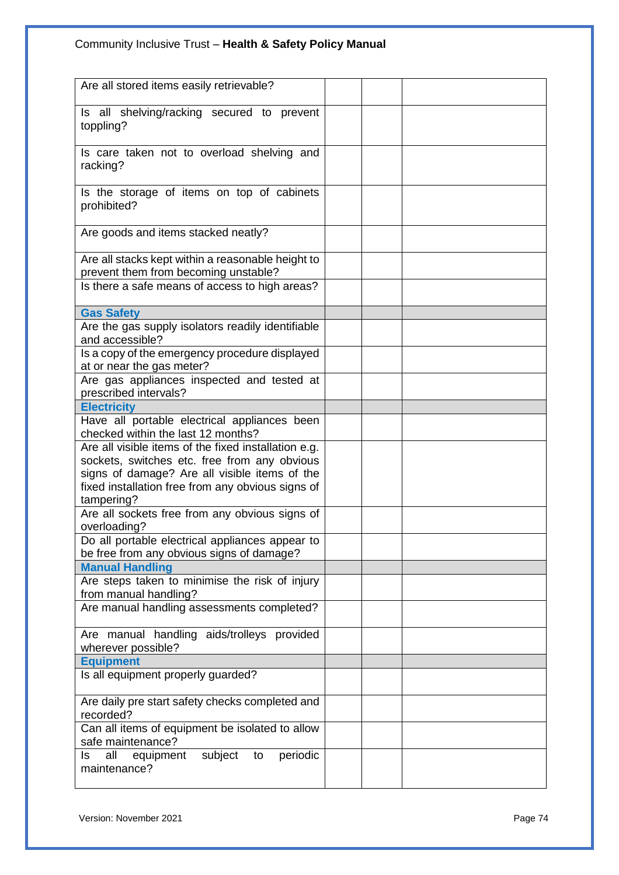# Community Inclusive Trust – **Health & Safety Policy Manual**

| Are all stored items easily retrievable?                             |  |
|----------------------------------------------------------------------|--|
| Is all shelving/racking secured to prevent                           |  |
| toppling?                                                            |  |
|                                                                      |  |
| Is care taken not to overload shelving and                           |  |
| racking?                                                             |  |
|                                                                      |  |
| Is the storage of items on top of cabinets                           |  |
| prohibited?                                                          |  |
|                                                                      |  |
| Are goods and items stacked neatly?                                  |  |
|                                                                      |  |
| Are all stacks kept within a reasonable height to                    |  |
| prevent them from becoming unstable?                                 |  |
| Is there a safe means of access to high areas?                       |  |
|                                                                      |  |
| <b>Gas Safety</b>                                                    |  |
| Are the gas supply isolators readily identifiable<br>and accessible? |  |
| Is a copy of the emergency procedure displayed                       |  |
| at or near the gas meter?                                            |  |
| Are gas appliances inspected and tested at                           |  |
| prescribed intervals?                                                |  |
| <b>Electricity</b>                                                   |  |
| Have all portable electrical appliances been                         |  |
| checked within the last 12 months?                                   |  |
| Are all visible items of the fixed installation e.g.                 |  |
| sockets, switches etc. free from any obvious                         |  |
| signs of damage? Are all visible items of the                        |  |
| fixed installation free from any obvious signs of                    |  |
| tampering?                                                           |  |
| Are all sockets free from any obvious signs of                       |  |
| overloading?                                                         |  |
| Do all portable electrical appliances appear to                      |  |
| be free from any obvious signs of damage?                            |  |
| <b>Manual Handling</b>                                               |  |
| Are steps taken to minimise the risk of injury                       |  |
| from manual handling?                                                |  |
| Are manual handling assessments completed?                           |  |
|                                                                      |  |
| Are manual handling aids/trolleys provided<br>wherever possible?     |  |
| <b>Equipment</b>                                                     |  |
| Is all equipment properly guarded?                                   |  |
|                                                                      |  |
| Are daily pre start safety checks completed and                      |  |
| recorded?                                                            |  |
| Can all items of equipment be isolated to allow                      |  |
| safe maintenance?                                                    |  |
| ls.<br>all<br>subject<br>periodic<br>equipment<br>to                 |  |
| maintenance?                                                         |  |
|                                                                      |  |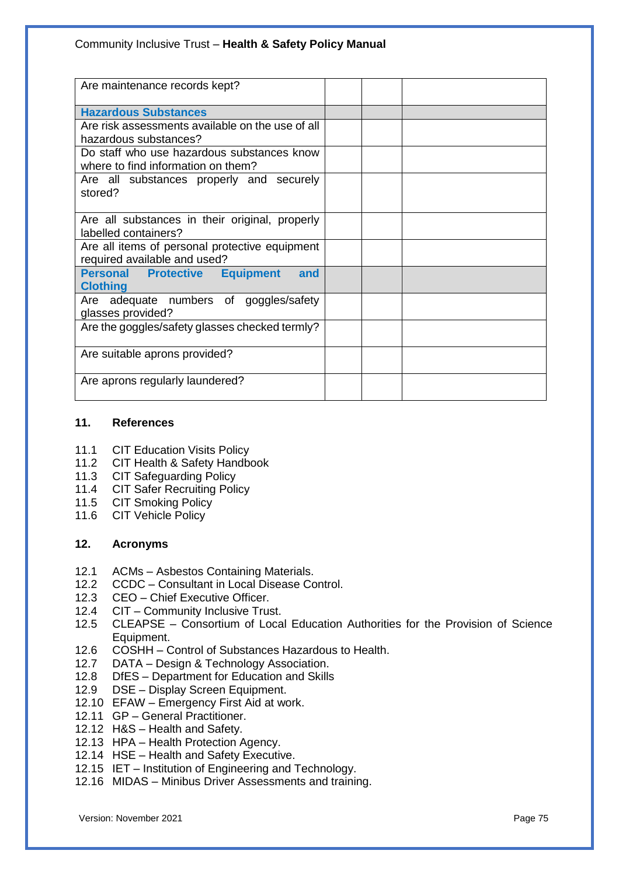| Are maintenance records kept?                    |  |
|--------------------------------------------------|--|
| <b>Hazardous Substances</b>                      |  |
| Are risk assessments available on the use of all |  |
| hazardous substances?                            |  |
| Do staff who use hazardous substances know       |  |
| where to find information on them?               |  |
| Are all substances properly and securely         |  |
| stored?                                          |  |
|                                                  |  |
| Are all substances in their original, properly   |  |
| labelled containers?                             |  |
| Are all items of personal protective equipment   |  |
| required available and used?                     |  |
| <b>Personal Protective Equipment</b><br>and      |  |
| <b>Clothing</b>                                  |  |
| Are adequate numbers of goggles/safety           |  |
| glasses provided?                                |  |
| Are the goggles/safety glasses checked termly?   |  |
|                                                  |  |
| Are suitable aprons provided?                    |  |
|                                                  |  |
| Are aprons regularly laundered?                  |  |
|                                                  |  |

#### **11. References**

- 11.1 CIT Education Visits Policy<br>11.2 CIT Health & Safety Handb
- CIT Health & Safety Handbook
- 11.3 CIT Safeguarding Policy
- 11.4 CIT Safer Recruiting Policy
- 11.5 CIT Smoking Policy
- 11.6 CIT Vehicle Policy

### **12. Acronyms**

- 12.1 ACMs Asbestos Containing Materials.
- 12.2 CCDC Consultant in Local Disease Control.
- 12.3 CEO Chief Executive Officer.
- 12.4 CIT Community Inclusive Trust.
- 12.5 CLEAPSE Consortium of Local Education Authorities for the Provision of Science Equipment.
- 12.6 COSHH Control of Substances Hazardous to Health.
- 12.7 DATA Design & Technology Association.
- 12.8 DfES Department for Education and Skills
- 12.9 DSE Display Screen Equipment.
- 12.10 EFAW Emergency First Aid at work.
- 12.11 GP General Practitioner.
- 12.12 H&S Health and Safety.
- 12.13 HPA Health Protection Agency.
- 12.14 HSE Health and Safety Executive.
- 12.15 IET Institution of Engineering and Technology.
- 12.16 MIDAS Minibus Driver Assessments and training.